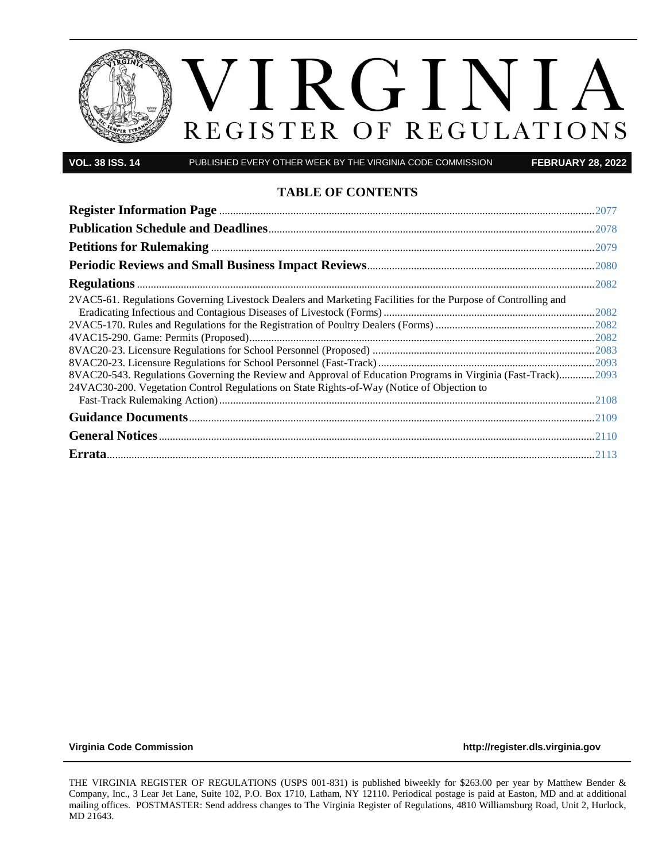

**VOL. 38 ISS. 14** PUBLISHED EVERY OTHER WEEK BY THE VIRGINIA CODE COMMISSION **FEBRUARY 28, 2022**

### **TABLE OF CONTENTS**

| 2VAC5-61. Regulations Governing Livestock Dealers and Marketing Facilities for the Purpose of Controlling and |  |
|---------------------------------------------------------------------------------------------------------------|--|
|                                                                                                               |  |
|                                                                                                               |  |
|                                                                                                               |  |
|                                                                                                               |  |
| 8VAC20-543. Regulations Governing the Review and Approval of Education Programs in Virginia (Fast-Track)2093  |  |
| 24VAC30-200. Vegetation Control Regulations on State Rights-of-Way (Notice of Objection to                    |  |
|                                                                                                               |  |
|                                                                                                               |  |
|                                                                                                               |  |
|                                                                                                               |  |

**[Virginia Code Commission](http://register.dls.virginia.gov/) [http://register.dls.virginia.gov](http://register.dls.virginia.gov/)**

THE VIRGINIA REGISTER OF REGULATIONS (USPS 001-831) is published biweekly for \$263.00 per year by Matthew Bender & Company, Inc., 3 Lear Jet Lane, Suite 102, P.O. Box 1710, Latham, NY 12110. Periodical postage is paid at Easton, MD and at additional mailing offices. POSTMASTER: Send address changes to The Virginia Register of Regulations, 4810 Williamsburg Road, Unit 2, Hurlock, MD 21643.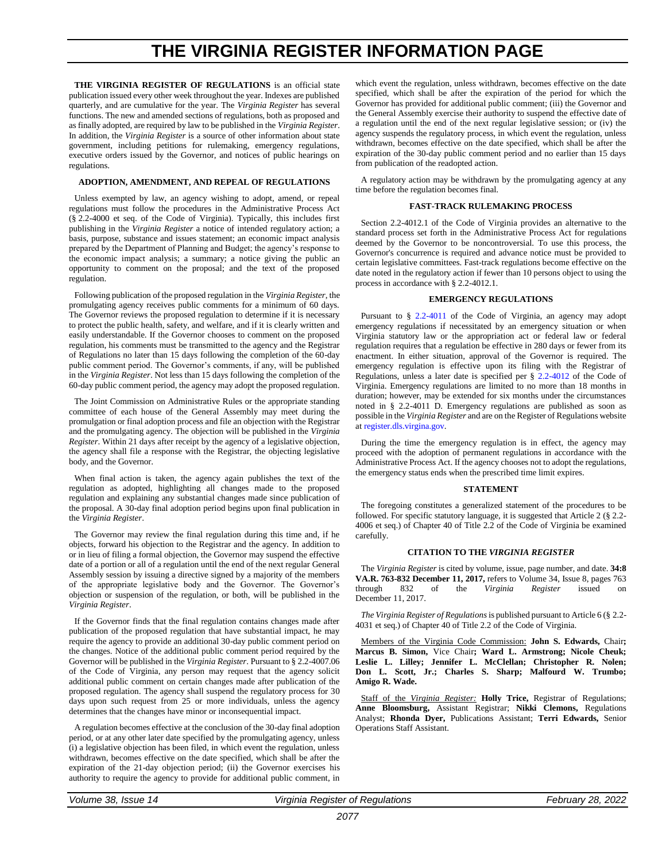# **THE VIRGINIA REGISTER INFORMATION PAGE**

<span id="page-1-0"></span>THE VIRGINIA REGISTER OF REGULATIONS is an official state publication issued every other week throughout the year. Indexes are published quarterly, and are cumulative for the year. The *Virginia Register* has several functions. The new and amended sections of regulations, both as proposed and as finally adopted, are required by law to be published in the *Virginia Register*. In addition, the *Virginia Register* is a source of other information about state government, including petitions for rulemaking, emergency regulations, executive orders issued by the Governor, and notices of public hearings on regulations.

#### **ADOPTION, AMENDMENT, AND REPEAL OF REGULATIONS**

Unless exempted by law, an agency wishing to adopt, amend, or repeal regulations must follow the procedures in the Administrative Process Act (§ 2.2-4000 et seq. of the Code of Virginia). Typically, this includes first publishing in the *Virginia Register* a notice of intended regulatory action; a basis, purpose, substance and issues statement; an economic impact analysis prepared by the Department of Planning and Budget; the agency's response to the economic impact analysis; a summary; a notice giving the public an opportunity to comment on the proposal; and the text of the proposed regulation.

Following publication of the proposed regulation in the *Virginia Register*, the promulgating agency receives public comments for a minimum of 60 days. The Governor reviews the proposed regulation to determine if it is necessary to protect the public health, safety, and welfare, and if it is clearly written and easily understandable. If the Governor chooses to comment on the proposed regulation, his comments must be transmitted to the agency and the Registrar of Regulations no later than 15 days following the completion of the 60-day public comment period. The Governor's comments, if any, will be published in the *Virginia Register*. Not less than 15 days following the completion of the 60-day public comment period, the agency may adopt the proposed regulation.

The Joint Commission on Administrative Rules or the appropriate standing committee of each house of the General Assembly may meet during the promulgation or final adoption process and file an objection with the Registrar and the promulgating agency. The objection will be published in the *Virginia Register*. Within 21 days after receipt by the agency of a legislative objection, the agency shall file a response with the Registrar, the objecting legislative body, and the Governor.

When final action is taken, the agency again publishes the text of the regulation as adopted, highlighting all changes made to the proposed regulation and explaining any substantial changes made since publication of the proposal. A 30-day final adoption period begins upon final publication in the *Virginia Register*.

The Governor may review the final regulation during this time and, if he objects, forward his objection to the Registrar and the agency. In addition to or in lieu of filing a formal objection, the Governor may suspend the effective date of a portion or all of a regulation until the end of the next regular General Assembly session by issuing a directive signed by a majority of the members of the appropriate legislative body and the Governor. The Governor's objection or suspension of the regulation, or both, will be published in the *Virginia Register*.

If the Governor finds that the final regulation contains changes made after publication of the proposed regulation that have substantial impact, he may require the agency to provide an additional 30-day public comment period on the changes. Notice of the additional public comment period required by the Governor will be published in the *Virginia Register*. Pursuant to § 2.2-4007.06 of the Code of Virginia, any person may request that the agency solicit additional public comment on certain changes made after publication of the proposed regulation. The agency shall suspend the regulatory process for 30 days upon such request from 25 or more individuals, unless the agency determines that the changes have minor or inconsequential impact.

A regulation becomes effective at the conclusion of the 30-day final adoption period, or at any other later date specified by the promulgating agency, unless (i) a legislative objection has been filed, in which event the regulation, unless withdrawn, becomes effective on the date specified, which shall be after the expiration of the 21-day objection period; (ii) the Governor exercises his authority to require the agency to provide for additional public comment, in

which event the regulation, unless withdrawn, becomes effective on the date specified, which shall be after the expiration of the period for which the Governor has provided for additional public comment; (iii) the Governor and the General Assembly exercise their authority to suspend the effective date of a regulation until the end of the next regular legislative session; or (iv) the agency suspends the regulatory process, in which event the regulation, unless withdrawn, becomes effective on the date specified, which shall be after the expiration of the 30-day public comment period and no earlier than 15 days from publication of the readopted action.

A regulatory action may be withdrawn by the promulgating agency at any time before the regulation becomes final.

#### **FAST-TRACK RULEMAKING PROCESS**

Section 2.2-4012.1 of the Code of Virginia provides an alternative to the standard process set forth in the Administrative Process Act for regulations deemed by the Governor to be noncontroversial. To use this process, the Governor's concurrence is required and advance notice must be provided to certain legislative committees. Fast-track regulations become effective on the date noted in the regulatory action if fewer than 10 persons object to using the process in accordance with § 2.2-4012.1.

#### **EMERGENCY REGULATIONS**

Pursuant to § [2.2-4011](https://law.lis.virginia.gov/vacode/2.2-4011/) of the Code of Virginia, an agency may adopt emergency regulations if necessitated by an emergency situation or when Virginia statutory law or the appropriation act or federal law or federal regulation requires that a regulation be effective in 280 days or fewer from its enactment. In either situation, approval of the Governor is required. The emergency regulation is effective upon its filing with the Registrar of Regulations, unless a later date is specified per § [2.2-4012](https://law.lis.virginia.gov/vacode/2.2-4011/) of the Code of Virginia. Emergency regulations are limited to no more than 18 months in duration; however, may be extended for six months under the circumstances noted in § 2.2-4011 D. Emergency regulations are published as soon as possible in the *Virginia Register* and are on the Register of Regulations website a[t register.dls.virgina.gov.](http://register.dls.virgina.gov/)

During the time the emergency regulation is in effect, the agency may proceed with the adoption of permanent regulations in accordance with the Administrative Process Act. If the agency chooses not to adopt the regulations, the emergency status ends when the prescribed time limit expires.

#### **STATEMENT**

The foregoing constitutes a generalized statement of the procedures to be followed. For specific statutory language, it is suggested that Article 2 (§ 2.2- 4006 et seq.) of Chapter 40 of Title 2.2 of the Code of Virginia be examined carefully.

#### **CITATION TO THE** *VIRGINIA REGISTER*

The *Virginia Register* is cited by volume, issue, page number, and date. **34:8 VA.R. 763-832 December 11, 2017,** refers to Volume 34, Issue 8, pages 763 through 832 of the *Virginia Register* issued on December 11, 2017.

*The Virginia Register of Regulations*is published pursuant to Article 6 (§ 2.2- 4031 et seq.) of Chapter 40 of Title 2.2 of the Code of Virginia.

Members of the Virginia Code Commission: **John S. Edwards,** Chair**; Marcus B. Simon,** Vice Chair**; Ward L. Armstrong; Nicole Cheuk; Leslie L. Lilley; Jennifer L. McClellan; Christopher R. Nolen; Don L. Scott, Jr.; Charles S. Sharp; Malfourd W. Trumbo; Amigo R. Wade.**

Staff of the *Virginia Register:* **Holly Trice,** Registrar of Regulations; **Anne Bloomsburg,** Assistant Registrar; **Nikki Clemons,** Regulations Analyst; **Rhonda Dyer,** Publications Assistant; **Terri Edwards,** Senior Operations Staff Assistant.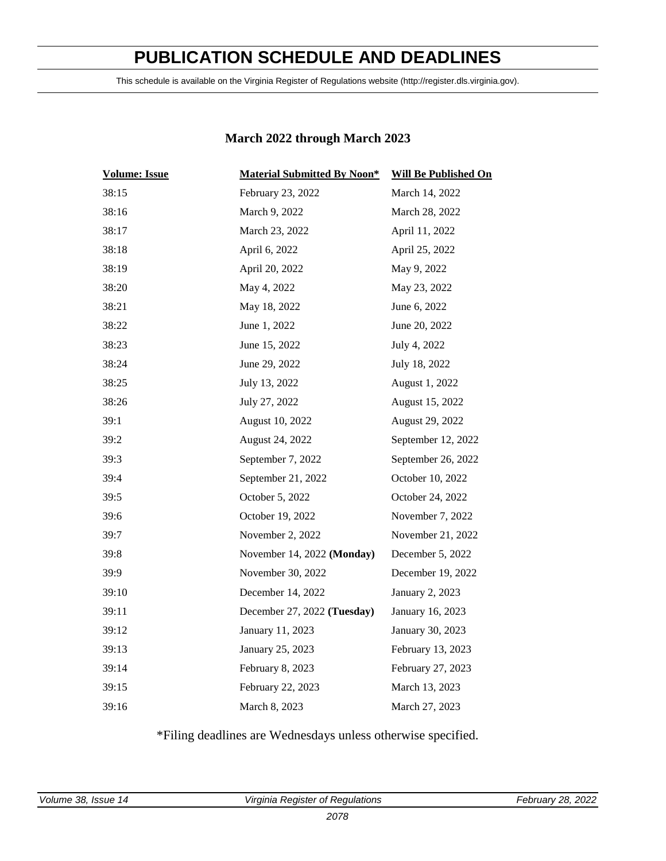# **PUBLICATION SCHEDULE AND DEADLINES**

<span id="page-2-0"></span>This schedule is available on the Virginia Register of Regulations website (http://register.dls.virginia.gov).

### **March 2022 through March 2023**

| <b>Volume: Issue</b> | <b>Material Submitted By Noon*</b> | <b>Will Be Published On</b> |
|----------------------|------------------------------------|-----------------------------|
| 38:15                | February 23, 2022                  | March 14, 2022              |
| 38:16                | March 9, 2022                      | March 28, 2022              |
| 38:17                | March 23, 2022                     | April 11, 2022              |
| 38:18                | April 6, 2022                      | April 25, 2022              |
| 38:19                | April 20, 2022                     | May 9, 2022                 |
| 38:20                | May 4, 2022                        | May 23, 2022                |
| 38:21                | May 18, 2022                       | June 6, 2022                |
| 38:22                | June 1, 2022                       | June 20, 2022               |
| 38:23                | June 15, 2022                      | July 4, 2022                |
| 38:24                | June 29, 2022                      | July 18, 2022               |
| 38:25                | July 13, 2022                      | August 1, 2022              |
| 38:26                | July 27, 2022                      | August 15, 2022             |
| 39:1                 | August 10, 2022                    | August 29, 2022             |
| 39:2                 | August 24, 2022                    | September 12, 2022          |
| 39:3                 | September 7, 2022                  | September 26, 2022          |
| 39:4                 | September 21, 2022                 | October 10, 2022            |
| 39:5                 | October 5, 2022                    | October 24, 2022            |
| 39:6                 | October 19, 2022                   | November 7, 2022            |
| 39:7                 | November 2, 2022                   | November 21, 2022           |
| 39:8                 | November 14, 2022 (Monday)         | December 5, 2022            |
| 39:9                 | November 30, 2022                  | December 19, 2022           |
| 39:10                | December 14, 2022                  | January 2, 2023             |
| 39:11                | December 27, 2022 (Tuesday)        | January 16, 2023            |
| 39:12                | January 11, 2023                   | January 30, 2023            |
| 39:13                | January 25, 2023                   | February 13, 2023           |
| 39:14                | February 8, 2023                   | February 27, 2023           |
| 39:15                | February 22, 2023                  | March 13, 2023              |
| 39:16                | March 8, 2023                      | March 27, 2023              |

\*Filing deadlines are Wednesdays unless otherwise specified.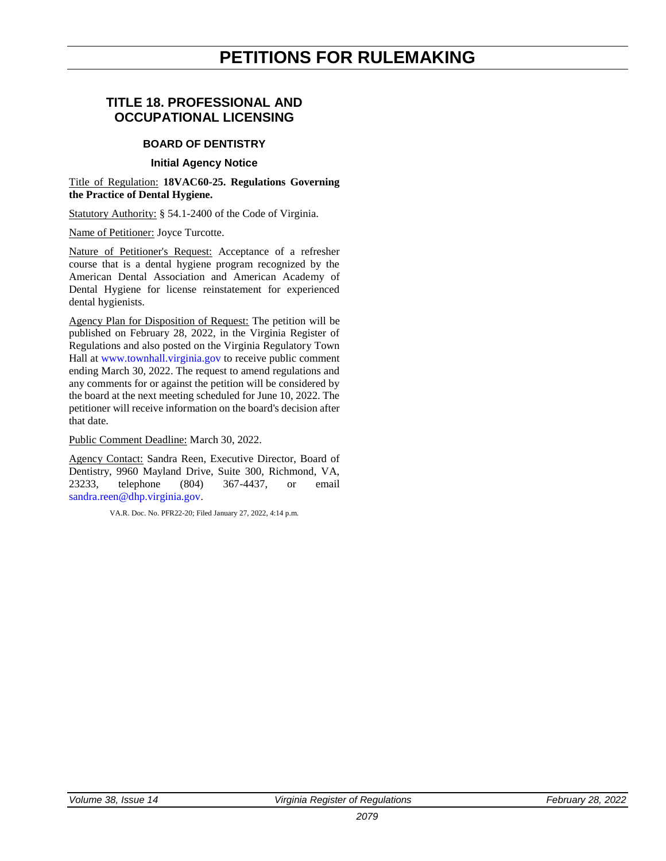# **PETITIONS FOR RULEMAKING**

### <span id="page-3-0"></span>**TITLE 18. PROFESSIONAL AND OCCUPATIONAL LICENSING**

### **BOARD OF DENTISTRY**

### **Initial Agency Notice**

Title of Regulation: **18VAC60-25. Regulations Governing the Practice of Dental Hygiene.**

Statutory Authority: § 54.1-2400 of the Code of Virginia.

Name of Petitioner: Joyce Turcotte.

Nature of Petitioner's Request: Acceptance of a refresher course that is a dental hygiene program recognized by the American Dental Association and American Academy of Dental Hygiene for license reinstatement for experienced dental hygienists.

Agency Plan for Disposition of Request: The petition will be published on February 28, 2022, in the Virginia Register of Regulations and also posted on the Virginia Regulatory Town Hall at [www.townhall.virginia.gov](https://ris.dls.virginia.gov/) to receive public comment ending March 30, 2022. The request to amend regulations and any comments for or against the petition will be considered by the board at the next meeting scheduled for June 10, 2022. The petitioner will receive information on the board's decision after that date.

Public Comment Deadline: March 30, 2022.

Agency Contact: Sandra Reen, Executive Director, Board of Dentistry, 9960 Mayland Drive, Suite 300, Richmond, VA, 23233, telephone (804) 367-4437, or email [sandra.reen@dhp.virginia.gov.](mailto:sandra.reen@dhp.virginia.gov)

VA.R. Doc. No. PFR22-20; Filed January 27, 2022, 4:14 p.m.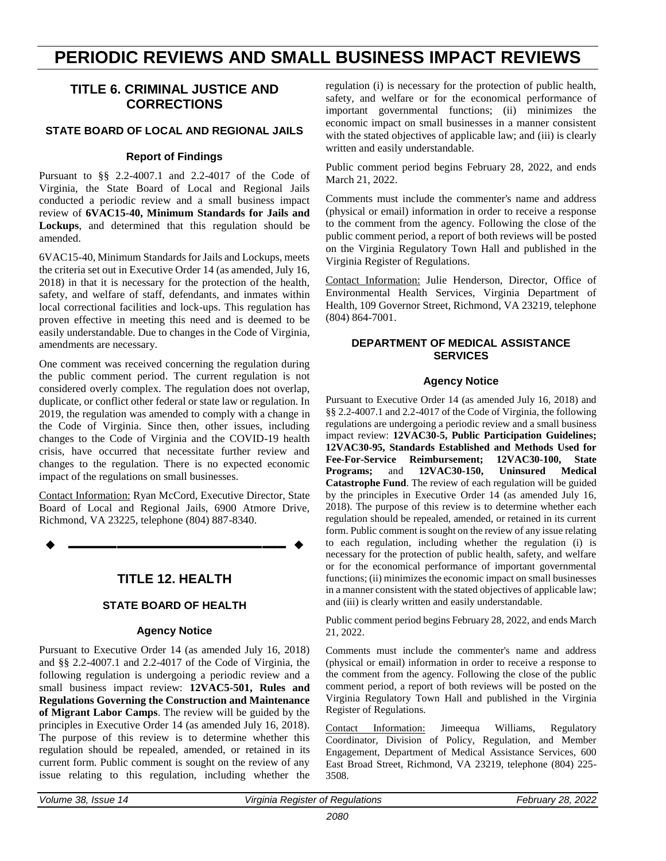# <span id="page-4-0"></span>**PERIODIC REVIEWS AND SMALL BUSINESS IMPACT REVIEWS**

### **TITLE 6. CRIMINAL JUSTICE AND CORRECTIONS**

### **STATE BOARD OF LOCAL AND REGIONAL JAILS**

### **Report of Findings**

Pursuant to §§ 2.2-4007.1 and 2.2-4017 of the Code of Virginia, the State Board of Local and Regional Jails conducted a periodic review and a small business impact review of **6VAC15-40, Minimum Standards for Jails and Lockups**, and determined that this regulation should be amended.

6VAC15-40, Minimum Standards for Jails and Lockups, meets the criteria set out in Executive Order 14 (as amended, July 16, 2018) in that it is necessary for the protection of the health, safety, and welfare of staff, defendants, and inmates within local correctional facilities and lock-ups. This regulation has proven effective in meeting this need and is deemed to be easily understandable. Due to changes in the Code of Virginia, amendments are necessary.

One comment was received concerning the regulation during the public comment period. The current regulation is not considered overly complex. The regulation does not overlap, duplicate, or conflict other federal or state law or regulation. In 2019, the regulation was amended to comply with a change in the Code of Virginia. Since then, other issues, including changes to the Code of Virginia and the COVID-19 health crisis, have occurred that necessitate further review and changes to the regulation. There is no expected economic impact of the regulations on small businesses.

Contact Information: Ryan McCord, Executive Director, State Board of Local and Regional Jails, 6900 Atmore Drive, Richmond, VA 23225, telephone (804) 887-8340.

**TITLE 12. HEALTH**

**––––––––––––––––––**

### **STATE BOARD OF HEALTH**

### **Agency Notice**

Pursuant to Executive Order 14 (as amended July 16, 2018) and §§ 2.2-4007.1 and 2.2-4017 of the Code of Virginia, the following regulation is undergoing a periodic review and a small business impact review: **12VAC5-501, Rules and Regulations Governing the Construction and Maintenance of Migrant Labor Camps**. The review will be guided by the principles in Executive Order 14 (as amended July 16, 2018). The purpose of this review is to determine whether this regulation should be repealed, amended, or retained in its current form. Public comment is sought on the review of any issue relating to this regulation, including whether the

regulation (i) is necessary for the protection of public health, safety, and welfare or for the economical performance of important governmental functions; (ii) minimizes the economic impact on small businesses in a manner consistent with the stated objectives of applicable law; and (iii) is clearly written and easily understandable.

Public comment period begins February 28, 2022, and ends March 21, 2022.

Comments must include the commenter's name and address (physical or email) information in order to receive a response to the comment from the agency. Following the close of the public comment period, a report of both reviews will be posted on the Virginia Regulatory Town Hall and published in the Virginia Register of Regulations.

Contact Information: Julie Henderson, Director, Office of Environmental Health Services, Virginia Department of Health, 109 Governor Street, Richmond, VA 23219, telephone (804) 864-7001.

### **DEPARTMENT OF MEDICAL ASSISTANCE SERVICES**

#### **Agency Notice**

Pursuant to Executive Order 14 (as amended July 16, 2018) and §§ 2.2-4007.1 and 2.2-4017 of the Code of Virginia, the following regulations are undergoing a periodic review and a small business impact review: **12VAC30-5, Public Participation Guidelines; 12VAC30-95, Standards Established and Methods Used for Fee-For-Service Reimbursement; 12VAC30-100, State Programs;** and **12VAC30-150, Uninsured Medical Catastrophe Fund**. The review of each regulation will be guided by the principles in Executive Order 14 (as amended July 16, 2018). The purpose of this review is to determine whether each regulation should be repealed, amended, or retained in its current form. Public comment is sought on the review of any issue relating to each regulation, including whether the regulation (i) is necessary for the protection of public health, safety, and welfare or for the economical performance of important governmental functions; (ii) minimizes the economic impact on small businesses in a manner consistent with the stated objectives of applicable law; and (iii) is clearly written and easily understandable.

Public comment period begins February 28, 2022, and ends March 21, 2022.

Comments must include the commenter's name and address (physical or email) information in order to receive a response to the comment from the agency. Following the close of the public comment period, a report of both reviews will be posted on the Virginia Regulatory Town Hall and published in the Virginia Register of Regulations.

Contact Information: Jimeequa Williams, Regulatory Coordinator, Division of Policy, Regulation, and Member Engagement, Department of Medical Assistance Services, 600 East Broad Street, Richmond, VA 23219, telephone (804) 225- 3508.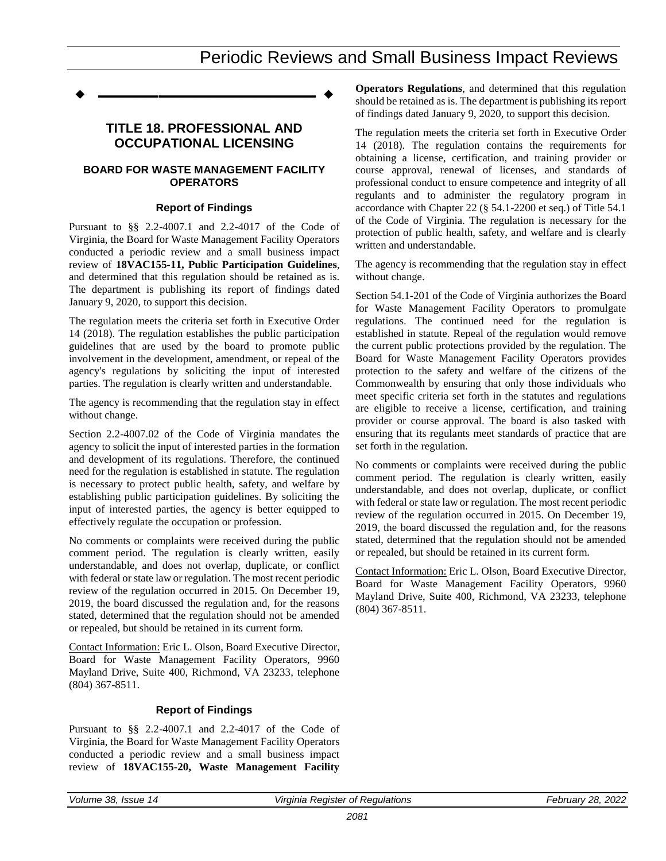# Periodic Reviews and Small Business Impact Reviews

**––––––––––––––––––**

### **TITLE 18. PROFESSIONAL AND OCCUPATIONAL LICENSING**

### **BOARD FOR WASTE MANAGEMENT FACILITY OPERATORS**

### **Report of Findings**

Pursuant to §§ 2.2-4007.1 and 2.2-4017 of the Code of Virginia, the Board for Waste Management Facility Operators conducted a periodic review and a small business impact review of **18VAC155-11, Public Participation Guidelines**, and determined that this regulation should be retained as is. The department is publishing its report of findings dated January 9, 2020, to support this decision.

The regulation meets the criteria set forth in Executive Order 14 (2018). The regulation establishes the public participation guidelines that are used by the board to promote public involvement in the development, amendment, or repeal of the agency's regulations by soliciting the input of interested parties. The regulation is clearly written and understandable.

The agency is recommending that the regulation stay in effect without change.

Section 2.2-4007.02 of the Code of Virginia mandates the agency to solicit the input of interested parties in the formation and development of its regulations. Therefore, the continued need for the regulation is established in statute. The regulation is necessary to protect public health, safety, and welfare by establishing public participation guidelines. By soliciting the input of interested parties, the agency is better equipped to effectively regulate the occupation or profession.

No comments or complaints were received during the public comment period. The regulation is clearly written, easily understandable, and does not overlap, duplicate, or conflict with federal or state law or regulation. The most recent periodic review of the regulation occurred in 2015. On December 19, 2019, the board discussed the regulation and, for the reasons stated, determined that the regulation should not be amended or repealed, but should be retained in its current form.

Contact Information: Eric L. Olson, Board Executive Director, Board for Waste Management Facility Operators, 9960 Mayland Drive, Suite 400, Richmond, VA 23233, telephone (804) 367-8511.

### **Report of Findings**

Pursuant to §§ 2.2-4007.1 and 2.2-4017 of the Code of Virginia, the Board for Waste Management Facility Operators conducted a periodic review and a small business impact review of **18VAC155-20, Waste Management Facility**  **Operators Regulations**, and determined that this regulation should be retained as is. The department is publishing its report of findings dated January 9, 2020, to support this decision.

The regulation meets the criteria set forth in Executive Order 14 (2018). The regulation contains the requirements for obtaining a license, certification, and training provider or course approval, renewal of licenses, and standards of professional conduct to ensure competence and integrity of all regulants and to administer the regulatory program in accordance with Chapter 22 (§ 54.1-2200 et seq.) of Title 54.1 of the Code of Virginia. The regulation is necessary for the protection of public health, safety, and welfare and is clearly written and understandable.

The agency is recommending that the regulation stay in effect without change.

Section 54.1-201 of the Code of Virginia authorizes the Board for Waste Management Facility Operators to promulgate regulations. The continued need for the regulation is established in statute. Repeal of the regulation would remove the current public protections provided by the regulation. The Board for Waste Management Facility Operators provides protection to the safety and welfare of the citizens of the Commonwealth by ensuring that only those individuals who meet specific criteria set forth in the statutes and regulations are eligible to receive a license, certification, and training provider or course approval. The board is also tasked with ensuring that its regulants meet standards of practice that are set forth in the regulation.

No comments or complaints were received during the public comment period. The regulation is clearly written, easily understandable, and does not overlap, duplicate, or conflict with federal or state law or regulation. The most recent periodic review of the regulation occurred in 2015. On December 19, 2019, the board discussed the regulation and, for the reasons stated, determined that the regulation should not be amended or repealed, but should be retained in its current form.

Contact Information: Eric L. Olson, Board Executive Director, Board for Waste Management Facility Operators, 9960 Mayland Drive, Suite 400, Richmond, VA 23233, telephone (804) 367-8511.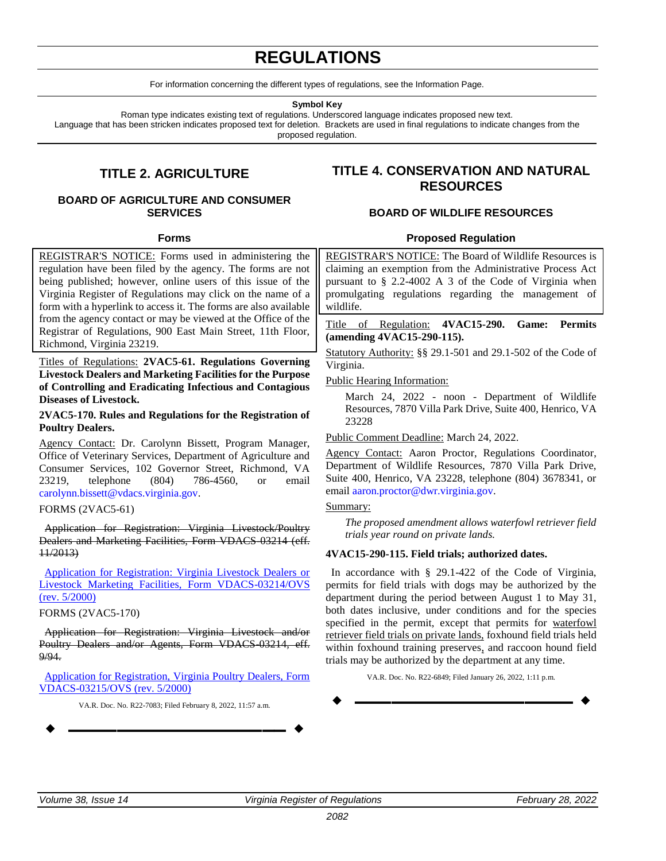# **REGULATIONS**

For information concerning the different types of regulations, see the Information Page.

**Symbol Key**

Roman type indicates existing text of regulations. Underscored language indicates proposed new text.

<span id="page-6-0"></span>Language that has been stricken indicates proposed text for deletion. Brackets are used in final regulations to indicate changes from the proposed regulation.

## **TITLE 2. AGRICULTURE**

### **BOARD OF AGRICULTURE AND CONSUMER SERVICES**

### **Forms**

REGISTRAR'S NOTICE: Forms used in administering the regulation have been filed by the agency. The forms are not being published; however, online users of this issue of the Virginia Register of Regulations may click on the name of a form with a hyperlink to access it. The forms are also available from the agency contact or may be viewed at the Office of the Registrar of Regulations, 900 East Main Street, 11th Floor, Richmond, Virginia 23219.

Titles of Regulations: **2VAC5-61. Regulations Governing Livestock Dealers and Marketing Facilities for the Purpose of Controlling and Eradicating Infectious and Contagious Diseases of Livestock.**

### **2VAC5-170. Rules and Regulations for the Registration of Poultry Dealers.**

Agency Contact: Dr. Carolynn Bissett, Program Manager, Office of Veterinary Services, Department of Agriculture and Consumer Services, 102 Governor Street, Richmond, VA 23219, telephone (804) 786-4560, or email [carolynn.bissett@vdacs.virginia.gov.](mailto:carolynn.bissett@vdacs.virginia.gov)

### FORMS (2VAC5-61)

Application for Registration: Virginia Livestock/Poultry Dealers and Marketing Facilities, Form VDACS-03214 (eff. 11/2013)

[Application for Registration: Virginia Livestock Dealers or](https://ris.dls.virginia.gov/uploads/2VAC5/forms/Livestock%20Dealer%20Application%205.20-20220131125031-20220208155000.pdf)  [Livestock Marketing Facilities, Form VDACS-03214/OVS](https://ris.dls.virginia.gov/uploads/2VAC5/forms/Livestock%20Dealer%20Application%205.20-20220131125031-20220208155000.pdf)  [\(rev. 5/2000\)](https://ris.dls.virginia.gov/uploads/2VAC5/forms/Livestock%20Dealer%20Application%205.20-20220131125031-20220208155000.pdf)

FORMS (2VAC5-170)

Application for Registration: Virginia Livestock and/or Poultry Dealers and/or Agents, Form VDACS-03214, eff. 9/94.

[Application for Registration, Virginia Poultry Dealers, Form](https://ris.dls.virginia.gov/uploads/2VAC5/forms/Poultry%20Dealer%20Application%205.20-20220131125102-20220208155200.pdf)  [VDACS-03215/OVS \(rev. 5/2000\)](https://ris.dls.virginia.gov/uploads/2VAC5/forms/Poultry%20Dealer%20Application%205.20-20220131125102-20220208155200.pdf)

VA.R. Doc. No. R22-7083; Filed February 8, 2022, 11:57 a.m.

**––––––––––––––––––**

### **TITLE 4. CONSERVATION AND NATURAL RESOURCES**

### **BOARD OF WILDLIFE RESOURCES**

### **Proposed Regulation**

REGISTRAR'S NOTICE: The Board of Wildlife Resources is claiming an exemption from the Administrative Process Act pursuant to § 2.2-4002 A 3 of the Code of Virginia when promulgating regulations regarding the management of wildlife.

Title of Regulation: **4VAC15-290. Game: Permits (amending 4VAC15-290-115).**

Statutory Authority: §§ 29.1-501 and 29.1-502 of the Code of Virginia.

Public Hearing Information:

March 24, 2022 - noon - Department of Wildlife Resources, 7870 Villa Park Drive, Suite 400, Henrico, VA 23228

Public Comment Deadline: March 24, 2022.

Agency Contact: Aaron Proctor, Regulations Coordinator, Department of Wildlife Resources, 7870 Villa Park Drive, Suite 400, Henrico, VA 23228, telephone (804) 3678341, or email [aaron.proctor@dwr.virginia.gov.](mailto:aaron.proctor@dwr.virginia.gov)

### Summary:

*The proposed amendment allows waterfowl retriever field trials year round on private lands.*

### **4VAC15-290-115. Field trials; authorized dates.**

In accordance with § 29.1-422 of the Code of Virginia, permits for field trials with dogs may be authorized by the department during the period between August 1 to May 31, both dates inclusive, under conditions and for the species specified in the permit, except that permits for waterfowl retriever field trials on private lands, foxhound field trials held within foxhound training preserves, and raccoon hound field trials may be authorized by the department at any time.

VA.R. Doc. No. R22-6849; Filed January 26, 2022, 1:11 p.m.

**––––––––––––––––––**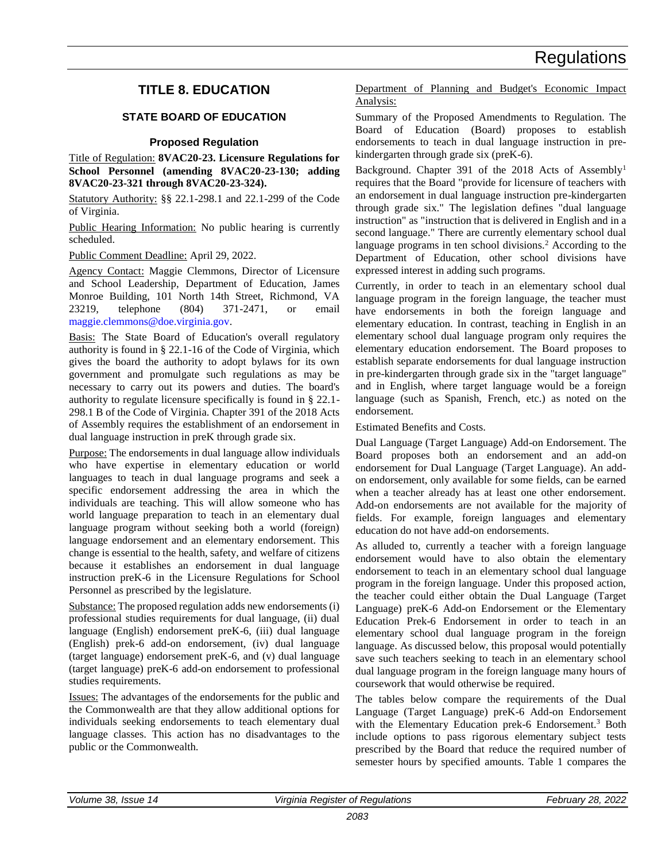### <span id="page-7-0"></span>**TITLE 8. EDUCATION**

### **STATE BOARD OF EDUCATION**

### **Proposed Regulation**

Title of Regulation: **8VAC20-23. Licensure Regulations for School Personnel (amending 8VAC20-23-130; adding 8VAC20-23-321 through 8VAC20-23-324).**

Statutory Authority: §§ 22.1-298.1 and 22.1-299 of the Code of Virginia.

Public Hearing Information: No public hearing is currently scheduled.

Public Comment Deadline: April 29, 2022.

Agency Contact: Maggie Clemmons, Director of Licensure and School Leadership, Department of Education, James Monroe Building, 101 North 14th Street, Richmond, VA 23219, telephone (804) 371-2471, or email [maggie.clemmons@doe.virginia.gov.](mailto:maggie.clemmons@doe.virginia.gov)

Basis: The State Board of Education's overall regulatory authority is found in § 22.1-16 of the Code of Virginia, which gives the board the authority to adopt bylaws for its own government and promulgate such regulations as may be necessary to carry out its powers and duties. The board's authority to regulate licensure specifically is found in § 22.1- 298.1 B of the Code of Virginia. Chapter 391 of the 2018 Acts of Assembly requires the establishment of an endorsement in dual language instruction in preK through grade six.

Purpose: The endorsements in dual language allow individuals who have expertise in elementary education or world languages to teach in dual language programs and seek a specific endorsement addressing the area in which the individuals are teaching. This will allow someone who has world language preparation to teach in an elementary dual language program without seeking both a world (foreign) language endorsement and an elementary endorsement. This change is essential to the health, safety, and welfare of citizens because it establishes an endorsement in dual language instruction preK-6 in the Licensure Regulations for School Personnel as prescribed by the legislature*.*

Substance: The proposed regulation adds new endorsements (i) professional studies requirements for dual language, (ii) dual language (English) endorsement preK-6, (iii) dual language (English) prek-6 add-on endorsement, (iv) dual language (target language) endorsement preK-6, and (v) dual language (target language) preK-6 add-on endorsement to professional studies requirements.

Issues: The advantages of the endorsements for the public and the Commonwealth are that they allow additional options for individuals seeking endorsements to teach elementary dual language classes. This action has no disadvantages to the public or the Commonwealth.

Department of Planning and Budget's Economic Impact Analysis:

Summary of the Proposed Amendments to Regulation. The Board of Education (Board) proposes to establish endorsements to teach in dual language instruction in prekindergarten through grade six (preK-6).

Background. Chapter 391 of the 2018 Acts of Assembly<sup>1</sup> requires that the Board "provide for licensure of teachers with an endorsement in dual language instruction pre-kindergarten through grade six." The legislation defines "dual language instruction" as "instruction that is delivered in English and in a second language." There are currently elementary school dual language programs in ten school divisions.<sup>2</sup> According to the Department of Education, other school divisions have expressed interest in adding such programs.

Currently, in order to teach in an elementary school dual language program in the foreign language, the teacher must have endorsements in both the foreign language and elementary education. In contrast, teaching in English in an elementary school dual language program only requires the elementary education endorsement. The Board proposes to establish separate endorsements for dual language instruction in pre-kindergarten through grade six in the "target language" and in English, where target language would be a foreign language (such as Spanish, French, etc.) as noted on the endorsement.

Estimated Benefits and Costs.

Dual Language (Target Language) Add-on Endorsement. The Board proposes both an endorsement and an add-on endorsement for Dual Language (Target Language). An addon endorsement, only available for some fields, can be earned when a teacher already has at least one other endorsement. Add-on endorsements are not available for the majority of fields. For example, foreign languages and elementary education do not have add-on endorsements.

As alluded to, currently a teacher with a foreign language endorsement would have to also obtain the elementary endorsement to teach in an elementary school dual language program in the foreign language. Under this proposed action, the teacher could either obtain the Dual Language (Target Language) preK-6 Add-on Endorsement or the Elementary Education Prek-6 Endorsement in order to teach in an elementary school dual language program in the foreign language. As discussed below, this proposal would potentially save such teachers seeking to teach in an elementary school dual language program in the foreign language many hours of coursework that would otherwise be required.

The tables below compare the requirements of the Dual Language (Target Language) preK-6 Add-on Endorsement with the Elementary Education prek-6 Endorsement.<sup>3</sup> Both include options to pass rigorous elementary subject tests prescribed by the Board that reduce the required number of semester hours by specified amounts. Table 1 compares the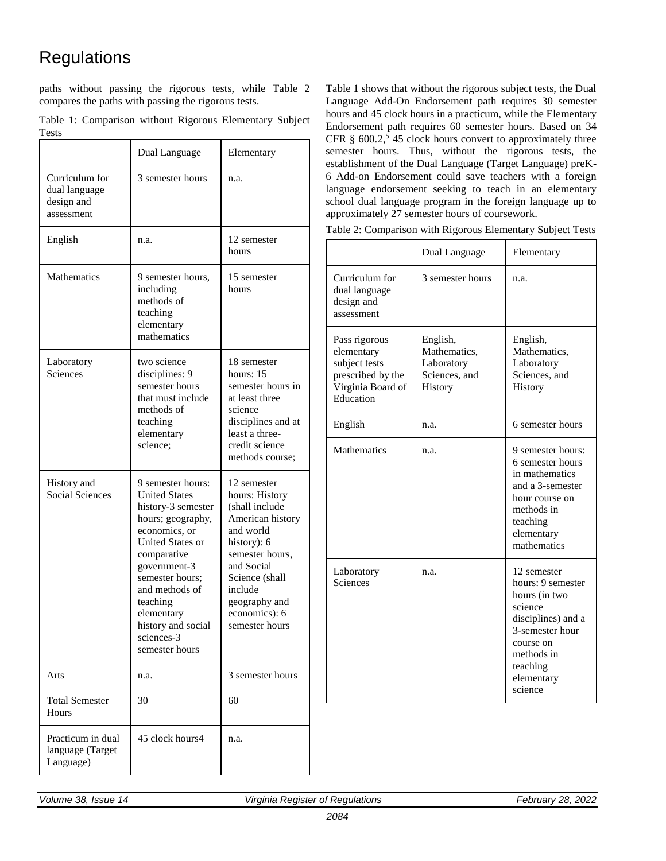paths without passing the rigorous tests, while Table 2 compares the paths with passing the rigorous tests.

|              | Table 1: Comparison without Rigorous Elementary Subject |  |  |
|--------------|---------------------------------------------------------|--|--|
| <b>Tests</b> |                                                         |  |  |

|                                                             | Dual Language                                                                                                                                                                                                                                                                 | Elementary                                                                                                                                                                                                        |
|-------------------------------------------------------------|-------------------------------------------------------------------------------------------------------------------------------------------------------------------------------------------------------------------------------------------------------------------------------|-------------------------------------------------------------------------------------------------------------------------------------------------------------------------------------------------------------------|
| Curriculum for<br>dual language<br>design and<br>assessment | 3 semester hours                                                                                                                                                                                                                                                              | n.a.                                                                                                                                                                                                              |
| English                                                     | n.a.                                                                                                                                                                                                                                                                          | 12 semester<br>hours                                                                                                                                                                                              |
| Mathematics                                                 | 9 semester hours,<br>including<br>methods of<br>teaching<br>elementary<br>mathematics                                                                                                                                                                                         | 15 semester<br>hours                                                                                                                                                                                              |
| Laboratory<br>Sciences                                      | two science<br>disciplines: 9<br>semester hours<br>that must include<br>methods of<br>teaching<br>elementary<br>science;                                                                                                                                                      | 18 semester<br>hours: $15$<br>semester hours in<br>at least three<br>science<br>disciplines and at<br>least a three-<br>credit science<br>methods course;                                                         |
| History and<br><b>Social Sciences</b>                       | 9 semester hours:<br><b>United States</b><br>history-3 semester<br>hours; geography,<br>economics, or<br>United States or<br>comparative<br>government-3<br>semester hours:<br>and methods of<br>teaching<br>elementary<br>history and social<br>sciences-3<br>semester hours | 12 semester<br>hours: History<br>(shall include<br>American history<br>and world<br>history): 6<br>semester hours,<br>and Social<br>Science (shall<br>include<br>geography and<br>economics): 6<br>semester hours |
| Arts                                                        | n.a.                                                                                                                                                                                                                                                                          | 3 semester hours                                                                                                                                                                                                  |
| <b>Total Semester</b><br>Hours                              | 30                                                                                                                                                                                                                                                                            | 60                                                                                                                                                                                                                |
| Practicum in dual<br>language (Target<br>Language)          | 45 clock hours4                                                                                                                                                                                                                                                               | n.a.                                                                                                                                                                                                              |

Table 1 shows that without the rigorous subject tests, the Dual Language Add-On Endorsement path requires 30 semester hours and 45 clock hours in a practicum, while the Elementary Endorsement path requires 60 semester hours. Based on 34 CFR  $\S$  600.2,<sup>5</sup> 45 clock hours convert to approximately three semester hours. Thus, without the rigorous tests, the establishment of the Dual Language (Target Language) preK-6 Add-on Endorsement could save teachers with a foreign language endorsement seeking to teach in an elementary school dual language program in the foreign language up to approximately 27 semester hours of coursework.

Table 2: Comparison with Rigorous Elementary Subject Tests

|                                                                                                     | Dual Language                                                      | Elementary                                                                                                                                                            |
|-----------------------------------------------------------------------------------------------------|--------------------------------------------------------------------|-----------------------------------------------------------------------------------------------------------------------------------------------------------------------|
| Curriculum for<br>dual language<br>design and<br>assessment                                         | 3 semester hours                                                   | n.a.                                                                                                                                                                  |
| Pass rigorous<br>elementary<br>subject tests<br>prescribed by the<br>Virginia Board of<br>Education | English,<br>Mathematics,<br>Laboratory<br>Sciences, and<br>History | English,<br>Mathematics,<br>Laboratory<br>Sciences, and<br>History                                                                                                    |
| English                                                                                             | n.a.                                                               | 6 semester hours                                                                                                                                                      |
| Mathematics                                                                                         | n.a.                                                               | 9 semester hours:<br>6 semester hours<br>in mathematics<br>and a 3-semester<br>hour course on<br>methods in<br>teaching<br>elementary<br>mathematics                  |
| Laboratory<br>Sciences                                                                              | n.a.                                                               | 12 semester<br>hours: 9 semester<br>hours (in two<br>science<br>disciplines) and a<br>3-semester hour<br>course on<br>methods in<br>teaching<br>elementary<br>science |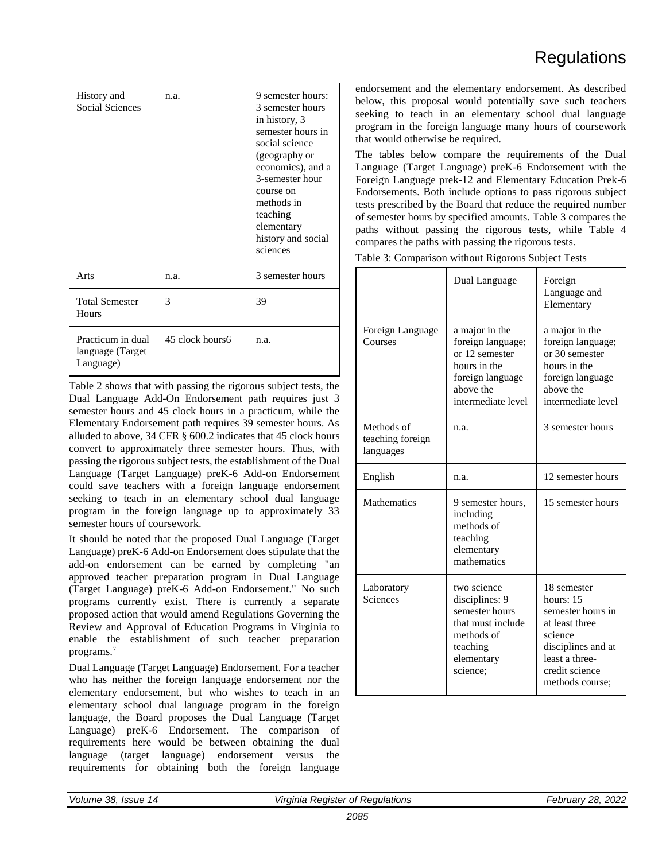| History and<br><b>Social Sciences</b>              | n.a.            | 9 semester hours:<br>3 semester hours<br>in history, 3<br>semester hours in<br>social science<br>(geography or<br>economics), and a<br>3-semester hour<br>course on<br>methods in<br>teaching<br>elementary<br>history and social<br>sciences |
|----------------------------------------------------|-----------------|-----------------------------------------------------------------------------------------------------------------------------------------------------------------------------------------------------------------------------------------------|
| Arts                                               | n.a.            | 3 semester hours                                                                                                                                                                                                                              |
| <b>Total Semester</b><br>Hours                     | 3               | 39                                                                                                                                                                                                                                            |
| Practicum in dual<br>language (Target<br>Language) | 45 clock hours6 | n.a.                                                                                                                                                                                                                                          |

Table 2 shows that with passing the rigorous subject tests, the Dual Language Add-On Endorsement path requires just 3 semester hours and 45 clock hours in a practicum, while the Elementary Endorsement path requires 39 semester hours. As alluded to above, 34 CFR § 600.2 indicates that 45 clock hours convert to approximately three semester hours. Thus, with passing the rigorous subject tests, the establishment of the Dual Language (Target Language) preK-6 Add-on Endorsement could save teachers with a foreign language endorsement seeking to teach in an elementary school dual language program in the foreign language up to approximately 33 semester hours of coursework.

It should be noted that the proposed Dual Language (Target Language) preK-6 Add-on Endorsement does stipulate that the add-on endorsement can be earned by completing "an approved teacher preparation program in Dual Language (Target Language) preK-6 Add-on Endorsement." No such programs currently exist. There is currently a separate proposed action that would amend Regulations Governing the Review and Approval of Education Programs in Virginia to enable the establishment of such teacher preparation programs.<sup>7</sup>

Dual Language (Target Language) Endorsement. For a teacher who has neither the foreign language endorsement nor the elementary endorsement, but who wishes to teach in an elementary school dual language program in the foreign language, the Board proposes the Dual Language (Target Language) preK-6 Endorsement. The comparison of requirements here would be between obtaining the dual language (target language) endorsement versus the requirements for obtaining both the foreign language

endorsement and the elementary endorsement. As described below, this proposal would potentially save such teachers seeking to teach in an elementary school dual language program in the foreign language many hours of coursework that would otherwise be required.

The tables below compare the requirements of the Dual Language (Target Language) preK-6 Endorsement with the Foreign Language prek-12 and Elementary Education Prek-6 Endorsements. Both include options to pass rigorous subject tests prescribed by the Board that reduce the required number of semester hours by specified amounts. Table 3 compares the paths without passing the rigorous tests, while Table 4 compares the paths with passing the rigorous tests.

Table 3: Comparison without Rigorous Subject Tests

|                                             | Dual Language                                                                                                                | Foreign<br>Language and<br>Elementary                                                                                                                     |
|---------------------------------------------|------------------------------------------------------------------------------------------------------------------------------|-----------------------------------------------------------------------------------------------------------------------------------------------------------|
| Foreign Language<br>Courses                 | a major in the<br>foreign language;<br>or 12 semester<br>hours in the<br>foreign language<br>above the<br>intermediate level | a major in the<br>foreign language;<br>or 30 semester<br>hours in the<br>foreign language<br>above the<br>intermediate level                              |
| Methods of<br>teaching foreign<br>languages | n.a.                                                                                                                         | 3 semester hours                                                                                                                                          |
| English                                     | n.a.                                                                                                                         | 12 semester hours                                                                                                                                         |
| Mathematics                                 | 9 semester hours,<br>including<br>methods of<br>teaching<br>elementary<br>mathematics                                        | 15 semester hours                                                                                                                                         |
| Laboratory<br>Sciences                      | two science<br>disciplines: 9<br>semester hours<br>that must include<br>methods of<br>teaching<br>elementary<br>science:     | 18 semester<br>hours: $15$<br>semester hours in<br>at least three<br>science<br>disciplines and at<br>least a three-<br>credit science<br>methods course; |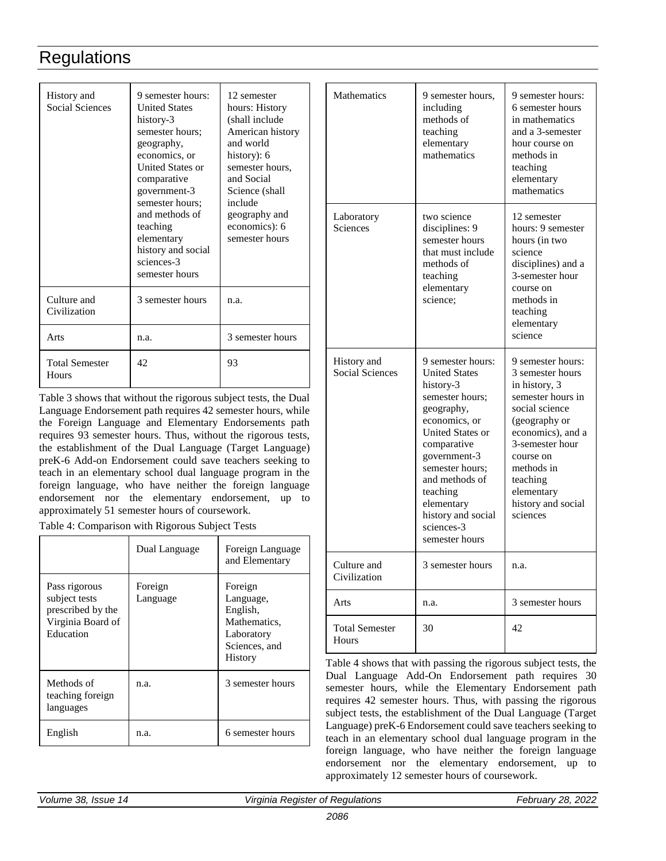| History and<br><b>Social Sciences</b> | 9 semester hours:<br><b>United States</b><br>history-3<br>semester hours;<br>geography,<br>economics, or<br>United States or<br>comparative<br>government-3<br>semester hours;<br>and methods of<br>teaching<br>elementary<br>history and social<br>sciences-3<br>semester hours | 12 semester<br>hours: History<br>(shall include<br>American history<br>and world<br>history): 6<br>semester hours,<br>and Social<br>Science (shall<br>include<br>geography and<br>economics): 6<br>semester hours |
|---------------------------------------|----------------------------------------------------------------------------------------------------------------------------------------------------------------------------------------------------------------------------------------------------------------------------------|-------------------------------------------------------------------------------------------------------------------------------------------------------------------------------------------------------------------|
| Culture and<br>Civilization           | 3 semester hours                                                                                                                                                                                                                                                                 | n.a.                                                                                                                                                                                                              |
| Arts                                  | n.a.                                                                                                                                                                                                                                                                             | 3 semester hours                                                                                                                                                                                                  |
| <b>Total Semester</b><br>Hours        | 42                                                                                                                                                                                                                                                                               | 93                                                                                                                                                                                                                |

Table 3 shows that without the rigorous subject tests, the Dual Language Endorsement path requires 42 semester hours, while the Foreign Language and Elementary Endorsements path requires 93 semester hours. Thus, without the rigorous tests, the establishment of the Dual Language (Target Language) preK-6 Add-on Endorsement could save teachers seeking to teach in an elementary school dual language program in the foreign language, who have neither the foreign language endorsement nor the elementary endorsement, up to approximately 51 semester hours of coursework.

Table 4: Comparison with Rigorous Subject Tests

|                                                                                       | Dual Language       | Foreign Language<br>and Elementary                                                                |
|---------------------------------------------------------------------------------------|---------------------|---------------------------------------------------------------------------------------------------|
| Pass rigorous<br>subject tests<br>prescribed by the<br>Virginia Board of<br>Education | Foreign<br>Language | Foreign<br>Language,<br>English,<br>Mathematics,<br>Laboratory<br>Sciences, and<br><b>History</b> |
| Methods of<br>teaching foreign<br>languages                                           | n.a.                | 3 semester hours                                                                                  |
| English                                                                               | n.a.                | 6 semester hours                                                                                  |

| <b>Mathematics</b>                    | 9 semester hours,<br>including<br>methods of<br>teaching<br>elementary<br>mathematics                                                                                                                                                                                            | 9 semester hours:<br>6 semester hours<br>in mathematics<br>and a 3-semester<br>hour course on<br>methods in<br>teaching<br>elementary<br>mathematics                                                                                          |
|---------------------------------------|----------------------------------------------------------------------------------------------------------------------------------------------------------------------------------------------------------------------------------------------------------------------------------|-----------------------------------------------------------------------------------------------------------------------------------------------------------------------------------------------------------------------------------------------|
| Laboratory<br>Sciences                | two science<br>disciplines: 9<br>semester hours<br>that must include<br>methods of<br>teaching<br>elementary<br>science;                                                                                                                                                         | 12 semester<br>hours: 9 semester<br>hours (in two<br>science<br>disciplines) and a<br>3-semester hour<br>course on<br>methods in<br>teaching<br>elementary<br>science                                                                         |
| History and<br><b>Social Sciences</b> | 9 semester hours:<br><b>United States</b><br>history-3<br>semester hours;<br>geography,<br>economics, or<br>United States or<br>comparative<br>government-3<br>semester hours;<br>and methods of<br>teaching<br>elementary<br>history and social<br>sciences-3<br>semester hours | 9 semester hours:<br>3 semester hours<br>in history, 3<br>semester hours in<br>social science<br>(geography or<br>economics), and a<br>3-semester hour<br>course on<br>methods in<br>teaching<br>elementary<br>history and social<br>sciences |
| Culture and<br>Civilization           | 3 semester hours                                                                                                                                                                                                                                                                 | n.a.                                                                                                                                                                                                                                          |
| Arts                                  | n.a.                                                                                                                                                                                                                                                                             | 3 semester hours                                                                                                                                                                                                                              |
| <b>Total Semester</b><br>Hours        | 30                                                                                                                                                                                                                                                                               | 42                                                                                                                                                                                                                                            |

Table 4 shows that with passing the rigorous subject tests, the Dual Language Add-On Endorsement path requires 30 semester hours, while the Elementary Endorsement path requires 42 semester hours. Thus, with passing the rigorous subject tests, the establishment of the Dual Language (Target Language) preK-6 Endorsement could save teachers seeking to teach in an elementary school dual language program in the foreign language, who have neither the foreign language endorsement nor the elementary endorsement, up to approximately 12 semester hours of coursework.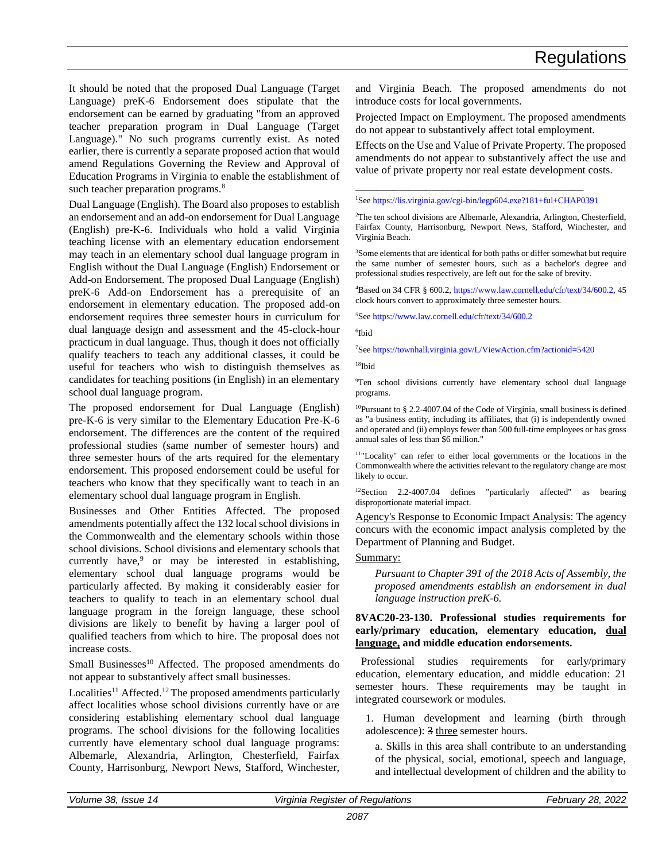It should be noted that the proposed Dual Language (Target Language) preK-6 Endorsement does stipulate that the endorsement can be earned by graduating "from an approved teacher preparation program in Dual Language (Target Language)." No such programs currently exist. As noted earlier, there is currently a separate proposed action that would amend Regulations Governing the Review and Approval of Education Programs in Virginia to enable the establishment of such teacher preparation programs.<sup>8</sup>

Dual Language (English). The Board also proposes to establish an endorsement and an add-on endorsement for Dual Language (English) pre-K-6. Individuals who hold a valid Virginia teaching license with an elementary education endorsement may teach in an elementary school dual language program in English without the Dual Language (English) Endorsement or Add-on Endorsement. The proposed Dual Language (English) preK-6 Add-on Endorsement has a prerequisite of an endorsement in elementary education. The proposed add-on endorsement requires three semester hours in curriculum for dual language design and assessment and the 45-clock-hour practicum in dual language. Thus, though it does not officially qualify teachers to teach any additional classes, it could be useful for teachers who wish to distinguish themselves as candidates for teaching positions (in English) in an elementary school dual language program.

The proposed endorsement for Dual Language (English) pre-K-6 is very similar to the Elementary Education Pre-K-6 endorsement. The differences are the content of the required professional studies (same number of semester hours) and three semester hours of the arts required for the elementary endorsement. This proposed endorsement could be useful for teachers who know that they specifically want to teach in an elementary school dual language program in English.

Businesses and Other Entities Affected. The proposed amendments potentially affect the 132 local school divisions in the Commonwealth and the elementary schools within those school divisions. School divisions and elementary schools that currently have,<sup>9</sup> or may be interested in establishing, elementary school dual language programs would be particularly affected. By making it considerably easier for teachers to qualify to teach in an elementary school dual language program in the foreign language, these school divisions are likely to benefit by having a larger pool of qualified teachers from which to hire. The proposal does not increase costs.

Small Businesses<sup>10</sup> Affected. The proposed amendments do not appear to substantively affect small businesses.

Localities<sup>11</sup> Affected.<sup>12</sup> The proposed amendments particularly affect localities whose school divisions currently have or are considering establishing elementary school dual language programs. The school divisions for the following localities currently have elementary school dual language programs: Albemarle, Alexandria, Arlington, Chesterfield, Fairfax County, Harrisonburg, Newport News, Stafford, Winchester, and Virginia Beach. The proposed amendments do not introduce costs for local governments.

Projected Impact on Employment. The proposed amendments do not appear to substantively affect total employment.

Effects on the Use and Value of Private Property. The proposed amendments do not appear to substantively affect the use and value of private property nor real estate development costs.

### \_\_\_\_\_\_\_\_\_\_\_\_\_\_\_\_\_\_\_\_\_\_\_\_\_\_\_\_\_\_\_\_\_\_\_\_\_\_\_\_\_\_ <sup>1</sup>See [https://lis.virginia.gov/cgi-bin/legp604.exe?181+ful+CHAP0391](https://lis.virginia.gov/cgi-bin/legp604.exe?181%20ful%20CHAP0391)

<sup>2</sup>The ten school divisions are Albemarle, Alexandria, Arlington, Chesterfield, Fairfax County, Harrisonburg, Newport News, Stafford, Winchester, and Virginia Beach.

<sup>3</sup>Some elements that are identical for both paths or differ somewhat but require the same number of semester hours, such as a bachelor's degree and professional studies respectively, are left out for the sake of brevity.

<sup>4</sup>Based on 34 CFR § 600.2[, https://www.law.cornell.edu/cfr/text/34/600.2,](https://www.law.cornell.edu/cfr/text/34/600.2) 45 clock hours convert to approximately three semester hours.

<sup>5</sup>See<https://www.law.cornell.edu/cfr/text/34/600.2>

6 Ibid

<sup>7</sup>See<https://townhall.virginia.gov/L/ViewAction.cfm?actionid=5420>

<sup>18</sup>Ibid

<sup>9</sup>Ten school divisions currently have elementary school dual language programs.

<sup>10</sup>Pursuant to § 2.2-4007.04 of the Code of Virginia, small business is defined as "a business entity, including its affiliates, that (i) is independently owned and operated and (ii) employs fewer than 500 full-time employees or has gross annual sales of less than \$6 million."

<sup>11</sup>"Locality" can refer to either local governments or the locations in the Commonwealth where the activities relevant to the regulatory change are most likely to occur.

<sup>12</sup>Section 2.2-4007.04 defines "particularly affected" as bearing disproportionate material impact.

Agency's Response to Economic Impact Analysis: The agency concurs with the economic impact analysis completed by the Department of Planning and Budget.

### Summary:

*Pursuant to Chapter 391 of the 2018 Acts of Assembly, the proposed amendments establish an endorsement in dual language instruction preK-6.*

### **8VAC20-23-130. Professional studies requirements for early/primary education, elementary education, dual language, and middle education endorsements.**

Professional studies requirements for early/primary education, elementary education, and middle education: 21 semester hours. These requirements may be taught in integrated coursework or modules.

1. Human development and learning (birth through adolescence): 3 three semester hours.

a. Skills in this area shall contribute to an understanding of the physical, social, emotional, speech and language, and intellectual development of children and the ability to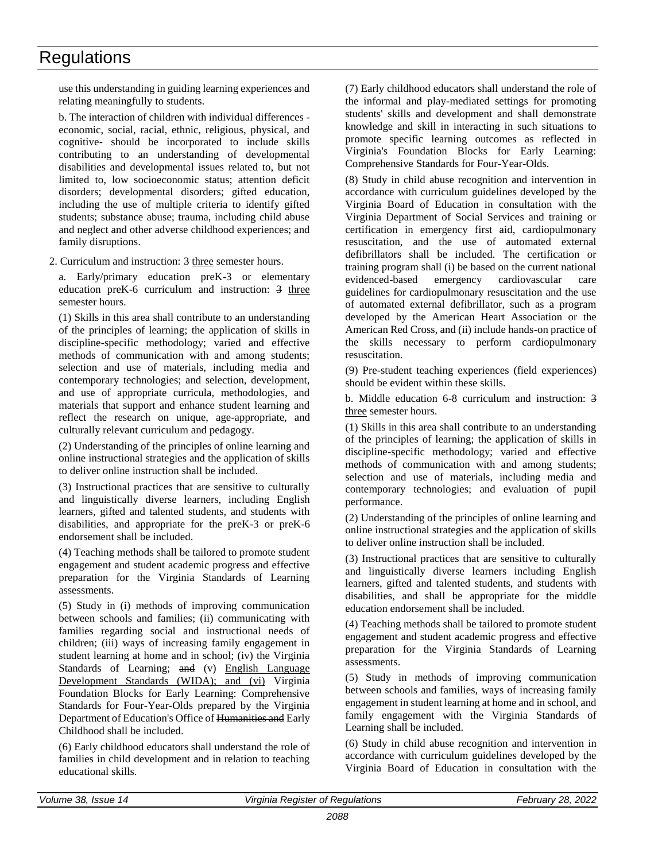use this understanding in guiding learning experiences and relating meaningfully to students.

b. The interaction of children with individual differences economic, social, racial, ethnic, religious, physical, and cognitive- should be incorporated to include skills contributing to an understanding of developmental disabilities and developmental issues related to, but not limited to, low socioeconomic status; attention deficit disorders; developmental disorders; gifted education, including the use of multiple criteria to identify gifted students; substance abuse; trauma, including child abuse and neglect and other adverse childhood experiences; and family disruptions.

2. Curriculum and instruction: 3 three semester hours.

a. Early/primary education preK-3 or elementary education preK-6 curriculum and instruction: 3 three semester hours.

(1) Skills in this area shall contribute to an understanding of the principles of learning; the application of skills in discipline-specific methodology; varied and effective methods of communication with and among students; selection and use of materials, including media and contemporary technologies; and selection, development, and use of appropriate curricula, methodologies, and materials that support and enhance student learning and reflect the research on unique, age-appropriate, and culturally relevant curriculum and pedagogy.

(2) Understanding of the principles of online learning and online instructional strategies and the application of skills to deliver online instruction shall be included.

(3) Instructional practices that are sensitive to culturally and linguistically diverse learners, including English learners, gifted and talented students, and students with disabilities, and appropriate for the preK-3 or preK-6 endorsement shall be included.

(4) Teaching methods shall be tailored to promote student engagement and student academic progress and effective preparation for the Virginia Standards of Learning assessments.

(5) Study in (i) methods of improving communication between schools and families; (ii) communicating with families regarding social and instructional needs of children; (iii) ways of increasing family engagement in student learning at home and in school; (iv) the Virginia Standards of Learning; and (v) English Language Development Standards (WIDA); and (vi) Virginia Foundation Blocks for Early Learning: Comprehensive Standards for Four-Year-Olds prepared by the Virginia Department of Education's Office of Humanities and Early Childhood shall be included.

(6) Early childhood educators shall understand the role of families in child development and in relation to teaching educational skills.

(7) Early childhood educators shall understand the role of the informal and play-mediated settings for promoting students' skills and development and shall demonstrate knowledge and skill in interacting in such situations to promote specific learning outcomes as reflected in Virginia's Foundation Blocks for Early Learning: Comprehensive Standards for Four-Year-Olds.

(8) Study in child abuse recognition and intervention in accordance with curriculum guidelines developed by the Virginia Board of Education in consultation with the Virginia Department of Social Services and training or certification in emergency first aid, cardiopulmonary resuscitation, and the use of automated external defibrillators shall be included. The certification or training program shall (i) be based on the current national evidenced-based emergency cardiovascular care guidelines for cardiopulmonary resuscitation and the use of automated external defibrillator, such as a program developed by the American Heart Association or the American Red Cross, and (ii) include hands-on practice of the skills necessary to perform cardiopulmonary resuscitation.

(9) Pre-student teaching experiences (field experiences) should be evident within these skills.

b. Middle education 6-8 curriculum and instruction: 3 three semester hours.

(1) Skills in this area shall contribute to an understanding of the principles of learning; the application of skills in discipline-specific methodology; varied and effective methods of communication with and among students; selection and use of materials, including media and contemporary technologies; and evaluation of pupil performance.

(2) Understanding of the principles of online learning and online instructional strategies and the application of skills to deliver online instruction shall be included.

(3) Instructional practices that are sensitive to culturally and linguistically diverse learners including English learners, gifted and talented students, and students with disabilities, and shall be appropriate for the middle education endorsement shall be included.

(4) Teaching methods shall be tailored to promote student engagement and student academic progress and effective preparation for the Virginia Standards of Learning assessments.

(5) Study in methods of improving communication between schools and families, ways of increasing family engagement in student learning at home and in school, and family engagement with the Virginia Standards of Learning shall be included.

(6) Study in child abuse recognition and intervention in accordance with curriculum guidelines developed by the Virginia Board of Education in consultation with the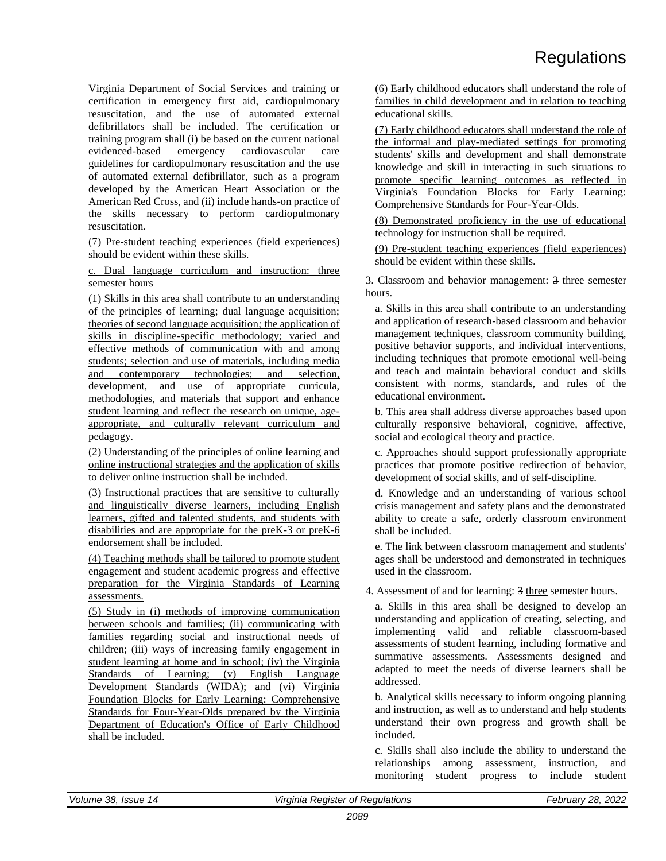Virginia Department of Social Services and training or certification in emergency first aid, cardiopulmonary resuscitation, and the use of automated external defibrillators shall be included. The certification or training program shall (i) be based on the current national evidenced-based emergency cardiovascular care guidelines for cardiopulmonary resuscitation and the use of automated external defibrillator, such as a program developed by the American Heart Association or the American Red Cross, and (ii) include hands-on practice of the skills necessary to perform cardiopulmonary resuscitation.

(7) Pre-student teaching experiences (field experiences) should be evident within these skills.

c. Dual language curriculum and instruction: three semester hours

(1) Skills in this area shall contribute to an understanding of the principles of learning; dual language acquisition; theories of second language acquisition*;* the application of skills in discipline-specific methodology; varied and effective methods of communication with and among students; selection and use of materials, including media and contemporary technologies; and selection, development, and use of appropriate curricula, methodologies, and materials that support and enhance student learning and reflect the research on unique, ageappropriate, and culturally relevant curriculum and pedagogy.

(2) Understanding of the principles of online learning and online instructional strategies and the application of skills to deliver online instruction shall be included.

(3) Instructional practices that are sensitive to culturally and linguistically diverse learners, including English learners, gifted and talented students, and students with disabilities and are appropriate for the preK-3 or preK-6 endorsement shall be included.

(4) Teaching methods shall be tailored to promote student engagement and student academic progress and effective preparation for the Virginia Standards of Learning assessments.

(5) Study in (i) methods of improving communication between schools and families; (ii) communicating with families regarding social and instructional needs of children; (iii) ways of increasing family engagement in student learning at home and in school; (iv) the Virginia Standards of Learning; (v) English Language Development Standards (WIDA); and (vi) Virginia Foundation Blocks for Early Learning: Comprehensive Standards for Four-Year-Olds prepared by the Virginia Department of Education's Office of Early Childhood shall be included.

(6) Early childhood educators shall understand the role of families in child development and in relation to teaching educational skills.

(7) Early childhood educators shall understand the role of the informal and play-mediated settings for promoting students' skills and development and shall demonstrate knowledge and skill in interacting in such situations to promote specific learning outcomes as reflected in Virginia's Foundation Blocks for Early Learning: Comprehensive Standards for Four-Year-Olds.

(8) Demonstrated proficiency in the use of educational technology for instruction shall be required.

(9) Pre-student teaching experiences (field experiences) should be evident within these skills.

3. Classroom and behavior management: 3 three semester hours.

a. Skills in this area shall contribute to an understanding and application of research-based classroom and behavior management techniques, classroom community building, positive behavior supports, and individual interventions, including techniques that promote emotional well-being and teach and maintain behavioral conduct and skills consistent with norms, standards, and rules of the educational environment.

b. This area shall address diverse approaches based upon culturally responsive behavioral, cognitive, affective, social and ecological theory and practice.

c. Approaches should support professionally appropriate practices that promote positive redirection of behavior, development of social skills, and of self-discipline.

d. Knowledge and an understanding of various school crisis management and safety plans and the demonstrated ability to create a safe, orderly classroom environment shall be included.

e. The link between classroom management and students' ages shall be understood and demonstrated in techniques used in the classroom.

4. Assessment of and for learning: 3 three semester hours.

a. Skills in this area shall be designed to develop an understanding and application of creating, selecting, and implementing valid and reliable classroom-based assessments of student learning, including formative and summative assessments. Assessments designed and adapted to meet the needs of diverse learners shall be addressed.

b. Analytical skills necessary to inform ongoing planning and instruction, as well as to understand and help students understand their own progress and growth shall be included.

c. Skills shall also include the ability to understand the relationships among assessment, instruction, and monitoring student progress to include student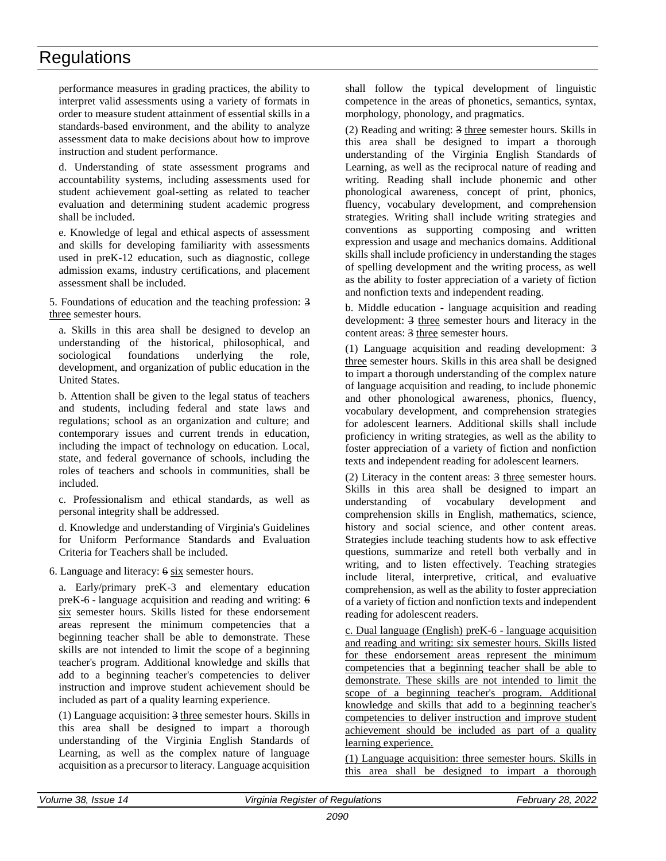performance measures in grading practices, the ability to interpret valid assessments using a variety of formats in order to measure student attainment of essential skills in a standards-based environment, and the ability to analyze assessment data to make decisions about how to improve instruction and student performance.

d. Understanding of state assessment programs and accountability systems, including assessments used for student achievement goal-setting as related to teacher evaluation and determining student academic progress shall be included.

e. Knowledge of legal and ethical aspects of assessment and skills for developing familiarity with assessments used in preK-12 education, such as diagnostic, college admission exams, industry certifications, and placement assessment shall be included.

5. Foundations of education and the teaching profession: 3 three semester hours.

a. Skills in this area shall be designed to develop an understanding of the historical, philosophical, and sociological foundations underlying the role, development, and organization of public education in the United States.

b. Attention shall be given to the legal status of teachers and students, including federal and state laws and regulations; school as an organization and culture; and contemporary issues and current trends in education, including the impact of technology on education. Local, state, and federal governance of schools, including the roles of teachers and schools in communities, shall be included.

c. Professionalism and ethical standards, as well as personal integrity shall be addressed.

d. Knowledge and understanding of Virginia's Guidelines for Uniform Performance Standards and Evaluation Criteria for Teachers shall be included.

6. Language and literacy: 6 six semester hours.

a. Early/primary preK-3 and elementary education preK-6 - language acquisition and reading and writing: 6 six semester hours. Skills listed for these endorsement areas represent the minimum competencies that a beginning teacher shall be able to demonstrate. These skills are not intended to limit the scope of a beginning teacher's program. Additional knowledge and skills that add to a beginning teacher's competencies to deliver instruction and improve student achievement should be included as part of a quality learning experience.

(1) Language acquisition: 3 three semester hours. Skills in this area shall be designed to impart a thorough understanding of the Virginia English Standards of Learning, as well as the complex nature of language acquisition as a precursor to literacy. Language acquisition

shall follow the typical development of linguistic competence in the areas of phonetics, semantics, syntax, morphology, phonology, and pragmatics.

(2) Reading and writing: 3 three semester hours. Skills in this area shall be designed to impart a thorough understanding of the Virginia English Standards of Learning, as well as the reciprocal nature of reading and writing. Reading shall include phonemic and other phonological awareness, concept of print, phonics, fluency, vocabulary development, and comprehension strategies. Writing shall include writing strategies and conventions as supporting composing and written expression and usage and mechanics domains. Additional skills shall include proficiency in understanding the stages of spelling development and the writing process, as well as the ability to foster appreciation of a variety of fiction and nonfiction texts and independent reading.

b. Middle education - language acquisition and reading development: 3 three semester hours and literacy in the content areas: 3 three semester hours.

(1) Language acquisition and reading development: 3 three semester hours. Skills in this area shall be designed to impart a thorough understanding of the complex nature of language acquisition and reading, to include phonemic and other phonological awareness, phonics, fluency, vocabulary development, and comprehension strategies for adolescent learners. Additional skills shall include proficiency in writing strategies, as well as the ability to foster appreciation of a variety of fiction and nonfiction texts and independent reading for adolescent learners.

(2) Literacy in the content areas: 3 three semester hours. Skills in this area shall be designed to impart an understanding of vocabulary development and comprehension skills in English, mathematics, science, history and social science, and other content areas. Strategies include teaching students how to ask effective questions, summarize and retell both verbally and in writing, and to listen effectively. Teaching strategies include literal, interpretive, critical, and evaluative comprehension, as well as the ability to foster appreciation of a variety of fiction and nonfiction texts and independent reading for adolescent readers.

c. Dual language (English) preK-6 - language acquisition and reading and writing: six semester hours. Skills listed for these endorsement areas represent the minimum competencies that a beginning teacher shall be able to demonstrate. These skills are not intended to limit the scope of a beginning teacher's program. Additional knowledge and skills that add to a beginning teacher's competencies to deliver instruction and improve student achievement should be included as part of a quality learning experience.

(1) Language acquisition: three semester hours. Skills in this area shall be designed to impart a thorough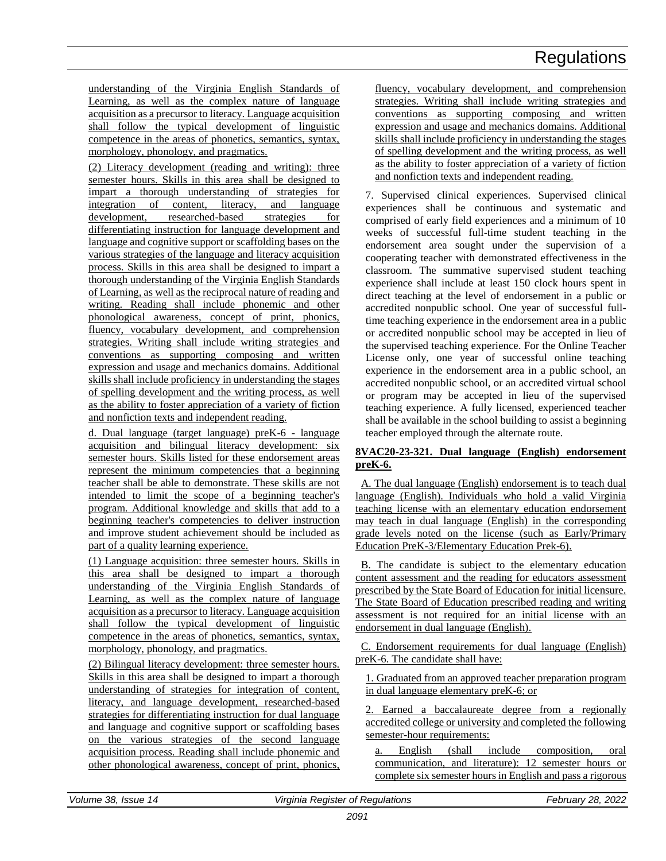understanding of the Virginia English Standards of Learning, as well as the complex nature of language acquisition as a precursor to literacy. Language acquisition shall follow the typical development of linguistic competence in the areas of phonetics, semantics, syntax, morphology, phonology, and pragmatics.

(2) Literacy development (reading and writing): three semester hours. Skills in this area shall be designed to impart a thorough understanding of strategies for integration of content, literacy, and language development, researched-based strategies for differentiating instruction for language development and language and cognitive support or scaffolding bases on the various strategies of the language and literacy acquisition process. Skills in this area shall be designed to impart a thorough understanding of the Virginia English Standards of Learning, as well as the reciprocal nature of reading and writing. Reading shall include phonemic and other phonological awareness, concept of print, phonics, fluency, vocabulary development, and comprehension strategies. Writing shall include writing strategies and conventions as supporting composing and written expression and usage and mechanics domains. Additional skills shall include proficiency in understanding the stages of spelling development and the writing process, as well as the ability to foster appreciation of a variety of fiction and nonfiction texts and independent reading.

d. Dual language (target language) preK-6 - language acquisition and bilingual literacy development: six semester hours. Skills listed for these endorsement areas represent the minimum competencies that a beginning teacher shall be able to demonstrate. These skills are not intended to limit the scope of a beginning teacher's program. Additional knowledge and skills that add to a beginning teacher's competencies to deliver instruction and improve student achievement should be included as part of a quality learning experience.

(1) Language acquisition: three semester hours. Skills in this area shall be designed to impart a thorough understanding of the Virginia English Standards of Learning, as well as the complex nature of language acquisition as a precursor to literacy. Language acquisition shall follow the typical development of linguistic competence in the areas of phonetics, semantics, syntax, morphology, phonology, and pragmatics.

(2) Bilingual literacy development: three semester hours. Skills in this area shall be designed to impart a thorough understanding of strategies for integration of content, literacy, and language development, researched-based strategies for differentiating instruction for dual language and language and cognitive support or scaffolding bases on the various strategies of the second language acquisition process. Reading shall include phonemic and other phonological awareness, concept of print, phonics,

fluency, vocabulary development, and comprehension strategies. Writing shall include writing strategies and conventions as supporting composing and written expression and usage and mechanics domains. Additional skills shall include proficiency in understanding the stages of spelling development and the writing process, as well as the ability to foster appreciation of a variety of fiction and nonfiction texts and independent reading.

7. Supervised clinical experiences. Supervised clinical experiences shall be continuous and systematic and comprised of early field experiences and a minimum of 10 weeks of successful full-time student teaching in the endorsement area sought under the supervision of a cooperating teacher with demonstrated effectiveness in the classroom. The summative supervised student teaching experience shall include at least 150 clock hours spent in direct teaching at the level of endorsement in a public or accredited nonpublic school. One year of successful fulltime teaching experience in the endorsement area in a public or accredited nonpublic school may be accepted in lieu of the supervised teaching experience. For the Online Teacher License only, one year of successful online teaching experience in the endorsement area in a public school, an accredited nonpublic school, or an accredited virtual school or program may be accepted in lieu of the supervised teaching experience. A fully licensed, experienced teacher shall be available in the school building to assist a beginning teacher employed through the alternate route.

### **8VAC20-23-321. Dual language (English) endorsement preK-6.**

A. The dual language (English) endorsement is to teach dual language (English). Individuals who hold a valid Virginia teaching license with an elementary education endorsement may teach in dual language (English) in the corresponding grade levels noted on the license (such as Early/Primary Education PreK-3/Elementary Education Prek-6).

B. The candidate is subject to the elementary education content assessment and the reading for educators assessment prescribed by the State Board of Education for initial licensure. The State Board of Education prescribed reading and writing assessment is not required for an initial license with an endorsement in dual language (English).

C. Endorsement requirements for dual language (English) preK-6. The candidate shall have:

1. Graduated from an approved teacher preparation program in dual language elementary preK-6; or

2. Earned a baccalaureate degree from a regionally accredited college or university and completed the following semester-hour requirements:

a. English (shall include composition, oral communication, and literature): 12 semester hours or complete six semester hours in English and pass a rigorous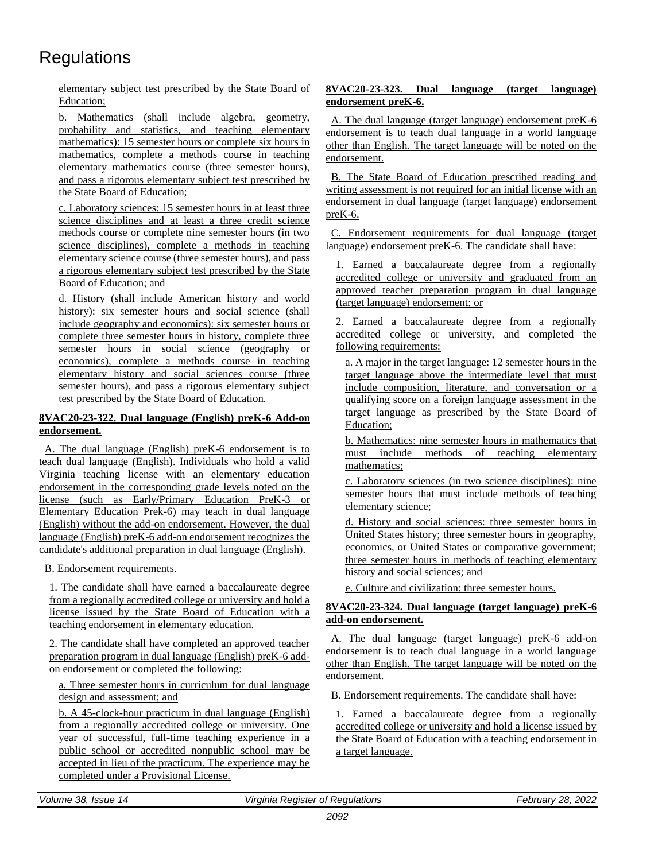elementary subject test prescribed by the State Board of Education;

b. Mathematics (shall include algebra, geometry, probability and statistics, and teaching elementary mathematics): 15 semester hours or complete six hours in mathematics, complete a methods course in teaching elementary mathematics course (three semester hours), and pass a rigorous elementary subject test prescribed by the State Board of Education;

c. Laboratory sciences: 15 semester hours in at least three science disciplines and at least a three credit science methods course or complete nine semester hours (in two science disciplines), complete a methods in teaching elementary science course (three semester hours), and pass a rigorous elementary subject test prescribed by the State Board of Education; and

d. History (shall include American history and world history): six semester hours and social science (shall include geography and economics): six semester hours or complete three semester hours in history, complete three semester hours in social science (geography or economics), complete a methods course in teaching elementary history and social sciences course (three semester hours), and pass a rigorous elementary subject test prescribed by the State Board of Education.

### **8VAC20-23-322. Dual language (English) preK-6 Add-on endorsement.**

A. The dual language (English) preK-6 endorsement is to teach dual language (English). Individuals who hold a valid Virginia teaching license with an elementary education endorsement in the corresponding grade levels noted on the license (such as Early/Primary Education PreK-3 or Elementary Education Prek-6) may teach in dual language (English) without the add-on endorsement. However, the dual language (English) preK-6 add-on endorsement recognizes the candidate's additional preparation in dual language (English).

B. Endorsement requirements.

1. The candidate shall have earned a baccalaureate degree from a regionally accredited college or university and hold a license issued by the State Board of Education with a teaching endorsement in elementary education.

2. The candidate shall have completed an approved teacher preparation program in dual language (English) preK-6 addon endorsement or completed the following:

a. Three semester hours in curriculum for dual language design and assessment; and

b. A 45-clock-hour practicum in dual language (English) from a regionally accredited college or university. One year of successful, full-time teaching experience in a public school or accredited nonpublic school may be accepted in lieu of the practicum. The experience may be completed under a Provisional License.

### **8VAC20-23-323. Dual language (target language) endorsement preK-6.**

A. The dual language (target language) endorsement preK-6 endorsement is to teach dual language in a world language other than English. The target language will be noted on the endorsement.

B. The State Board of Education prescribed reading and writing assessment is not required for an initial license with an endorsement in dual language (target language) endorsement preK-6.

C. Endorsement requirements for dual language (target language) endorsement preK-6. The candidate shall have:

Earned a baccalaureate degree from a regionally accredited college or university and graduated from an approved teacher preparation program in dual language (target language) endorsement; or

2. Earned a baccalaureate degree from a regionally accredited college or university, and completed the following requirements:

a. A major in the target language: 12 semester hours in the target language above the intermediate level that must include composition, literature, and conversation or a qualifying score on a foreign language assessment in the target language as prescribed by the State Board of Education;

b. Mathematics: nine semester hours in mathematics that must include methods of teaching elementary mathematics;

c. Laboratory sciences (in two science disciplines): nine semester hours that must include methods of teaching elementary science;

d. History and social sciences: three semester hours in United States history; three semester hours in geography, economics, or United States or comparative government; three semester hours in methods of teaching elementary history and social sciences; and

e. Culture and civilization: three semester hours.

### **8VAC20-23-324. Dual language (target language) preK-6 add-on endorsement.**

A. The dual language (target language) preK-6 add-on endorsement is to teach dual language in a world language other than English. The target language will be noted on the endorsement.

B. Endorsement requirements. The candidate shall have:

1. Earned a baccalaureate degree from a regionally accredited college or university and hold a license issued by the State Board of Education with a teaching endorsement in a target language.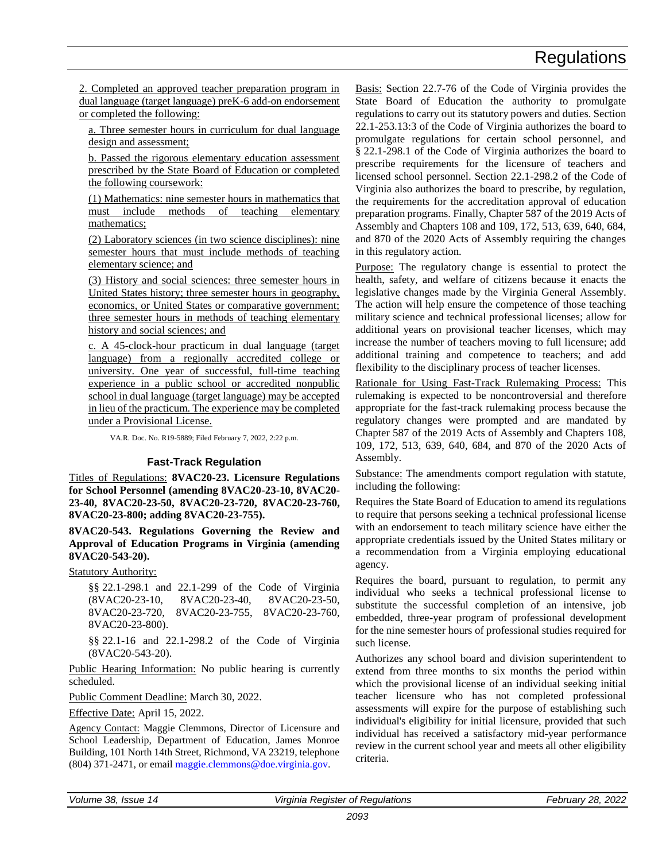<span id="page-17-0"></span>2. Completed an approved teacher preparation program in dual language (target language) preK-6 add-on endorsement or completed the following:

a. Three semester hours in curriculum for dual language design and assessment;

b. Passed the rigorous elementary education assessment prescribed by the State Board of Education or completed the following coursework:

(1) Mathematics: nine semester hours in mathematics that must include methods of teaching elementary mathematics;

(2) Laboratory sciences (in two science disciplines): nine semester hours that must include methods of teaching elementary science; and

(3) History and social sciences: three semester hours in United States history; three semester hours in geography, economics, or United States or comparative government; three semester hours in methods of teaching elementary history and social sciences; and

c. A 45-clock-hour practicum in dual language (target language) from a regionally accredited college or university. One year of successful, full-time teaching experience in a public school or accredited nonpublic school in dual language (target language) may be accepted in lieu of the practicum. The experience may be completed under a Provisional License.

VA.R. Doc. No. R19-5889; Filed February 7, 2022, 2:22 p.m.

### **Fast-Track Regulation**

Titles of Regulations: **8VAC20-23. Licensure Regulations for School Personnel (amending 8VAC20-23-10, 8VAC20- 23-40, 8VAC20-23-50, 8VAC20-23-720, 8VAC20-23-760, 8VAC20-23-800; adding 8VAC20-23-755).**

**8VAC20-543. Regulations Governing the Review and Approval of Education Programs in Virginia (amending 8VAC20-543-20).**

### **Statutory Authority:**

§§ 22.1-298.1 and 22.1-299 of the Code of Virginia (8VAC20-23-10, 8VAC20-23-40, 8VAC20-23-50, 8VAC20-23-720, 8VAC20-23-755, 8VAC20-23-760, 8VAC20-23-800).

§§ 22.1-16 and 22.1-298.2 of the Code of Virginia (8VAC20-543-20).

Public Hearing Information: No public hearing is currently scheduled.

Public Comment Deadline: March 30, 2022.

Effective Date: April 15, 2022.

Agency Contact: Maggie Clemmons, Director of Licensure and School Leadership, Department of Education, James Monroe Building, 101 North 14th Street, Richmond, VA 23219, telephone (804) 371-2471, or email [maggie.clemmons@doe.virginia.gov.](mailto:maggie.clemmons@doe.virginia.gov)

Basis: Section 22.7-76 of the Code of Virginia provides the State Board of Education the authority to promulgate regulations to carry out its statutory powers and duties. Section 22.1-253.13:3 of the Code of Virginia authorizes the board to promulgate regulations for certain school personnel, and § 22.1-298.1 of the Code of Virginia authorizes the board to prescribe requirements for the licensure of teachers and licensed school personnel. Section 22.1-298.2 of the Code of Virginia also authorizes the board to prescribe, by regulation, the requirements for the accreditation approval of education preparation programs. Finally, Chapter 587 of the 2019 Acts of Assembly and Chapters 108 and 109, 172, 513, 639, 640, 684, and 870 of the 2020 Acts of Assembly requiring the changes in this regulatory action.

Purpose: The regulatory change is essential to protect the health, safety, and welfare of citizens because it enacts the legislative changes made by the Virginia General Assembly. The action will help ensure the competence of those teaching military science and technical professional licenses; allow for additional years on provisional teacher licenses, which may increase the number of teachers moving to full licensure; add additional training and competence to teachers; and add flexibility to the disciplinary process of teacher licenses.

Rationale for Using Fast-Track Rulemaking Process: This rulemaking is expected to be noncontroversial and therefore appropriate for the fast-track rulemaking process because the regulatory changes were prompted and are mandated by Chapter 587 of the 2019 Acts of Assembly and Chapters 108, 109, 172, 513, 639, 640, 684, and 870 of the 2020 Acts of Assembly.

Substance: The amendments comport regulation with statute, including the following:

Requires the State Board of Education to amend its regulations to require that persons seeking a technical professional license with an endorsement to teach military science have either the appropriate credentials issued by the United States military or a recommendation from a Virginia employing educational agency.

Requires the board, pursuant to regulation, to permit any individual who seeks a technical professional license to substitute the successful completion of an intensive, job embedded, three-year program of professional development for the nine semester hours of professional studies required for such license.

Authorizes any school board and division superintendent to extend from three months to six months the period within which the provisional license of an individual seeking initial teacher licensure who has not completed professional assessments will expire for the purpose of establishing such individual's eligibility for initial licensure, provided that such individual has received a satisfactory mid-year performance review in the current school year and meets all other eligibility criteria.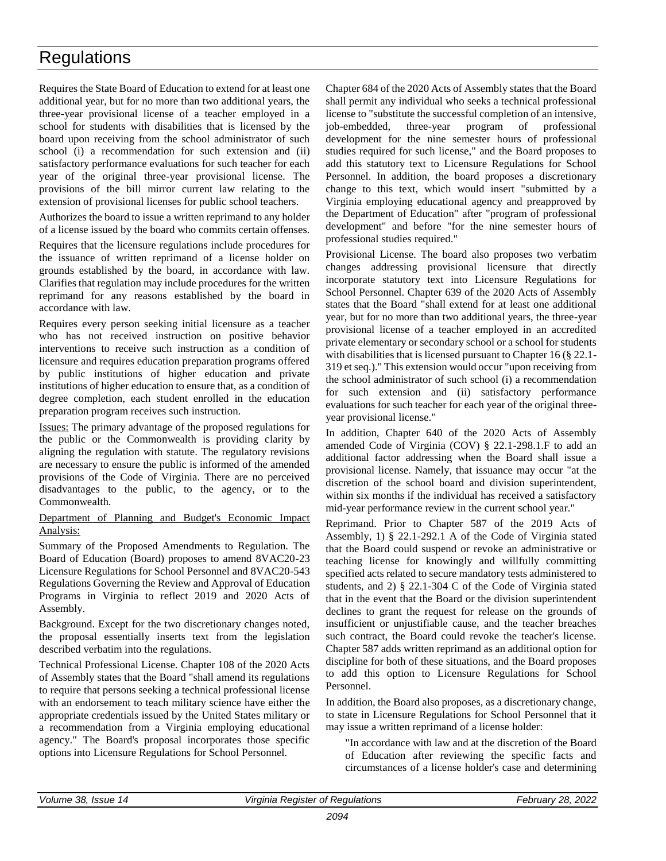Requires the State Board of Education to extend for at least one additional year, but for no more than two additional years, the three-year provisional license of a teacher employed in a school for students with disabilities that is licensed by the board upon receiving from the school administrator of such school (i) a recommendation for such extension and (ii) satisfactory performance evaluations for such teacher for each year of the original three-year provisional license. The provisions of the bill mirror current law relating to the extension of provisional licenses for public school teachers.

Authorizes the board to issue a written reprimand to any holder of a license issued by the board who commits certain offenses.

Requires that the licensure regulations include procedures for the issuance of written reprimand of a license holder on grounds established by the board, in accordance with law. Clarifies that regulation may include procedures for the written reprimand for any reasons established by the board in accordance with law.

Requires every person seeking initial licensure as a teacher who has not received instruction on positive behavior interventions to receive such instruction as a condition of licensure and requires education preparation programs offered by public institutions of higher education and private institutions of higher education to ensure that, as a condition of degree completion, each student enrolled in the education preparation program receives such instruction.

Issues: The primary advantage of the proposed regulations for the public or the Commonwealth is providing clarity by aligning the regulation with statute. The regulatory revisions are necessary to ensure the public is informed of the amended provisions of the Code of Virginia. There are no perceived disadvantages to the public, to the agency, or to the Commonwealth.

### Department of Planning and Budget's Economic Impact Analysis:

Summary of the Proposed Amendments to Regulation. The Board of Education (Board) proposes to amend 8VAC20-23 Licensure Regulations for School Personnel and 8VAC20-543 Regulations Governing the Review and Approval of Education Programs in Virginia to reflect 2019 and 2020 Acts of Assembly.

Background. Except for the two discretionary changes noted, the proposal essentially inserts text from the legislation described verbatim into the regulations.

Technical Professional License. Chapter 108 of the 2020 Acts of Assembly states that the Board "shall amend its regulations to require that persons seeking a technical professional license with an endorsement to teach military science have either the appropriate credentials issued by the United States military or a recommendation from a Virginia employing educational agency." The Board's proposal incorporates those specific options into Licensure Regulations for School Personnel.

Chapter 684 of the 2020 Acts of Assembly states that the Board shall permit any individual who seeks a technical professional license to "substitute the successful completion of an intensive, job-embedded, three-year program of professional development for the nine semester hours of professional studies required for such license," and the Board proposes to add this statutory text to Licensure Regulations for School Personnel. In addition, the board proposes a discretionary change to this text, which would insert "submitted by a Virginia employing educational agency and preapproved by the Department of Education" after "program of professional development" and before "for the nine semester hours of professional studies required."

Provisional License. The board also proposes two verbatim changes addressing provisional licensure that directly incorporate statutory text into Licensure Regulations for School Personnel. Chapter 639 of the 2020 Acts of Assembly states that the Board "shall extend for at least one additional year, but for no more than two additional years, the three-year provisional license of a teacher employed in an accredited private elementary or secondary school or a school for students with disabilities that is licensed pursuant to Chapter 16 (§ 22.1-319 et seq.)." This extension would occur "upon receiving from the school administrator of such school (i) a recommendation for such extension and (ii) satisfactory performance evaluations for such teacher for each year of the original threeyear provisional license."

In addition, Chapter 640 of the 2020 Acts of Assembly amended Code of Virginia (COV) § 22.1-298.1.F to add an additional factor addressing when the Board shall issue a provisional license. Namely, that issuance may occur "at the discretion of the school board and division superintendent, within six months if the individual has received a satisfactory mid-year performance review in the current school year."

Reprimand. Prior to Chapter 587 of the 2019 Acts of Assembly, 1) § 22.1-292.1 A of the Code of Virginia stated that the Board could suspend or revoke an administrative or teaching license for knowingly and willfully committing specified acts related to secure mandatory tests administered to students, and 2) § 22.1-304 C of the Code of Virginia stated that in the event that the Board or the division superintendent declines to grant the request for release on the grounds of insufficient or unjustifiable cause, and the teacher breaches such contract, the Board could revoke the teacher's license. Chapter 587 adds written reprimand as an additional option for discipline for both of these situations, and the Board proposes to add this option to Licensure Regulations for School Personnel.

In addition, the Board also proposes, as a discretionary change, to state in Licensure Regulations for School Personnel that it may issue a written reprimand of a license holder:

"In accordance with law and at the discretion of the Board of Education after reviewing the specific facts and circumstances of a license holder's case and determining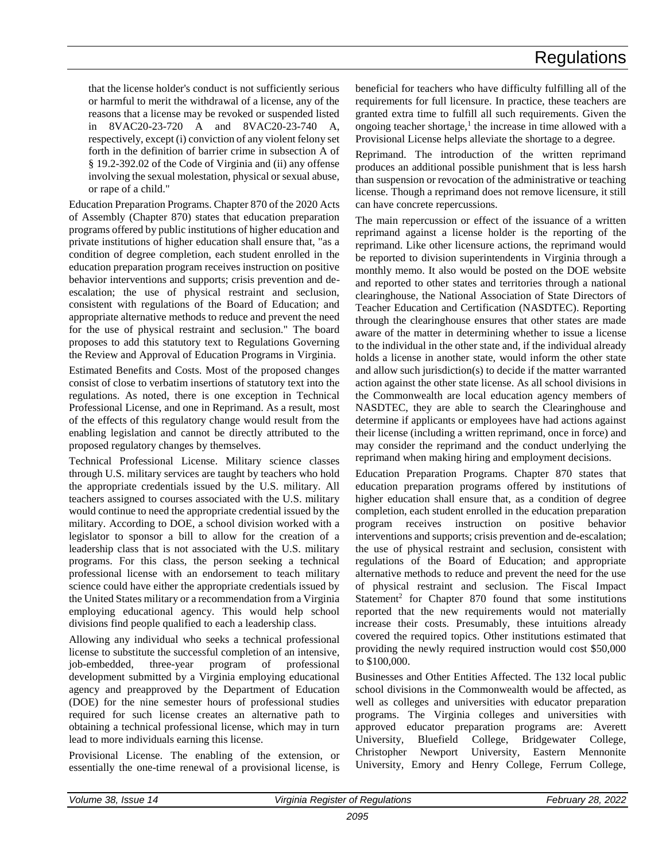that the license holder's conduct is not sufficiently serious or harmful to merit the withdrawal of a license, any of the reasons that a license may be revoked or suspended listed in 8VAC20-23-720 A and 8VAC20-23-740 A, respectively, except (i) conviction of any violent felony set forth in the definition of barrier crime in subsection A of § 19.2-392.02 of the Code of Virginia and (ii) any offense involving the sexual molestation, physical or sexual abuse, or rape of a child."

Education Preparation Programs. Chapter 870 of the 2020 Acts of Assembly (Chapter 870) states that education preparation programs offered by public institutions of higher education and private institutions of higher education shall ensure that, "as a condition of degree completion, each student enrolled in the education preparation program receives instruction on positive behavior interventions and supports; crisis prevention and deescalation; the use of physical restraint and seclusion, consistent with regulations of the Board of Education; and appropriate alternative methods to reduce and prevent the need for the use of physical restraint and seclusion." The board proposes to add this statutory text to Regulations Governing the Review and Approval of Education Programs in Virginia.

Estimated Benefits and Costs. Most of the proposed changes consist of close to verbatim insertions of statutory text into the regulations. As noted, there is one exception in Technical Professional License, and one in Reprimand. As a result, most of the effects of this regulatory change would result from the enabling legislation and cannot be directly attributed to the proposed regulatory changes by themselves.

Technical Professional License. Military science classes through U.S. military services are taught by teachers who hold the appropriate credentials issued by the U.S. military. All teachers assigned to courses associated with the U.S. military would continue to need the appropriate credential issued by the military. According to DOE, a school division worked with a legislator to sponsor a bill to allow for the creation of a leadership class that is not associated with the U.S. military programs. For this class, the person seeking a technical professional license with an endorsement to teach military science could have either the appropriate credentials issued by the United States military or a recommendation from a Virginia employing educational agency. This would help school divisions find people qualified to each a leadership class.

Allowing any individual who seeks a technical professional license to substitute the successful completion of an intensive, job-embedded, three-year program of professional development submitted by a Virginia employing educational agency and preapproved by the Department of Education (DOE) for the nine semester hours of professional studies required for such license creates an alternative path to obtaining a technical professional license, which may in turn lead to more individuals earning this license.

Provisional License. The enabling of the extension, or essentially the one-time renewal of a provisional license, is beneficial for teachers who have difficulty fulfilling all of the requirements for full licensure. In practice, these teachers are granted extra time to fulfill all such requirements. Given the ongoing teacher shortage,<sup>1</sup> the increase in time allowed with a Provisional License helps alleviate the shortage to a degree.

Reprimand. The introduction of the written reprimand produces an additional possible punishment that is less harsh than suspension or revocation of the administrative or teaching license. Though a reprimand does not remove licensure, it still can have concrete repercussions.

The main repercussion or effect of the issuance of a written reprimand against a license holder is the reporting of the reprimand. Like other licensure actions, the reprimand would be reported to division superintendents in Virginia through a monthly memo. It also would be posted on the DOE website and reported to other states and territories through a national clearinghouse, the National Association of State Directors of Teacher Education and Certification (NASDTEC). Reporting through the clearinghouse ensures that other states are made aware of the matter in determining whether to issue a license to the individual in the other state and, if the individual already holds a license in another state, would inform the other state and allow such jurisdiction(s) to decide if the matter warranted action against the other state license. As all school divisions in the Commonwealth are local education agency members of NASDTEC, they are able to search the Clearinghouse and determine if applicants or employees have had actions against their license (including a written reprimand, once in force) and may consider the reprimand and the conduct underlying the reprimand when making hiring and employment decisions.

Education Preparation Programs. Chapter 870 states that education preparation programs offered by institutions of higher education shall ensure that, as a condition of degree completion, each student enrolled in the education preparation program receives instruction on positive behavior interventions and supports; crisis prevention and de-escalation; the use of physical restraint and seclusion, consistent with regulations of the Board of Education; and appropriate alternative methods to reduce and prevent the need for the use of physical restraint and seclusion. The Fiscal Impact Statement<sup>2</sup> for Chapter 870 found that some institutions reported that the new requirements would not materially increase their costs. Presumably, these intuitions already covered the required topics. Other institutions estimated that providing the newly required instruction would cost \$50,000 to \$100,000.

Businesses and Other Entities Affected. The 132 local public school divisions in the Commonwealth would be affected, as well as colleges and universities with educator preparation programs. The Virginia colleges and universities with approved educator preparation programs are: Averett University, Bluefield College, Bridgewater College, Christopher Newport University, Eastern Mennonite University, Emory and Henry College, Ferrum College,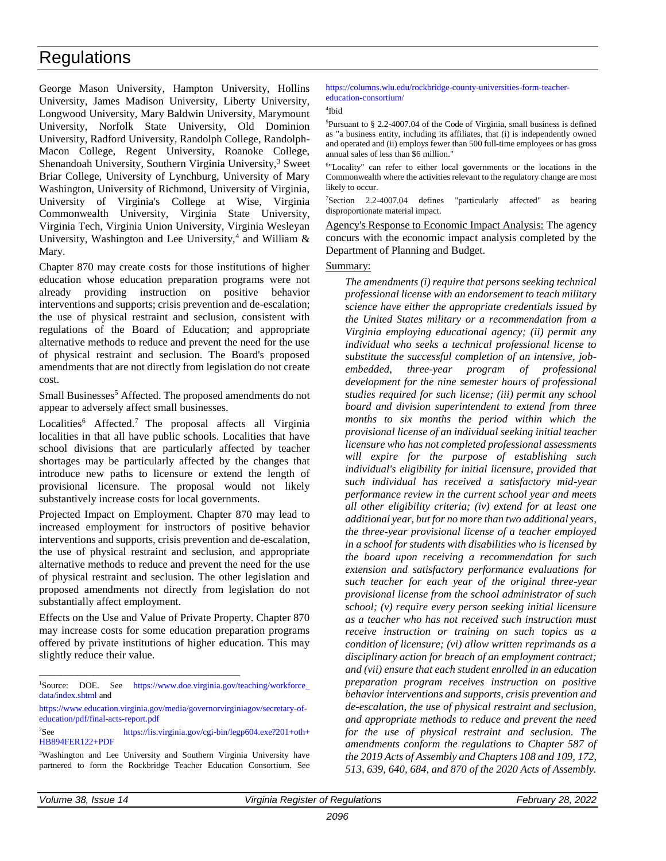George Mason University, Hampton University, Hollins University, James Madison University, Liberty University, Longwood University, Mary Baldwin University, Marymount University, Norfolk State University, Old Dominion University, Radford University, Randolph College, Randolph-Macon College, Regent University, Roanoke College, Shenandoah University, Southern Virginia University, $3$  Sweet Briar College, University of Lynchburg, University of Mary Washington, University of Richmond, University of Virginia, University of Virginia's College at Wise, Virginia Commonwealth University, Virginia State University, Virginia Tech, Virginia Union University, Virginia Wesleyan University, Washington and Lee University,<sup>4</sup> and William  $\&$ Mary.

Chapter 870 may create costs for those institutions of higher education whose education preparation programs were not already providing instruction on positive behavior interventions and supports; crisis prevention and de-escalation; the use of physical restraint and seclusion, consistent with regulations of the Board of Education; and appropriate alternative methods to reduce and prevent the need for the use of physical restraint and seclusion. The Board's proposed amendments that are not directly from legislation do not create cost.

Small Businesses<sup>5</sup> Affected. The proposed amendments do not appear to adversely affect small businesses.

Localities<sup>6</sup> Affected.<sup>7</sup> The proposal affects all Virginia localities in that all have public schools. Localities that have school divisions that are particularly affected by teacher shortages may be particularly affected by the changes that introduce new paths to licensure or extend the length of provisional licensure. The proposal would not likely substantively increase costs for local governments.

Projected Impact on Employment. Chapter 870 may lead to increased employment for instructors of positive behavior interventions and supports, crisis prevention and de-escalation, the use of physical restraint and seclusion, and appropriate alternative methods to reduce and prevent the need for the use of physical restraint and seclusion. The other legislation and proposed amendments not directly from legislation do not substantially affect employment.

Effects on the Use and Value of Private Property. Chapter 870 may increase costs for some education preparation programs offered by private institutions of higher education. This may slightly reduce their value.

\_\_\_\_\_\_\_\_\_\_\_\_\_\_\_\_\_\_\_\_\_\_\_\_\_\_\_\_\_\_\_\_\_\_\_\_\_

[https://www.education.virginia.gov/media/governorvirginiagov/secretary-of](https://www.education.virginia.gov/media/governorvirginiagov/secretary-of-education/pdf/final-acts-report.pdf)[education/pdf/final-acts-report.pdf](https://www.education.virginia.gov/media/governorvirginiagov/secretary-of-education/pdf/final-acts-report.pdf)

#### [https://columns.wlu.edu/rockbridge-county-universities-form-teacher](https://columns.wlu.edu/rockbridge-county-universities-form-teacher-education-consortium/)[education-consortium/](https://columns.wlu.edu/rockbridge-county-universities-form-teacher-education-consortium/)

4 Ibid

 $5$ Pursuant to § 2.2-4007.04 of the Code of Virginia, small business is defined as "a business entity, including its affiliates, that (i) is independently owned and operated and (ii) employs fewer than 500 full-time employees or has gross annual sales of less than \$6 million."

6 "Locality" can refer to either local governments or the locations in the Commonwealth where the activities relevant to the regulatory change are most likely to occur.

<sup>7</sup>Section 2.2-4007.04 defines "particularly affected" as bearing disproportionate material impact.

Agency's Response to Economic Impact Analysis: The agency concurs with the economic impact analysis completed by the Department of Planning and Budget.

### Summary:

*The amendments (i) require that persons seeking technical professional license with an endorsement to teach military science have either the appropriate credentials issued by the United States military or a recommendation from a Virginia employing educational agency; (ii) permit any individual who seeks a technical professional license to substitute the successful completion of an intensive, jobembedded, three-year program of professional development for the nine semester hours of professional studies required for such license; (iii) permit any school board and division superintendent to extend from three months to six months the period within which the provisional license of an individual seeking initial teacher licensure who has not completed professional assessments will expire for the purpose of establishing such individual's eligibility for initial licensure, provided that such individual has received a satisfactory mid-year performance review in the current school year and meets all other eligibility criteria; (iv) extend for at least one additional year, but for no more than two additional years, the three-year provisional license of a teacher employed in a school for students with disabilities who is licensed by the board upon receiving a recommendation for such extension and satisfactory performance evaluations for such teacher for each year of the original three-year provisional license from the school administrator of such school; (v) require every person seeking initial licensure as a teacher who has not received such instruction must receive instruction or training on such topics as a condition of licensure; (vi) allow written reprimands as a disciplinary action for breach of an employment contract; and (vii) ensure that each student enrolled in an education preparation program receives instruction on positive behavior interventions and supports, crisis prevention and de-escalation, the use of physical restraint and seclusion, and appropriate methods to reduce and prevent the need for the use of physical restraint and seclusion. The amendments conform the regulations to Chapter 587 of the 2019 Acts of Assembly and Chapters 108 and 109, 172, 513, 639, 640, 684, and 870 of the 2020 Acts of Assembly.*

<sup>&</sup>lt;sup>1</sup>Source: DOE. See [https://www.doe.virginia.gov/teaching/workforce\\_](https://www.doe.virginia.gov/teaching/workforce_data/index.shtml) [data/index.shtml](https://www.doe.virginia.gov/teaching/workforce_data/index.shtml) and

 $2$ See [https://lis.virginia.gov/cgi-bin/legp604.exe?201+oth+](https://lis.virginia.gov/cgi-bin/legp604.exe?201%20oth%20HB894FER122%20PDF) [HB894FER122+PDF](https://lis.virginia.gov/cgi-bin/legp604.exe?201%20oth%20HB894FER122%20PDF)

<sup>3</sup>Washington and Lee University and Southern Virginia University have partnered to form the Rockbridge Teacher Education Consortium. See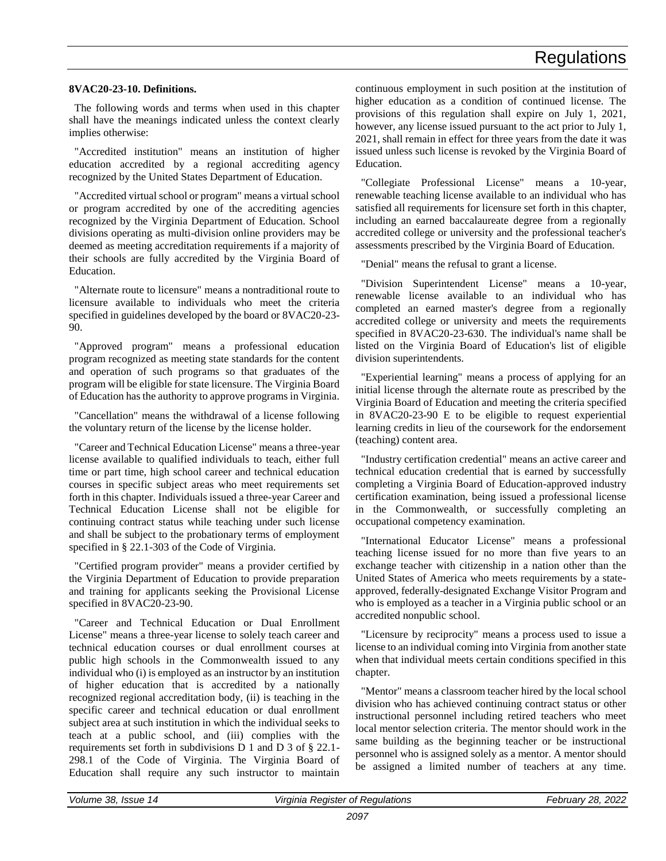### **8VAC20-23-10. Definitions.**

The following words and terms when used in this chapter shall have the meanings indicated unless the context clearly implies otherwise:

"Accredited institution" means an institution of higher education accredited by a regional accrediting agency recognized by the United States Department of Education.

"Accredited virtual school or program" means a virtual school or program accredited by one of the accrediting agencies recognized by the Virginia Department of Education. School divisions operating as multi-division online providers may be deemed as meeting accreditation requirements if a majority of their schools are fully accredited by the Virginia Board of Education.

"Alternate route to licensure" means a nontraditional route to licensure available to individuals who meet the criteria specified in guidelines developed by the board or 8VAC20-23- 90.

"Approved program" means a professional education program recognized as meeting state standards for the content and operation of such programs so that graduates of the program will be eligible for state licensure. The Virginia Board of Education has the authority to approve programs in Virginia.

"Cancellation" means the withdrawal of a license following the voluntary return of the license by the license holder.

"Career and Technical Education License" means a three-year license available to qualified individuals to teach, either full time or part time, high school career and technical education courses in specific subject areas who meet requirements set forth in this chapter. Individuals issued a three-year Career and Technical Education License shall not be eligible for continuing contract status while teaching under such license and shall be subject to the probationary terms of employment specified in § 22.1-303 of the Code of Virginia.

"Certified program provider" means a provider certified by the Virginia Department of Education to provide preparation and training for applicants seeking the Provisional License specified in 8VAC20-23-90.

"Career and Technical Education or Dual Enrollment License" means a three-year license to solely teach career and technical education courses or dual enrollment courses at public high schools in the Commonwealth issued to any individual who (i) is employed as an instructor by an institution of higher education that is accredited by a nationally recognized regional accreditation body, (ii) is teaching in the specific career and technical education or dual enrollment subject area at such institution in which the individual seeks to teach at a public school, and (iii) complies with the requirements set forth in subdivisions D 1 and D 3 of § 22.1- 298.1 of the Code of Virginia. The Virginia Board of Education shall require any such instructor to maintain

continuous employment in such position at the institution of higher education as a condition of continued license. The provisions of this regulation shall expire on July 1, 2021, however, any license issued pursuant to the act prior to July 1, 2021, shall remain in effect for three years from the date it was issued unless such license is revoked by the Virginia Board of Education.

"Collegiate Professional License" means a 10-year, renewable teaching license available to an individual who has satisfied all requirements for licensure set forth in this chapter, including an earned baccalaureate degree from a regionally accredited college or university and the professional teacher's assessments prescribed by the Virginia Board of Education.

"Denial" means the refusal to grant a license.

"Division Superintendent License" means a 10-year, renewable license available to an individual who has completed an earned master's degree from a regionally accredited college or university and meets the requirements specified in 8VAC20-23-630. The individual's name shall be listed on the Virginia Board of Education's list of eligible division superintendents.

"Experiential learning" means a process of applying for an initial license through the alternate route as prescribed by the Virginia Board of Education and meeting the criteria specified in 8VAC20-23-90 E to be eligible to request experiential learning credits in lieu of the coursework for the endorsement (teaching) content area.

"Industry certification credential" means an active career and technical education credential that is earned by successfully completing a Virginia Board of Education-approved industry certification examination, being issued a professional license in the Commonwealth, or successfully completing an occupational competency examination.

"International Educator License" means a professional teaching license issued for no more than five years to an exchange teacher with citizenship in a nation other than the United States of America who meets requirements by a stateapproved, federally-designated Exchange Visitor Program and who is employed as a teacher in a Virginia public school or an accredited nonpublic school.

"Licensure by reciprocity" means a process used to issue a license to an individual coming into Virginia from another state when that individual meets certain conditions specified in this chapter.

"Mentor" means a classroom teacher hired by the local school division who has achieved continuing contract status or other instructional personnel including retired teachers who meet local mentor selection criteria. The mentor should work in the same building as the beginning teacher or be instructional personnel who is assigned solely as a mentor. A mentor should be assigned a limited number of teachers at any time.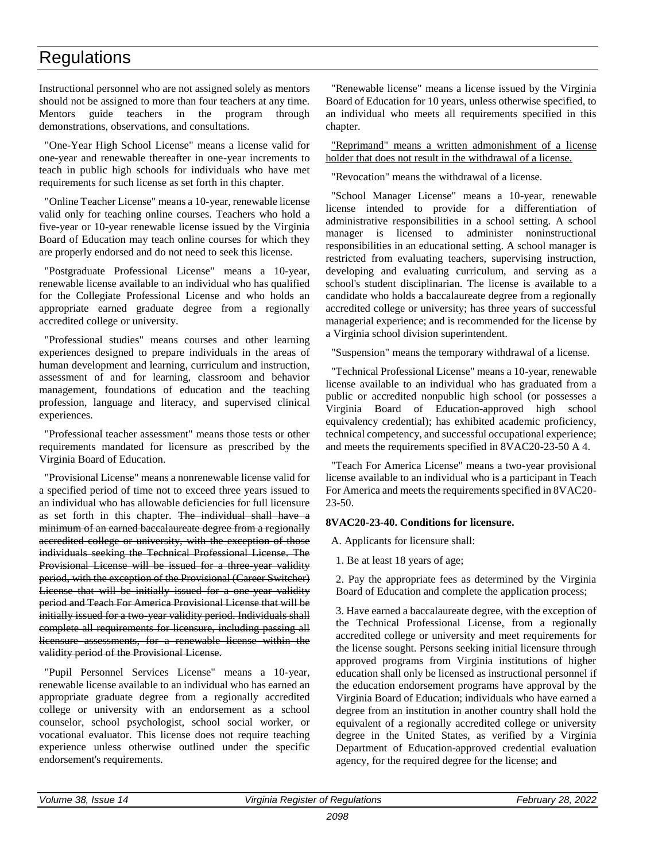Instructional personnel who are not assigned solely as mentors should not be assigned to more than four teachers at any time. Mentors guide teachers in the program through demonstrations, observations, and consultations.

"One-Year High School License" means a license valid for one-year and renewable thereafter in one-year increments to teach in public high schools for individuals who have met requirements for such license as set forth in this chapter.

"Online Teacher License" means a 10-year, renewable license valid only for teaching online courses. Teachers who hold a five-year or 10-year renewable license issued by the Virginia Board of Education may teach online courses for which they are properly endorsed and do not need to seek this license.

"Postgraduate Professional License" means a 10-year, renewable license available to an individual who has qualified for the Collegiate Professional License and who holds an appropriate earned graduate degree from a regionally accredited college or university.

"Professional studies" means courses and other learning experiences designed to prepare individuals in the areas of human development and learning, curriculum and instruction, assessment of and for learning, classroom and behavior management, foundations of education and the teaching profession, language and literacy, and supervised clinical experiences.

"Professional teacher assessment" means those tests or other requirements mandated for licensure as prescribed by the Virginia Board of Education.

"Provisional License" means a nonrenewable license valid for a specified period of time not to exceed three years issued to an individual who has allowable deficiencies for full licensure as set forth in this chapter. The individual shall have a minimum of an earned baccalaureate degree from a regionally accredited college or university, with the exception of those individuals seeking the Technical Professional License. The Provisional License will be issued for a three year validity period, with the exception of the Provisional (Career Switcher) License that will be initially issued for a one year validity period and Teach For America Provisional License that will be initially issued for a two-year validity period. Individuals shall complete all requirements for licensure, including passing all licensure assessments, for a renewable license within the validity period of the Provisional License.

"Pupil Personnel Services License" means a 10-year, renewable license available to an individual who has earned an appropriate graduate degree from a regionally accredited college or university with an endorsement as a school counselor, school psychologist, school social worker, or vocational evaluator. This license does not require teaching experience unless otherwise outlined under the specific endorsement's requirements.

"Renewable license" means a license issued by the Virginia Board of Education for 10 years, unless otherwise specified, to an individual who meets all requirements specified in this chapter.

"Reprimand" means a written admonishment of a license holder that does not result in the withdrawal of a license.

"Revocation" means the withdrawal of a license.

"School Manager License" means a 10-year, renewable license intended to provide for a differentiation of administrative responsibilities in a school setting. A school manager is licensed to administer noninstructional responsibilities in an educational setting. A school manager is restricted from evaluating teachers, supervising instruction, developing and evaluating curriculum, and serving as a school's student disciplinarian. The license is available to a candidate who holds a baccalaureate degree from a regionally accredited college or university; has three years of successful managerial experience; and is recommended for the license by a Virginia school division superintendent.

"Suspension" means the temporary withdrawal of a license.

"Technical Professional License" means a 10-year, renewable license available to an individual who has graduated from a public or accredited nonpublic high school (or possesses a Virginia Board of Education-approved high school equivalency credential); has exhibited academic proficiency, technical competency, and successful occupational experience; and meets the requirements specified in 8VAC20-23-50 A 4.

"Teach For America License" means a two-year provisional license available to an individual who is a participant in Teach For America and meets the requirements specified in 8VAC20- 23-50.

### **8VAC20-23-40. Conditions for licensure.**

A. Applicants for licensure shall:

1. Be at least 18 years of age;

2. Pay the appropriate fees as determined by the Virginia Board of Education and complete the application process;

3. Have earned a baccalaureate degree, with the exception of the Technical Professional License, from a regionally accredited college or university and meet requirements for the license sought. Persons seeking initial licensure through approved programs from Virginia institutions of higher education shall only be licensed as instructional personnel if the education endorsement programs have approval by the Virginia Board of Education; individuals who have earned a degree from an institution in another country shall hold the equivalent of a regionally accredited college or university degree in the United States, as verified by a Virginia Department of Education-approved credential evaluation agency, for the required degree for the license; and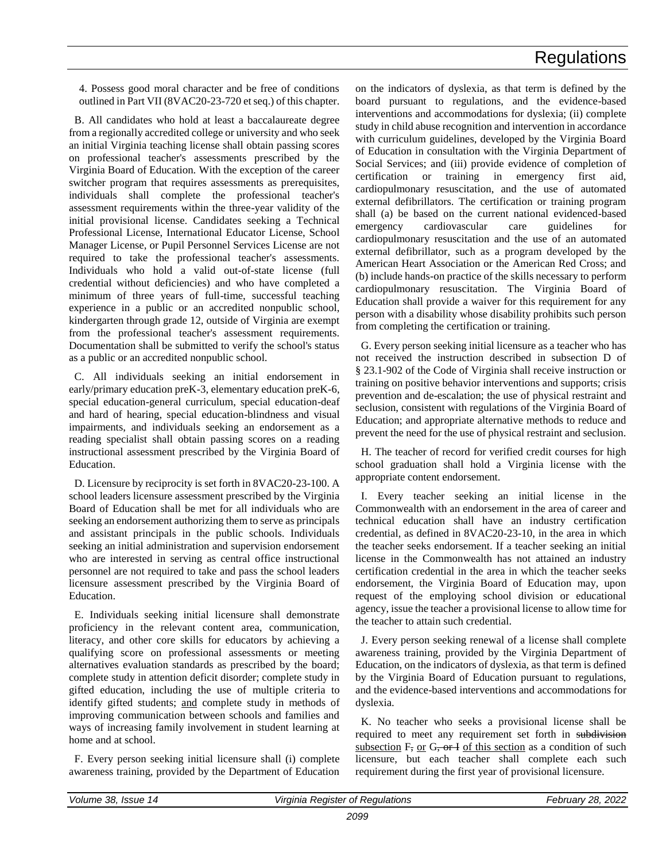4. Possess good moral character and be free of conditions outlined in Part VII (8VAC20-23-720 et seq.) of this chapter.

B. All candidates who hold at least a baccalaureate degree from a regionally accredited college or university and who seek an initial Virginia teaching license shall obtain passing scores on professional teacher's assessments prescribed by the Virginia Board of Education. With the exception of the career switcher program that requires assessments as prerequisites, individuals shall complete the professional teacher's assessment requirements within the three-year validity of the initial provisional license. Candidates seeking a Technical Professional License, International Educator License, School Manager License, or Pupil Personnel Services License are not required to take the professional teacher's assessments. Individuals who hold a valid out-of-state license (full credential without deficiencies) and who have completed a minimum of three years of full-time, successful teaching experience in a public or an accredited nonpublic school, kindergarten through grade 12, outside of Virginia are exempt from the professional teacher's assessment requirements. Documentation shall be submitted to verify the school's status as a public or an accredited nonpublic school.

C. All individuals seeking an initial endorsement in early/primary education preK-3, elementary education preK-6, special education-general curriculum, special education-deaf and hard of hearing, special education-blindness and visual impairments, and individuals seeking an endorsement as a reading specialist shall obtain passing scores on a reading instructional assessment prescribed by the Virginia Board of Education.

D. Licensure by reciprocity is set forth in 8VAC20-23-100. A school leaders licensure assessment prescribed by the Virginia Board of Education shall be met for all individuals who are seeking an endorsement authorizing them to serve as principals and assistant principals in the public schools. Individuals seeking an initial administration and supervision endorsement who are interested in serving as central office instructional personnel are not required to take and pass the school leaders licensure assessment prescribed by the Virginia Board of Education.

E. Individuals seeking initial licensure shall demonstrate proficiency in the relevant content area, communication, literacy, and other core skills for educators by achieving a qualifying score on professional assessments or meeting alternatives evaluation standards as prescribed by the board; complete study in attention deficit disorder; complete study in gifted education, including the use of multiple criteria to identify gifted students; and complete study in methods of improving communication between schools and families and ways of increasing family involvement in student learning at home and at school.

F. Every person seeking initial licensure shall (i) complete awareness training, provided by the Department of Education on the indicators of dyslexia, as that term is defined by the board pursuant to regulations, and the evidence-based interventions and accommodations for dyslexia; (ii) complete study in child abuse recognition and intervention in accordance with curriculum guidelines, developed by the Virginia Board of Education in consultation with the Virginia Department of Social Services; and (iii) provide evidence of completion of certification or training in emergency first aid, cardiopulmonary resuscitation, and the use of automated external defibrillators. The certification or training program shall (a) be based on the current national evidenced-based emergency cardiovascular care guidelines for cardiopulmonary resuscitation and the use of an automated external defibrillator, such as a program developed by the American Heart Association or the American Red Cross; and (b) include hands-on practice of the skills necessary to perform cardiopulmonary resuscitation. The Virginia Board of Education shall provide a waiver for this requirement for any person with a disability whose disability prohibits such person from completing the certification or training.

G. Every person seeking initial licensure as a teacher who has not received the instruction described in subsection D of § 23.1-902 of the Code of Virginia shall receive instruction or training on positive behavior interventions and supports; crisis prevention and de-escalation; the use of physical restraint and seclusion, consistent with regulations of the Virginia Board of Education; and appropriate alternative methods to reduce and prevent the need for the use of physical restraint and seclusion.

H. The teacher of record for verified credit courses for high school graduation shall hold a Virginia license with the appropriate content endorsement.

I. Every teacher seeking an initial license in the Commonwealth with an endorsement in the area of career and technical education shall have an industry certification credential, as defined in 8VAC20-23-10, in the area in which the teacher seeks endorsement. If a teacher seeking an initial license in the Commonwealth has not attained an industry certification credential in the area in which the teacher seeks endorsement, the Virginia Board of Education may, upon request of the employing school division or educational agency, issue the teacher a provisional license to allow time for the teacher to attain such credential.

J. Every person seeking renewal of a license shall complete awareness training, provided by the Virginia Department of Education, on the indicators of dyslexia, as that term is defined by the Virginia Board of Education pursuant to regulations, and the evidence-based interventions and accommodations for dyslexia.

K. No teacher who seeks a provisional license shall be required to meet any requirement set forth in subdivision subsection  $F$ , or  $G$ , or  $I$  of this section as a condition of such licensure, but each teacher shall complete each such requirement during the first year of provisional licensure.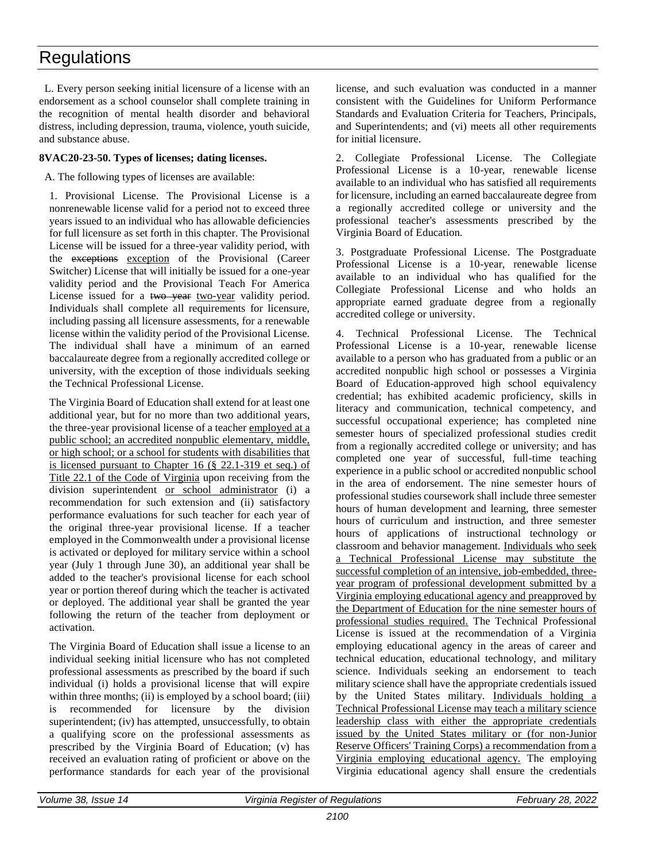L. Every person seeking initial licensure of a license with an endorsement as a school counselor shall complete training in the recognition of mental health disorder and behavioral distress, including depression, trauma, violence, youth suicide, and substance abuse.

### **8VAC20-23-50. Types of licenses; dating licenses.**

A. The following types of licenses are available:

1. Provisional License. The Provisional License is a nonrenewable license valid for a period not to exceed three years issued to an individual who has allowable deficiencies for full licensure as set forth in this chapter. The Provisional License will be issued for a three-year validity period, with the exceptions exception of the Provisional (Career Switcher) License that will initially be issued for a one-year validity period and the Provisional Teach For America License issued for a two-year two-year validity period. Individuals shall complete all requirements for licensure, including passing all licensure assessments, for a renewable license within the validity period of the Provisional License. The individual shall have a minimum of an earned baccalaureate degree from a regionally accredited college or university, with the exception of those individuals seeking the Technical Professional License.

The Virginia Board of Education shall extend for at least one additional year, but for no more than two additional years, the three-year provisional license of a teacher employed at a public school; an accredited nonpublic elementary, middle, or high school; or a school for students with disabilities that is licensed pursuant to Chapter 16 (§ 22.1-319 et seq.) of Title 22.1 of the Code of Virginia upon receiving from the division superintendent or school administrator (i) a recommendation for such extension and (ii) satisfactory performance evaluations for such teacher for each year of the original three-year provisional license. If a teacher employed in the Commonwealth under a provisional license is activated or deployed for military service within a school year (July 1 through June 30), an additional year shall be added to the teacher's provisional license for each school year or portion thereof during which the teacher is activated or deployed. The additional year shall be granted the year following the return of the teacher from deployment or activation.

The Virginia Board of Education shall issue a license to an individual seeking initial licensure who has not completed professional assessments as prescribed by the board if such individual (i) holds a provisional license that will expire within three months; (ii) is employed by a school board; (iii) is recommended for licensure by the division superintendent; (iv) has attempted, unsuccessfully, to obtain a qualifying score on the professional assessments as prescribed by the Virginia Board of Education; (v) has received an evaluation rating of proficient or above on the performance standards for each year of the provisional

license, and such evaluation was conducted in a manner consistent with the Guidelines for Uniform Performance Standards and Evaluation Criteria for Teachers, Principals, and Superintendents; and (vi) meets all other requirements for initial licensure.

2. Collegiate Professional License. The Collegiate Professional License is a 10-year, renewable license available to an individual who has satisfied all requirements for licensure, including an earned baccalaureate degree from a regionally accredited college or university and the professional teacher's assessments prescribed by the Virginia Board of Education.

3. Postgraduate Professional License. The Postgraduate Professional License is a 10-year, renewable license available to an individual who has qualified for the Collegiate Professional License and who holds an appropriate earned graduate degree from a regionally accredited college or university.

4. Technical Professional License. The Technical Professional License is a 10-year, renewable license available to a person who has graduated from a public or an accredited nonpublic high school or possesses a Virginia Board of Education-approved high school equivalency credential; has exhibited academic proficiency, skills in literacy and communication, technical competency, and successful occupational experience; has completed nine semester hours of specialized professional studies credit from a regionally accredited college or university; and has completed one year of successful, full-time teaching experience in a public school or accredited nonpublic school in the area of endorsement. The nine semester hours of professional studies coursework shall include three semester hours of human development and learning, three semester hours of curriculum and instruction, and three semester hours of applications of instructional technology or classroom and behavior management. Individuals who seek a Technical Professional License may substitute the successful completion of an intensive, job-embedded, threeyear program of professional development submitted by a Virginia employing educational agency and preapproved by the Department of Education for the nine semester hours of professional studies required. The Technical Professional License is issued at the recommendation of a Virginia employing educational agency in the areas of career and technical education, educational technology, and military science. Individuals seeking an endorsement to teach military science shall have the appropriate credentials issued by the United States military. Individuals holding a Technical Professional License may teach a military science leadership class with either the appropriate credentials issued by the United States military or (for non-Junior Reserve Officers' Training Corps) a recommendation from a Virginia employing educational agency. The employing Virginia educational agency shall ensure the credentials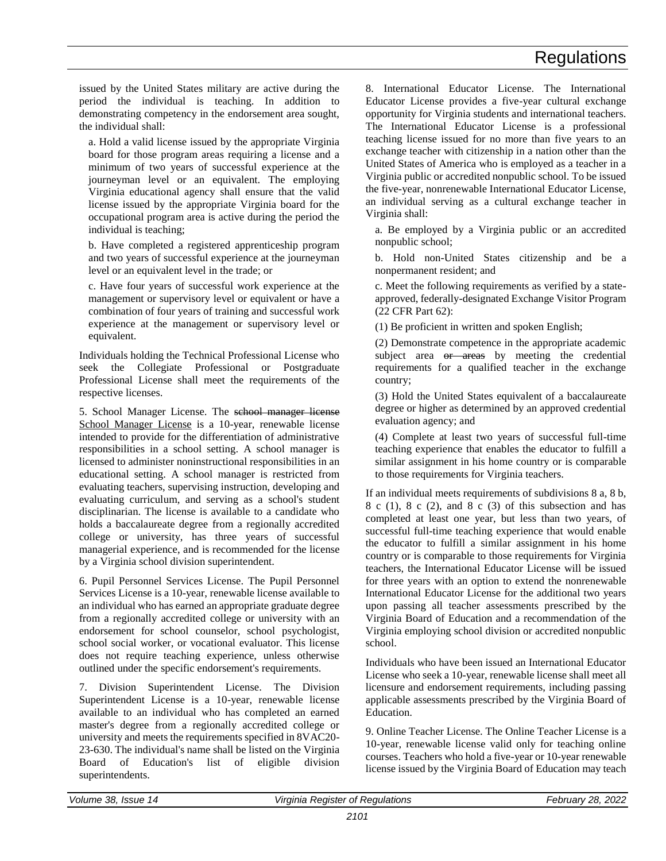issued by the United States military are active during the period the individual is teaching. In addition to demonstrating competency in the endorsement area sought, the individual shall:

a. Hold a valid license issued by the appropriate Virginia board for those program areas requiring a license and a minimum of two years of successful experience at the journeyman level or an equivalent. The employing Virginia educational agency shall ensure that the valid license issued by the appropriate Virginia board for the occupational program area is active during the period the individual is teaching;

b. Have completed a registered apprenticeship program and two years of successful experience at the journeyman level or an equivalent level in the trade; or

c. Have four years of successful work experience at the management or supervisory level or equivalent or have a combination of four years of training and successful work experience at the management or supervisory level or equivalent.

Individuals holding the Technical Professional License who seek the Collegiate Professional or Postgraduate Professional License shall meet the requirements of the respective licenses.

5. School Manager License. The school manager license School Manager License is a 10-year, renewable license intended to provide for the differentiation of administrative responsibilities in a school setting. A school manager is licensed to administer noninstructional responsibilities in an educational setting. A school manager is restricted from evaluating teachers, supervising instruction, developing and evaluating curriculum, and serving as a school's student disciplinarian. The license is available to a candidate who holds a baccalaureate degree from a regionally accredited college or university, has three years of successful managerial experience, and is recommended for the license by a Virginia school division superintendent.

6. Pupil Personnel Services License. The Pupil Personnel Services License is a 10-year, renewable license available to an individual who has earned an appropriate graduate degree from a regionally accredited college or university with an endorsement for school counselor, school psychologist, school social worker, or vocational evaluator. This license does not require teaching experience, unless otherwise outlined under the specific endorsement's requirements.

7. Division Superintendent License. The Division Superintendent License is a 10-year, renewable license available to an individual who has completed an earned master's degree from a regionally accredited college or university and meets the requirements specified in 8VAC20- 23-630. The individual's name shall be listed on the Virginia Board of Education's list of eligible division superintendents.

8. International Educator License. The International Educator License provides a five-year cultural exchange opportunity for Virginia students and international teachers. The International Educator License is a professional teaching license issued for no more than five years to an exchange teacher with citizenship in a nation other than the United States of America who is employed as a teacher in a Virginia public or accredited nonpublic school. To be issued the five-year, nonrenewable International Educator License, an individual serving as a cultural exchange teacher in Virginia shall:

a. Be employed by a Virginia public or an accredited nonpublic school;

b. Hold non-United States citizenship and be a nonpermanent resident; and

c. Meet the following requirements as verified by a stateapproved, federally-designated Exchange Visitor Program (22 CFR Part 62):

(1) Be proficient in written and spoken English;

(2) Demonstrate competence in the appropriate academic subject area or areas by meeting the credential requirements for a qualified teacher in the exchange country;

(3) Hold the United States equivalent of a baccalaureate degree or higher as determined by an approved credential evaluation agency; and

(4) Complete at least two years of successful full-time teaching experience that enables the educator to fulfill a similar assignment in his home country or is comparable to those requirements for Virginia teachers.

If an individual meets requirements of subdivisions 8 a, 8 b,  $8 \text{ c } (1)$ ,  $8 \text{ c } (2)$ , and  $8 \text{ c } (3)$  of this subsection and has completed at least one year, but less than two years, of successful full-time teaching experience that would enable the educator to fulfill a similar assignment in his home country or is comparable to those requirements for Virginia teachers, the International Educator License will be issued for three years with an option to extend the nonrenewable International Educator License for the additional two years upon passing all teacher assessments prescribed by the Virginia Board of Education and a recommendation of the Virginia employing school division or accredited nonpublic school.

Individuals who have been issued an International Educator License who seek a 10-year, renewable license shall meet all licensure and endorsement requirements, including passing applicable assessments prescribed by the Virginia Board of Education.

9. Online Teacher License. The Online Teacher License is a 10-year, renewable license valid only for teaching online courses. Teachers who hold a five-year or 10-year renewable license issued by the Virginia Board of Education may teach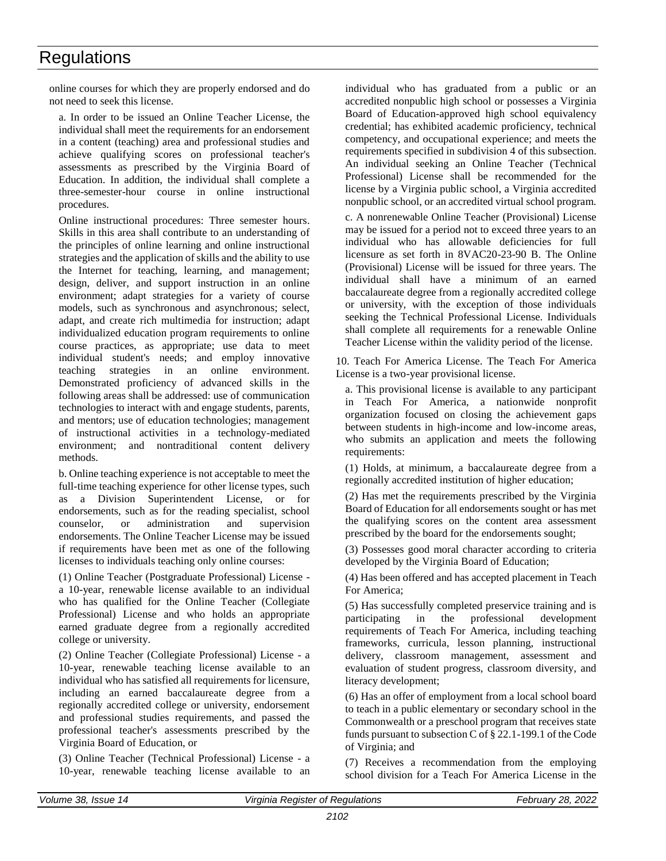online courses for which they are properly endorsed and do not need to seek this license.

a. In order to be issued an Online Teacher License, the individual shall meet the requirements for an endorsement in a content (teaching) area and professional studies and achieve qualifying scores on professional teacher's assessments as prescribed by the Virginia Board of Education. In addition, the individual shall complete a three-semester-hour course in online instructional procedures.

Online instructional procedures: Three semester hours. Skills in this area shall contribute to an understanding of the principles of online learning and online instructional strategies and the application of skills and the ability to use the Internet for teaching, learning, and management; design, deliver, and support instruction in an online environment; adapt strategies for a variety of course models, such as synchronous and asynchronous; select, adapt, and create rich multimedia for instruction; adapt individualized education program requirements to online course practices, as appropriate; use data to meet individual student's needs; and employ innovative teaching strategies in an online environment. Demonstrated proficiency of advanced skills in the following areas shall be addressed: use of communication technologies to interact with and engage students, parents, and mentors; use of education technologies; management of instructional activities in a technology-mediated environment; and nontraditional content delivery methods.

b. Online teaching experience is not acceptable to meet the full-time teaching experience for other license types, such as a Division Superintendent License, or for endorsements, such as for the reading specialist, school counselor, or administration and supervision endorsements. The Online Teacher License may be issued if requirements have been met as one of the following licenses to individuals teaching only online courses:

(1) Online Teacher (Postgraduate Professional) License a 10-year, renewable license available to an individual who has qualified for the Online Teacher (Collegiate Professional) License and who holds an appropriate earned graduate degree from a regionally accredited college or university.

(2) Online Teacher (Collegiate Professional) License - a 10-year, renewable teaching license available to an individual who has satisfied all requirements for licensure, including an earned baccalaureate degree from a regionally accredited college or university, endorsement and professional studies requirements, and passed the professional teacher's assessments prescribed by the Virginia Board of Education, or

(3) Online Teacher (Technical Professional) License - a 10-year, renewable teaching license available to an

individual who has graduated from a public or an accredited nonpublic high school or possesses a Virginia Board of Education-approved high school equivalency credential; has exhibited academic proficiency, technical competency, and occupational experience; and meets the requirements specified in subdivision 4 of this subsection. An individual seeking an Online Teacher (Technical Professional) License shall be recommended for the license by a Virginia public school, a Virginia accredited nonpublic school, or an accredited virtual school program.

c. A nonrenewable Online Teacher (Provisional) License may be issued for a period not to exceed three years to an individual who has allowable deficiencies for full licensure as set forth in 8VAC20-23-90 B. The Online (Provisional) License will be issued for three years. The individual shall have a minimum of an earned baccalaureate degree from a regionally accredited college or university, with the exception of those individuals seeking the Technical Professional License. Individuals shall complete all requirements for a renewable Online Teacher License within the validity period of the license.

10. Teach For America License. The Teach For America License is a two-year provisional license.

a. This provisional license is available to any participant in Teach For America, a nationwide nonprofit organization focused on closing the achievement gaps between students in high-income and low-income areas, who submits an application and meets the following requirements:

(1) Holds, at minimum, a baccalaureate degree from a regionally accredited institution of higher education;

(2) Has met the requirements prescribed by the Virginia Board of Education for all endorsements sought or has met the qualifying scores on the content area assessment prescribed by the board for the endorsements sought;

(3) Possesses good moral character according to criteria developed by the Virginia Board of Education;

(4) Has been offered and has accepted placement in Teach For America;

(5) Has successfully completed preservice training and is participating in the professional development requirements of Teach For America, including teaching frameworks, curricula, lesson planning, instructional delivery, classroom management, assessment and evaluation of student progress, classroom diversity, and literacy development;

(6) Has an offer of employment from a local school board to teach in a public elementary or secondary school in the Commonwealth or a preschool program that receives state funds pursuant to subsection C of § 22.1-199.1 of the Code of Virginia; and

(7) Receives a recommendation from the employing school division for a Teach For America License in the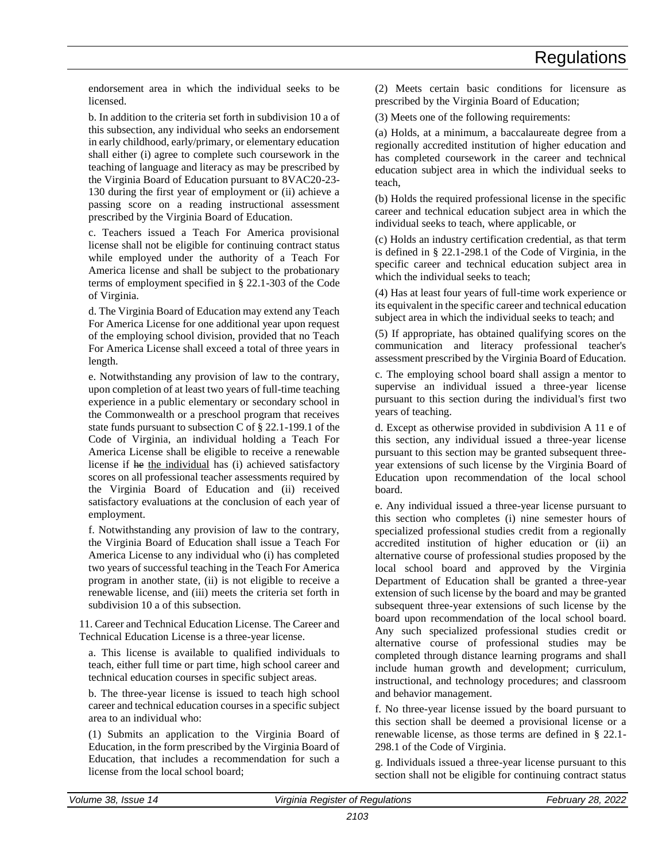endorsement area in which the individual seeks to be licensed.

b. In addition to the criteria set forth in subdivision 10 a of this subsection, any individual who seeks an endorsement in early childhood, early/primary, or elementary education shall either (i) agree to complete such coursework in the teaching of language and literacy as may be prescribed by the Virginia Board of Education pursuant to 8VAC20-23- 130 during the first year of employment or (ii) achieve a passing score on a reading instructional assessment prescribed by the Virginia Board of Education.

c. Teachers issued a Teach For America provisional license shall not be eligible for continuing contract status while employed under the authority of a Teach For America license and shall be subject to the probationary terms of employment specified in § 22.1-303 of the Code of Virginia.

d. The Virginia Board of Education may extend any Teach For America License for one additional year upon request of the employing school division, provided that no Teach For America License shall exceed a total of three years in length.

e. Notwithstanding any provision of law to the contrary, upon completion of at least two years of full-time teaching experience in a public elementary or secondary school in the Commonwealth or a preschool program that receives state funds pursuant to subsection C of § 22.1-199.1 of the Code of Virginia, an individual holding a Teach For America License shall be eligible to receive a renewable license if he the individual has (i) achieved satisfactory scores on all professional teacher assessments required by the Virginia Board of Education and (ii) received satisfactory evaluations at the conclusion of each year of employment.

f. Notwithstanding any provision of law to the contrary, the Virginia Board of Education shall issue a Teach For America License to any individual who (i) has completed two years of successful teaching in the Teach For America program in another state, (ii) is not eligible to receive a renewable license, and (iii) meets the criteria set forth in subdivision 10 a of this subsection.

11. Career and Technical Education License. The Career and Technical Education License is a three-year license.

a. This license is available to qualified individuals to teach*,* either full time or part time*,* high school career and technical education courses in specific subject areas.

b. The three-year license is issued to teach high school career and technical education courses in a specific subject area to an individual who:

(1) Submits an application to the Virginia Board of Education, in the form prescribed by the Virginia Board of Education, that includes a recommendation for such a license from the local school board;

(2) Meets certain basic conditions for licensure as prescribed by the Virginia Board of Education;

(3) Meets one of the following requirements:

(a) Holds, at a minimum, a baccalaureate degree from a regionally accredited institution of higher education and has completed coursework in the career and technical education subject area in which the individual seeks to teach,

(b) Holds the required professional license in the specific career and technical education subject area in which the individual seeks to teach, where applicable, or

(c) Holds an industry certification credential, as that term is defined in § 22.1-298.1 of the Code of Virginia, in the specific career and technical education subject area in which the individual seeks to teach;

(4) Has at least four years of full-time work experience or its equivalent in the specific career and technical education subject area in which the individual seeks to teach; and

(5) If appropriate, has obtained qualifying scores on the communication and literacy professional teacher's assessment prescribed by the Virginia Board of Education.

c. The employing school board shall assign a mentor to supervise an individual issued a three-year license pursuant to this section during the individual's first two years of teaching.

d. Except as otherwise provided in subdivision A 11 e of this section, any individual issued a three-year license pursuant to this section may be granted subsequent threeyear extensions of such license by the Virginia Board of Education upon recommendation of the local school board.

e. Any individual issued a three-year license pursuant to this section who completes (i) nine semester hours of specialized professional studies credit from a regionally accredited institution of higher education or (ii) an alternative course of professional studies proposed by the local school board and approved by the Virginia Department of Education shall be granted a three-year extension of such license by the board and may be granted subsequent three-year extensions of such license by the board upon recommendation of the local school board. Any such specialized professional studies credit or alternative course of professional studies may be completed through distance learning programs and shall include human growth and development; curriculum, instructional, and technology procedures; and classroom and behavior management.

f. No three-year license issued by the board pursuant to this section shall be deemed a provisional license or a renewable license, as those terms are defined in § 22.1- 298.1 of the Code of Virginia.

g. Individuals issued a three-year license pursuant to this section shall not be eligible for continuing contract status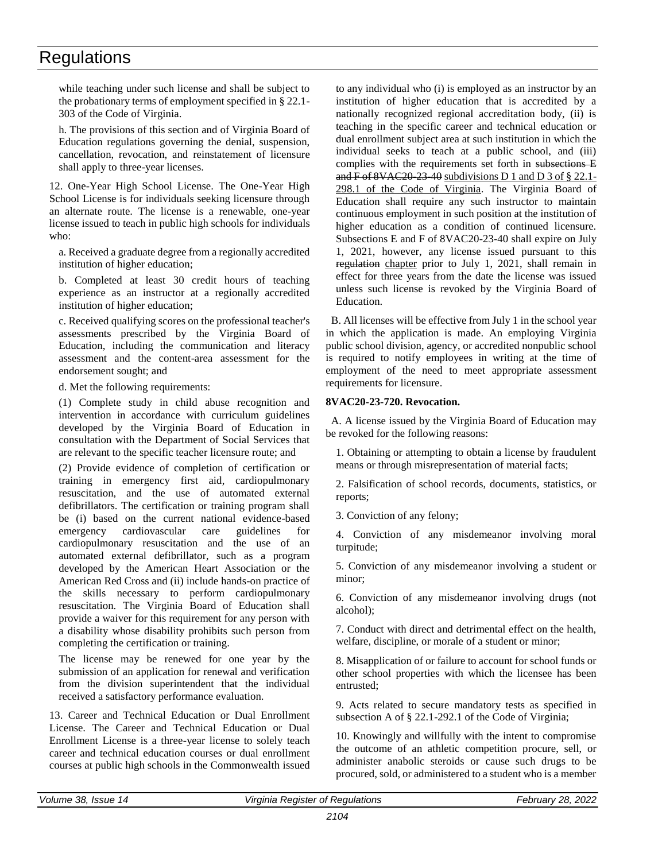while teaching under such license and shall be subject to the probationary terms of employment specified in § 22.1- 303 of the Code of Virginia.

h. The provisions of this section and of Virginia Board of Education regulations governing the denial, suspension, cancellation, revocation, and reinstatement of licensure shall apply to three-year licenses.

12. One-Year High School License. The One-Year High School License is for individuals seeking licensure through an alternate route. The license is a renewable, one-year license issued to teach in public high schools for individuals who:

a. Received a graduate degree from a regionally accredited institution of higher education;

b. Completed at least 30 credit hours of teaching experience as an instructor at a regionally accredited institution of higher education;

c. Received qualifying scores on the professional teacher's assessments prescribed by the Virginia Board of Education, including the communication and literacy assessment and the content-area assessment for the endorsement sought; and

d. Met the following requirements:

(1) Complete study in child abuse recognition and intervention in accordance with curriculum guidelines developed by the Virginia Board of Education in consultation with the Department of Social Services that are relevant to the specific teacher licensure route; and

(2) Provide evidence of completion of certification or training in emergency first aid, cardiopulmonary resuscitation, and the use of automated external defibrillators. The certification or training program shall be (i) based on the current national evidence-based emergency cardiovascular care guidelines for cardiopulmonary resuscitation and the use of an automated external defibrillator, such as a program developed by the American Heart Association or the American Red Cross and (ii) include hands-on practice of the skills necessary to perform cardiopulmonary resuscitation. The Virginia Board of Education shall provide a waiver for this requirement for any person with a disability whose disability prohibits such person from completing the certification or training.

The license may be renewed for one year by the submission of an application for renewal and verification from the division superintendent that the individual received a satisfactory performance evaluation.

13. Career and Technical Education or Dual Enrollment License. The Career and Technical Education or Dual Enrollment License is a three-year license to solely teach career and technical education courses or dual enrollment courses at public high schools in the Commonwealth issued to any individual who (i) is employed as an instructor by an institution of higher education that is accredited by a nationally recognized regional accreditation body, (ii) is teaching in the specific career and technical education or dual enrollment subject area at such institution in which the individual seeks to teach at a public school, and (iii) complies with the requirements set forth in subsections E and  $\overline{F}$  of  $8VAC20-23-40$  subdivisions D 1 and D 3 of § 22.1-298.1 of the Code of Virginia. The Virginia Board of Education shall require any such instructor to maintain continuous employment in such position at the institution of higher education as a condition of continued licensure. Subsections E and F of 8VAC20-23-40 shall expire on July 1, 2021, however, any license issued pursuant to this regulation chapter prior to July 1, 2021, shall remain in effect for three years from the date the license was issued unless such license is revoked by the Virginia Board of Education.

B. All licenses will be effective from July 1 in the school year in which the application is made. An employing Virginia public school division, agency, or accredited nonpublic school is required to notify employees in writing at the time of employment of the need to meet appropriate assessment requirements for licensure.

### **8VAC20-23-720. Revocation.**

A. A license issued by the Virginia Board of Education may be revoked for the following reasons:

1. Obtaining or attempting to obtain a license by fraudulent means or through misrepresentation of material facts;

2. Falsification of school records, documents, statistics, or reports;

3. Conviction of any felony;

4. Conviction of any misdemeanor involving moral turpitude;

5. Conviction of any misdemeanor involving a student or minor;

6. Conviction of any misdemeanor involving drugs (not alcohol);

7. Conduct with direct and detrimental effect on the health, welfare, discipline, or morale of a student or minor;

8. Misapplication of or failure to account for school funds or other school properties with which the licensee has been entrusted;

9. Acts related to secure mandatory tests as specified in subsection A of § 22.1-292.1 of the Code of Virginia;

10. Knowingly and willfully with the intent to compromise the outcome of an athletic competition procure, sell, or administer anabolic steroids or cause such drugs to be procured, sold, or administered to a student who is a member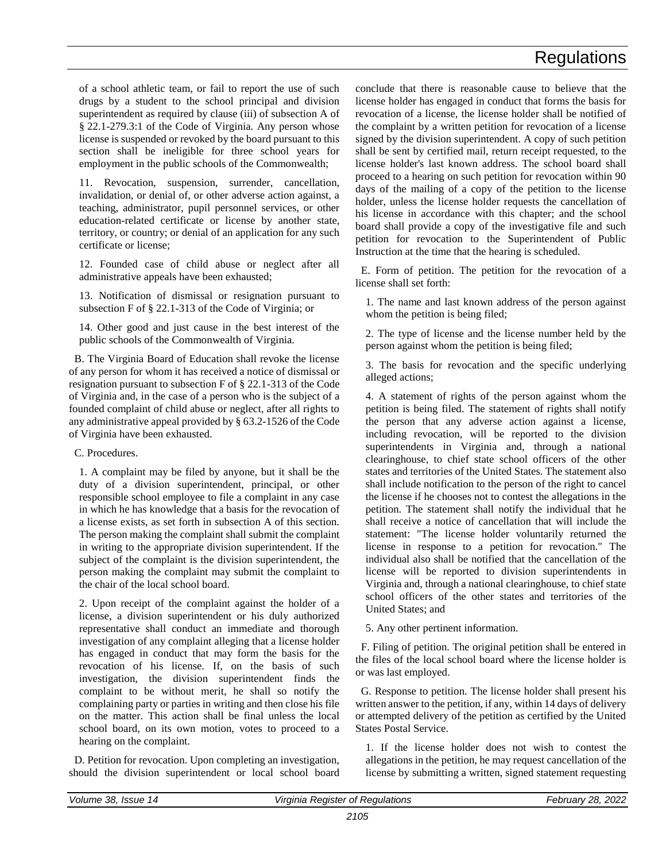of a school athletic team, or fail to report the use of such drugs by a student to the school principal and division superintendent as required by clause (iii) of subsection A of § 22.1-279.3:1 of the Code of Virginia. Any person whose license is suspended or revoked by the board pursuant to this section shall be ineligible for three school years for employment in the public schools of the Commonwealth;

11. Revocation, suspension, surrender, cancellation, invalidation, or denial of, or other adverse action against, a teaching, administrator, pupil personnel services, or other education-related certificate or license by another state, territory, or country; or denial of an application for any such certificate or license;

12. Founded case of child abuse or neglect after all administrative appeals have been exhausted;

13. Notification of dismissal or resignation pursuant to subsection F of § 22.1-313 of the Code of Virginia; or

14. Other good and just cause in the best interest of the public schools of the Commonwealth of Virginia.

B. The Virginia Board of Education shall revoke the license of any person for whom it has received a notice of dismissal or resignation pursuant to subsection F of § 22.1-313 of the Code of Virginia and, in the case of a person who is the subject of a founded complaint of child abuse or neglect, after all rights to any administrative appeal provided by § 63.2-1526 of the Code of Virginia have been exhausted.

C. Procedures.

1. A complaint may be filed by anyone, but it shall be the duty of a division superintendent, principal, or other responsible school employee to file a complaint in any case in which he has knowledge that a basis for the revocation of a license exists, as set forth in subsection A of this section. The person making the complaint shall submit the complaint in writing to the appropriate division superintendent. If the subject of the complaint is the division superintendent, the person making the complaint may submit the complaint to the chair of the local school board.

2. Upon receipt of the complaint against the holder of a license, a division superintendent or his duly authorized representative shall conduct an immediate and thorough investigation of any complaint alleging that a license holder has engaged in conduct that may form the basis for the revocation of his license. If, on the basis of such investigation, the division superintendent finds the complaint to be without merit, he shall so notify the complaining party or parties in writing and then close his file on the matter. This action shall be final unless the local school board, on its own motion, votes to proceed to a hearing on the complaint.

D. Petition for revocation. Upon completing an investigation, should the division superintendent or local school board conclude that there is reasonable cause to believe that the license holder has engaged in conduct that forms the basis for revocation of a license, the license holder shall be notified of the complaint by a written petition for revocation of a license signed by the division superintendent. A copy of such petition shall be sent by certified mail, return receipt requested, to the license holder's last known address. The school board shall proceed to a hearing on such petition for revocation within 90 days of the mailing of a copy of the petition to the license holder, unless the license holder requests the cancellation of his license in accordance with this chapter; and the school board shall provide a copy of the investigative file and such petition for revocation to the Superintendent of Public Instruction at the time that the hearing is scheduled.

E. Form of petition. The petition for the revocation of a license shall set forth:

1. The name and last known address of the person against whom the petition is being filed;

2. The type of license and the license number held by the person against whom the petition is being filed;

3. The basis for revocation and the specific underlying alleged actions;

4. A statement of rights of the person against whom the petition is being filed. The statement of rights shall notify the person that any adverse action against a license, including revocation, will be reported to the division superintendents in Virginia and, through a national clearinghouse, to chief state school officers of the other states and territories of the United States. The statement also shall include notification to the person of the right to cancel the license if he chooses not to contest the allegations in the petition. The statement shall notify the individual that he shall receive a notice of cancellation that will include the statement: "The license holder voluntarily returned the license in response to a petition for revocation." The individual also shall be notified that the cancellation of the license will be reported to division superintendents in Virginia and, through a national clearinghouse, to chief state school officers of the other states and territories of the United States; and

5. Any other pertinent information.

F. Filing of petition. The original petition shall be entered in the files of the local school board where the license holder is or was last employed.

G. Response to petition. The license holder shall present his written answer to the petition, if any, within 14 days of delivery or attempted delivery of the petition as certified by the United States Postal Service.

1. If the license holder does not wish to contest the allegations in the petition, he may request cancellation of the license by submitting a written, signed statement requesting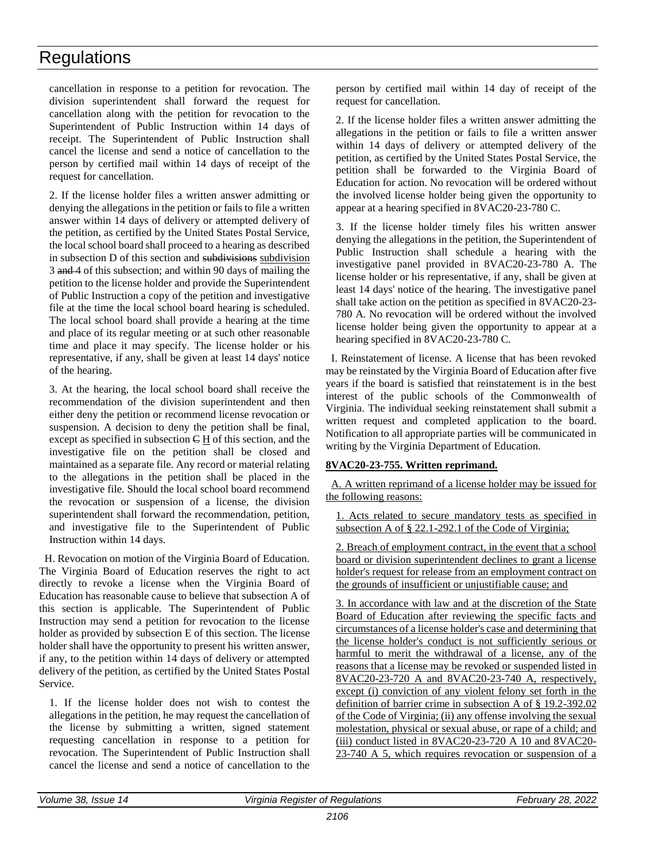cancellation in response to a petition for revocation. The division superintendent shall forward the request for cancellation along with the petition for revocation to the Superintendent of Public Instruction within 14 days of receipt. The Superintendent of Public Instruction shall cancel the license and send a notice of cancellation to the person by certified mail within 14 days of receipt of the request for cancellation.

2. If the license holder files a written answer admitting or denying the allegations in the petition or fails to file a written answer within 14 days of delivery or attempted delivery of the petition, as certified by the United States Postal Service, the local school board shall proceed to a hearing as described in subsection D of this section and subdivisions subdivision 3 and 4 of this subsection; and within 90 days of mailing the petition to the license holder and provide the Superintendent of Public Instruction a copy of the petition and investigative file at the time the local school board hearing is scheduled. The local school board shall provide a hearing at the time and place of its regular meeting or at such other reasonable time and place it may specify. The license holder or his representative, if any, shall be given at least 14 days' notice of the hearing.

3. At the hearing, the local school board shall receive the recommendation of the division superintendent and then either deny the petition or recommend license revocation or suspension. A decision to deny the petition shall be final, except as specified in subsection  $\in$  H of this section, and the investigative file on the petition shall be closed and maintained as a separate file. Any record or material relating to the allegations in the petition shall be placed in the investigative file. Should the local school board recommend the revocation or suspension of a license, the division superintendent shall forward the recommendation, petition, and investigative file to the Superintendent of Public Instruction within 14 days.

H. Revocation on motion of the Virginia Board of Education. The Virginia Board of Education reserves the right to act directly to revoke a license when the Virginia Board of Education has reasonable cause to believe that subsection A of this section is applicable. The Superintendent of Public Instruction may send a petition for revocation to the license holder as provided by subsection E of this section. The license holder shall have the opportunity to present his written answer, if any, to the petition within 14 days of delivery or attempted delivery of the petition, as certified by the United States Postal Service.

1. If the license holder does not wish to contest the allegations in the petition, he may request the cancellation of the license by submitting a written, signed statement requesting cancellation in response to a petition for revocation. The Superintendent of Public Instruction shall cancel the license and send a notice of cancellation to the

person by certified mail within 14 day of receipt of the request for cancellation.

2. If the license holder files a written answer admitting the allegations in the petition or fails to file a written answer within 14 days of delivery or attempted delivery of the petition, as certified by the United States Postal Service, the petition shall be forwarded to the Virginia Board of Education for action. No revocation will be ordered without the involved license holder being given the opportunity to appear at a hearing specified in 8VAC20-23-780 C.

3. If the license holder timely files his written answer denying the allegations in the petition, the Superintendent of Public Instruction shall schedule a hearing with the investigative panel provided in 8VAC20-23-780 A. The license holder or his representative, if any, shall be given at least 14 days' notice of the hearing. The investigative panel shall take action on the petition as specified in 8VAC20-23- 780 A. No revocation will be ordered without the involved license holder being given the opportunity to appear at a hearing specified in 8VAC20-23-780 C.

I. Reinstatement of license. A license that has been revoked may be reinstated by the Virginia Board of Education after five years if the board is satisfied that reinstatement is in the best interest of the public schools of the Commonwealth of Virginia. The individual seeking reinstatement shall submit a written request and completed application to the board. Notification to all appropriate parties will be communicated in writing by the Virginia Department of Education.

### **8VAC20-23-755. Written reprimand.**

A. A written reprimand of a license holder may be issued for the following reasons:

Acts related to secure mandatory tests as specified in subsection A of § 22.1-292.1 of the Code of Virginia;

2. Breach of employment contract, in the event that a school board or division superintendent declines to grant a license holder's request for release from an employment contract on the grounds of insufficient or unjustifiable cause; and

3. In accordance with law and at the discretion of the State Board of Education after reviewing the specific facts and circumstances of a license holder's case and determining that the license holder's conduct is not sufficiently serious or harmful to merit the withdrawal of a license, any of the reasons that a license may be revoked or suspended listed in 8VAC20-23-720 A and 8VAC20-23-740 A, respectively, except (i) conviction of any violent felony set forth in the definition of barrier crime in subsection A of § 19.2-392.02 of the Code of Virginia; (ii) any offense involving the sexual molestation, physical or sexual abuse, or rape of a child; and (iii) conduct listed in 8VAC20-23-720 A 10 and 8VAC20- 23-740 A 5, which requires revocation or suspension of a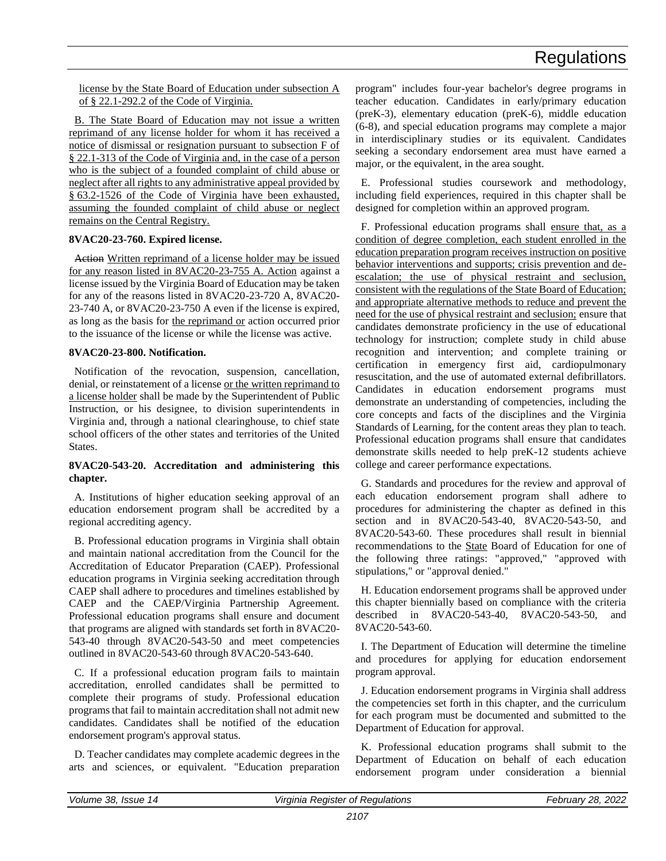license by the State Board of Education under subsection A of § 22.1-292.2 of the Code of Virginia.

B. The State Board of Education may not issue a written reprimand of any license holder for whom it has received a notice of dismissal or resignation pursuant to subsection F of § 22.1-313 of the Code of Virginia and, in the case of a person who is the subject of a founded complaint of child abuse or neglect after all rights to any administrative appeal provided by § 63.2-1526 of the Code of Virginia have been exhausted, assuming the founded complaint of child abuse or neglect remains on the Central Registry.

### **8VAC20-23-760. Expired license.**

Action Written reprimand of a license holder may be issued for any reason listed in 8VAC20-23-755 A. Action against a license issued by the Virginia Board of Education may be taken for any of the reasons listed in 8VAC20-23-720 A, 8VAC20- 23-740 A, or 8VAC20-23-750 A even if the license is expired, as long as the basis for the reprimand or action occurred prior to the issuance of the license or while the license was active.

### **8VAC20-23-800. Notification.**

Notification of the revocation, suspension, cancellation, denial, or reinstatement of a license or the written reprimand to a license holder shall be made by the Superintendent of Public Instruction, or his designee, to division superintendents in Virginia and, through a national clearinghouse, to chief state school officers of the other states and territories of the United States.

### **8VAC20-543-20. Accreditation and administering this chapter.**

A. Institutions of higher education seeking approval of an education endorsement program shall be accredited by a regional accrediting agency.

B. Professional education programs in Virginia shall obtain and maintain national accreditation from the Council for the Accreditation of Educator Preparation (CAEP). Professional education programs in Virginia seeking accreditation through CAEP shall adhere to procedures and timelines established by CAEP and the CAEP/Virginia Partnership Agreement. Professional education programs shall ensure and document that programs are aligned with standards set forth in 8VAC20- 543-40 through 8VAC20-543-50 and meet competencies outlined in 8VAC20-543-60 through 8VAC20-543-640.

C. If a professional education program fails to maintain accreditation, enrolled candidates shall be permitted to complete their programs of study. Professional education programs that fail to maintain accreditation shall not admit new candidates. Candidates shall be notified of the education endorsement program's approval status.

D. Teacher candidates may complete academic degrees in the arts and sciences, or equivalent. "Education preparation program" includes four-year bachelor's degree programs in teacher education. Candidates in early/primary education (preK-3), elementary education (preK-6), middle education (6-8), and special education programs may complete a major in interdisciplinary studies or its equivalent. Candidates seeking a secondary endorsement area must have earned a major, or the equivalent, in the area sought.

E. Professional studies coursework and methodology, including field experiences, required in this chapter shall be designed for completion within an approved program.

F. Professional education programs shall ensure that, as a condition of degree completion, each student enrolled in the education preparation program receives instruction on positive behavior interventions and supports; crisis prevention and deescalation; the use of physical restraint and seclusion, consistent with the regulations of the State Board of Education; and appropriate alternative methods to reduce and prevent the need for the use of physical restraint and seclusion; ensure that candidates demonstrate proficiency in the use of educational technology for instruction; complete study in child abuse recognition and intervention; and complete training or certification in emergency first aid, cardiopulmonary resuscitation, and the use of automated external defibrillators. Candidates in education endorsement programs must demonstrate an understanding of competencies, including the core concepts and facts of the disciplines and the Virginia Standards of Learning, for the content areas they plan to teach. Professional education programs shall ensure that candidates demonstrate skills needed to help preK-12 students achieve college and career performance expectations.

G. Standards and procedures for the review and approval of each education endorsement program shall adhere to procedures for administering the chapter as defined in this section and in 8VAC20-543-40, 8VAC20-543-50, and 8VAC20-543-60. These procedures shall result in biennial recommendations to the State Board of Education for one of the following three ratings: "approved," "approved with stipulations," or "approval denied."

H. Education endorsement programs shall be approved under this chapter biennially based on compliance with the criteria described in 8VAC20-543-40, 8VAC20-543-50, and 8VAC20-543-60.

I. The Department of Education will determine the timeline and procedures for applying for education endorsement program approval.

J. Education endorsement programs in Virginia shall address the competencies set forth in this chapter, and the curriculum for each program must be documented and submitted to the Department of Education for approval.

K. Professional education programs shall submit to the Department of Education on behalf of each education endorsement program under consideration a biennial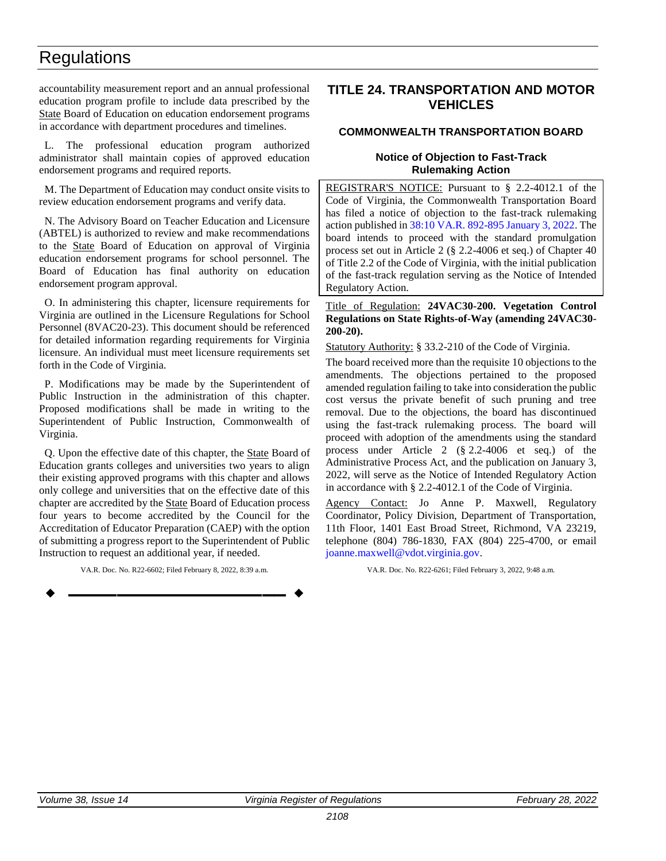<span id="page-32-0"></span>accountability measurement report and an annual professional education program profile to include data prescribed by the State Board of Education on education endorsement programs in accordance with department procedures and timelines.

L. The professional education program authorized administrator shall maintain copies of approved education endorsement programs and required reports.

M. The Department of Education may conduct onsite visits to review education endorsement programs and verify data.

N. The Advisory Board on Teacher Education and Licensure (ABTEL) is authorized to review and make recommendations to the State Board of Education on approval of Virginia education endorsement programs for school personnel. The Board of Education has final authority on education endorsement program approval.

O. In administering this chapter, licensure requirements for Virginia are outlined in the Licensure Regulations for School Personnel (8VAC20-23). This document should be referenced for detailed information regarding requirements for Virginia licensure. An individual must meet licensure requirements set forth in the Code of Virginia.

P. Modifications may be made by the Superintendent of Public Instruction in the administration of this chapter. Proposed modifications shall be made in writing to the Superintendent of Public Instruction, Commonwealth of Virginia.

Q. Upon the effective date of this chapter, the State Board of Education grants colleges and universities two years to align their existing approved programs with this chapter and allows only college and universities that on the effective date of this chapter are accredited by the State Board of Education process four years to become accredited by the Council for the Accreditation of Educator Preparation (CAEP) with the option of submitting a progress report to the Superintendent of Public Instruction to request an additional year, if needed.

VA.R. Doc. No. R22-6602; Filed February 8, 2022, 8:39 a.m.

**––––––––––––––––––**

### **TITLE 24. TRANSPORTATION AND MOTOR VEHICLES**

### **COMMONWEALTH TRANSPORTATION BOARD**

### **Notice of Objection to Fast-Track Rulemaking Action**

REGISTRAR'S NOTICE: Pursuant to § 2.2-4012.1 of the Code of Virginia, the Commonwealth Transportation Board has filed a notice of objection to the fast-track rulemaking action published in [38:10 VA.R. 892-895 January 3, 2022.](http://register.dls.virginia.gov/details.aspx?id=9974) The board intends to proceed with the standard promulgation process set out in Article 2 (§ 2.2-4006 et seq.) of Chapter 40 of Title 2.2 of the Code of Virginia, with the initial publication of the fast-track regulation serving as the Notice of Intended Regulatory Action.

### Title of Regulation: **24VAC30-200. Vegetation Control Regulations on State Rights-of-Way (amending 24VAC30- 200-20).**

Statutory Authority: § 33.2-210 of the Code of Virginia.

The board received more than the requisite 10 objections to the amendments. The objections pertained to the proposed amended regulation failing to take into consideration the public cost versus the private benefit of such pruning and tree removal. Due to the objections, the board has discontinued using the fast-track rulemaking process. The board will proceed with adoption of the amendments using the standard process under Article 2 (§ 2.2-4006 et seq.) of the Administrative Process Act, and the publication on January 3, 2022, will serve as the Notice of Intended Regulatory Action in accordance with § 2.2-4012.1 of the Code of Virginia.

Agency Contact: Jo Anne P. Maxwell, Regulatory Coordinator, Policy Division, Department of Transportation, 11th Floor, 1401 East Broad Street, Richmond, VA 23219, telephone (804) 786-1830, FAX (804) 225-4700, or email [joanne.maxwell@vdot.virginia.gov.](mailto:joanne.maxwell@vdot.virginia.gov)

VA.R. Doc. No. R22-6261; Filed February 3, 2022, 9:48 a.m.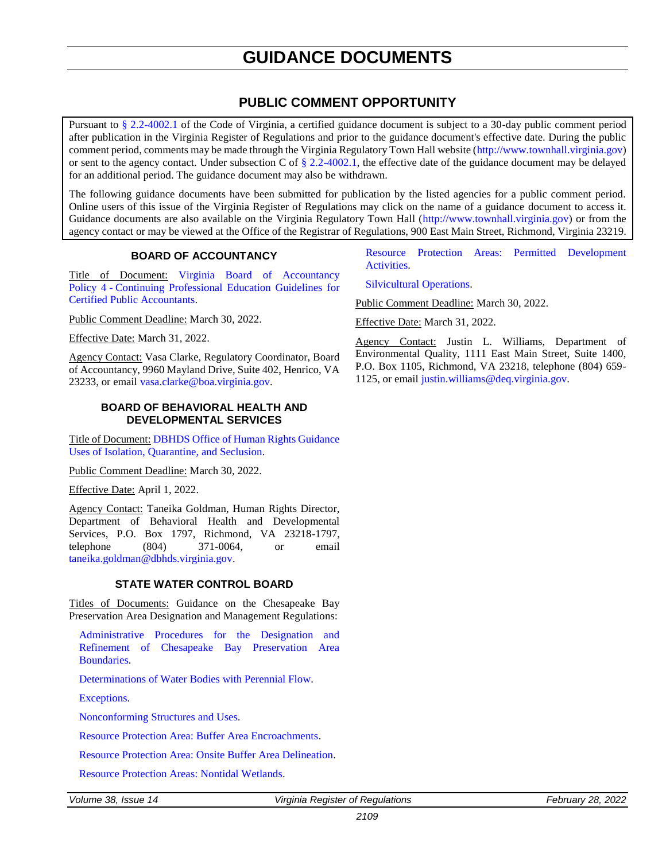# **GUIDANCE DOCUMENTS**

### **PUBLIC COMMENT OPPORTUNITY**

<span id="page-33-0"></span>Pursuant to [§ 2.2-4002.1](https://law.lis.virginia.gov/vacode/title2.2/chapter40/section2.2-4002.1/) of the Code of Virginia, a certified guidance document is subject to a 30-day public comment period after publication in the Virginia Register of Regulations and prior to the guidance document's effective date. During the public comment period, comments may be made through the Virginia Regulatory Town Hall website [\(http://www.townhall.virginia.gov\)](http://www.townhall.virginia.gov/) or sent to the agency contact. Under subsection C of  $\S 2.2-4002.1$ , the effective date of the guidance document may be delayed for an additional period. The guidance document may also be withdrawn.

The following guidance documents have been submitted for publication by the listed agencies for a public comment period. Online users of this issue of the Virginia Register of Regulations may click on the name of a guidance document to access it. Guidance documents are also available on the Virginia Regulatory Town Hall [\(http://www.townhall.virginia.gov\)](http://www.townhall.virginia.gov/) or from the agency contact or may be viewed at the Office of the Registrar of Regulations, 900 East Main Street, Richmond, Virginia 23219.

### **BOARD OF ACCOUNTANCY**

Title of Document: Virginia Board [of Accountancy](https://boa.virginia.gov/wp-content/uploads/2022/01/VBOA-Policy-04-CPE-Guidelines-for-CPAs_-July-2022.pdf)  Policy 4 - [Continuing Professional Education Guidelines for](https://boa.virginia.gov/wp-content/uploads/2022/01/VBOA-Policy-04-CPE-Guidelines-for-CPAs_-July-2022.pdf)  [Certified Public Accountants.](https://boa.virginia.gov/wp-content/uploads/2022/01/VBOA-Policy-04-CPE-Guidelines-for-CPAs_-July-2022.pdf)

Public Comment Deadline: March 30, 2022.

Effective Date: March 31, 2022.

Agency Contact: Vasa Clarke, Regulatory Coordinator, Board of Accountancy, 9960 Mayland Drive, Suite 402, Henrico, VA 23233, or email [vasa.clarke@boa.virginia.gov.](mailto:vasa.clarke@boa.virginia.gov)

### **BOARD OF BEHAVIORAL HEALTH AND DEVELOPMENTAL SERVICES**

Title of Document: [DBHDS Office of Human Rights Guidance](https://townhall.virginia.gov/L/GetFile.cfm?File=C:/TownHall/docroot/GuidanceDocs_Proposed/720/GDoc_DBHDS_6090_20220207.pdf)  [Uses of Isolation, Quarantine, and Seclusion.](https://townhall.virginia.gov/L/GetFile.cfm?File=C:/TownHall/docroot/GuidanceDocs_Proposed/720/GDoc_DBHDS_6090_20220207.pdf)

Public Comment Deadline: March 30, 2022.

Effective Date: April 1, 2022.

Agency Contact: Taneika Goldman, Human Rights Director, Department of Behavioral Health and Developmental Services, P.O. Box 1797, Richmond, VA 23218-1797, telephone (804) 371-0064, or email [taneika.goldman@dbhds.virginia.gov.](mailto:taneika.goldman@dbhds.virginia.gov)

### **STATE WATER CONTROL BOARD**

Titles of Documents: Guidance on the Chesapeake Bay Preservation Area Designation and Management Regulations:

[Administrative Procedures for the Designation and](https://townhall.virginia.gov/L/GetFile.cfm?File=C:/TownHall/docroot/GuidanceDocs_Proposed/440/GDoc_DEQ_6088_20220204.pdf)  [Refinement of Chesapeake Bay Preservation Area](https://townhall.virginia.gov/L/GetFile.cfm?File=C:/TownHall/docroot/GuidanceDocs_Proposed/440/GDoc_DEQ_6088_20220204.pdf)  [Boundaries.](https://townhall.virginia.gov/L/GetFile.cfm?File=C:/TownHall/docroot/GuidanceDocs_Proposed/440/GDoc_DEQ_6088_20220204.pdf)

[Determinations of Water Bodies with Perennial Flow.](https://townhall.virginia.gov/L/GetFile.cfm?File=C:/TownHall/docroot/GuidanceDocs_Proposed/440/GDoc_DEQ_6086_20220204.pdf)

[Exceptions.](https://townhall.virginia.gov/L/GetFile.cfm?File=C:/TownHall/docroot/GuidanceDocs_Proposed/440/GDoc_DEQ_6084_20220204.pdf)

[Nonconforming Structures and Uses.](https://townhall.virginia.gov/L/GetFile.cfm?File=C:/TownHall/docroot/GuidanceDocs_Proposed/440/GDoc_DEQ_6085_20220204.pdf)

[Resource Protection Area: Buffer Area Encroachments.](https://townhall.virginia.gov/l/GetFile.cfm?File=C:/TownHall/docroot/GuidanceDocs_Proposed/440/GDoc_DEQ_6082_20220204.pdf)

[Resource Protection Area: Onsite Buffer Area Delineation.](https://townhall.virginia.gov/L/GetFile.cfm?File=C:/TownHall/docroot/GuidanceDocs_Proposed/440/GDoc_DEQ_6081_20220204.pdf)

[Resource Protection Areas: Nontidal Wetlands.](https://townhall.virginia.gov/L/GetFile.cfm?File=C:/TownHall/docroot/GuidanceDocs_Proposed/440/GDoc_DEQ_6089_20220204.pdf)

*Volume 38, Issue 14 Virginia Register of Regulations February 28, 2022* 

[Resource Protection Areas: Permitted Development](https://townhall.virginia.gov/l/GetFile.cfm?File=C:/TownHall/docroot/GuidanceDocs_Proposed/440/GDoc_DEQ_6087_20220204.pdf)  [Activities.](https://townhall.virginia.gov/l/GetFile.cfm?File=C:/TownHall/docroot/GuidanceDocs_Proposed/440/GDoc_DEQ_6087_20220204.pdf)

[Silvicultural Operations.](https://townhall.virginia.gov/L/GetFile.cfm?File=C:/TownHall/docroot/GuidanceDocs_Proposed/440/GDoc_DEQ_6083_20220204.pdf)

Public Comment Deadline: March 30, 2022.

Effective Date: March 31, 2022.

Agency Contact: Justin L. Williams, Department of Environmental Quality, 1111 East Main Street, Suite 1400, P.O. Box 1105, Richmond, VA 23218, telephone (804) 659- 1125, or email [justin.williams@deq.virginia.gov.](mailto:justin.williams@deq.virginia.gov)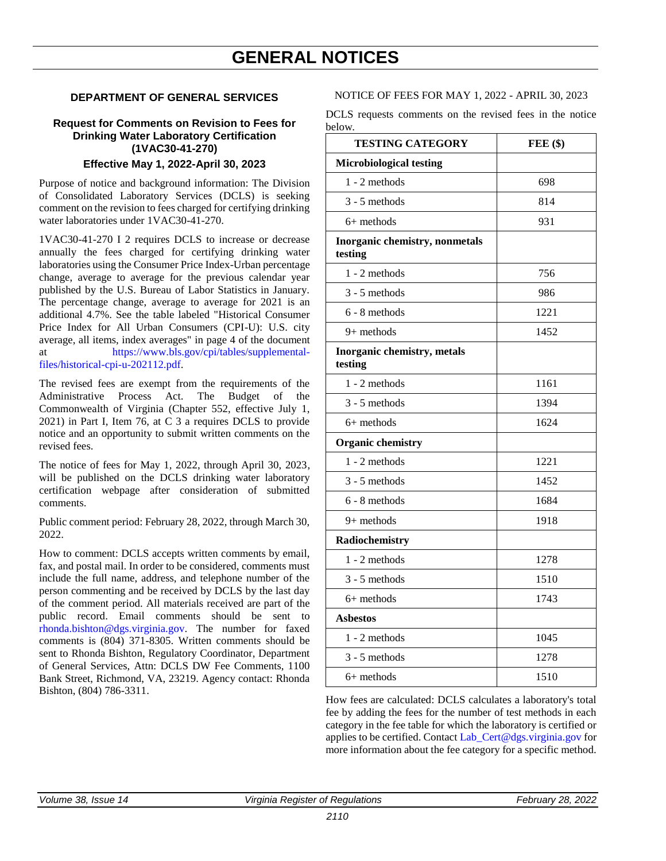### <span id="page-34-0"></span>**DEPARTMENT OF GENERAL SERVICES**

### **Request for Comments on Revision to Fees for Drinking Water Laboratory Certification (1VAC30-41-270) Effective May 1, 2022-April 30, 2023**

Purpose of notice and background information: The Division of Consolidated Laboratory Services (DCLS) is seeking comment on the revision to fees charged for certifying drinking water laboratories under 1VAC30-41-270.

1VAC30-41-270 I 2 requires DCLS to increase or decrease annually the fees charged for certifying drinking water laboratories using the Consumer Price Index-Urban percentage change, average to average for the previous calendar year published by the U.S. Bureau of Labor Statistics in January. The percentage change, average to average for 2021 is an additional 4.7%. See the table labeled "Historical Consumer Price Index for All Urban Consumers (CPI-U): U.S. city average, all items, index averages" in page 4 of the document at [https://www.bls.gov/cpi/tables/supplemental](https://www.bls.gov/cpi/tables/supplemental-files/historical-cpi-u-202112.pdf)[files/historical-cpi-u-202112.pdf.](https://www.bls.gov/cpi/tables/supplemental-files/historical-cpi-u-202112.pdf)

The revised fees are exempt from the requirements of the Administrative Process Act. The Budget of the Commonwealth of Virginia (Chapter 552, effective July 1, 2021) in Part I, Item 76, at C 3 a requires DCLS to provide notice and an opportunity to submit written comments on the revised fees.

The notice of fees for May 1, 2022, through April 30, 2023, will be published on the DCLS drinking water laboratory certification webpage after consideration of submitted comments.

Public comment period: February 28, 2022, through March 30, 2022.

How to comment: DCLS accepts written comments by email, fax, and postal mail. In order to be considered, comments must include the full name, address, and telephone number of the person commenting and be received by DCLS by the last day of the comment period. All materials received are part of the public record. Email comments should be sent to [rhonda.bishton@dgs.virginia.gov.](mailto:rhonda.bishton@dgs.virginia.gov) The number for faxed comments is (804) 371-8305. Written comments should be sent to Rhonda Bishton, Regulatory Coordinator, Department of General Services, Attn: DCLS DW Fee Comments, 1100 Bank Street, Richmond, VA, 23219. Agency contact: Rhonda Bishton, (804) 786-3311.

NOTICE OF FEES FOR MAY 1, 2022 - APRIL 30, 2023

DCLS requests comments on the revised fees in the notice below.

| <b>TESTING CATEGORY</b>                   | FEE(\$) |
|-------------------------------------------|---------|
| <b>Microbiological testing</b>            |         |
| $1 - 2$ methods                           | 698     |
| $3 - 5$ methods                           | 814     |
| 6+ methods                                | 931     |
| Inorganic chemistry, nonmetals<br>testing |         |
| 1 - 2 methods                             | 756     |
| $3 - 5$ methods                           | 986     |
| $6 - 8$ methods                           | 1221    |
| $9+$ methods                              | 1452    |
| Inorganic chemistry, metals<br>testing    |         |
| 1 - 2 methods                             | 1161    |
| $3 - 5$ methods                           | 1394    |
| $6+$ methods                              | 1624    |
| <b>Organic chemistry</b>                  |         |
| $1 - 2$ methods                           | 1221    |
| $3 - 5$ methods                           | 1452    |
| 6 - 8 methods                             | 1684    |
| 9+ methods                                | 1918    |
| Radiochemistry                            |         |
| $1 - 2$ methods                           | 1278    |
| $3 - 5$ methods                           | 1510    |
| $6+$ methods                              | 1743    |
| <b>Asbestos</b>                           |         |
| $1 - 2$ methods                           | 1045    |
| $3 - 5$ methods                           | 1278    |
| $6+$ methods                              | 1510    |

How fees are calculated: DCLS calculates a laboratory's total fee by adding the fees for the number of test methods in each category in the fee table for which the laboratory is certified or applies to be certified. Contact Lab Cert@dgs.virginia.gov for more information about the fee category for a specific method.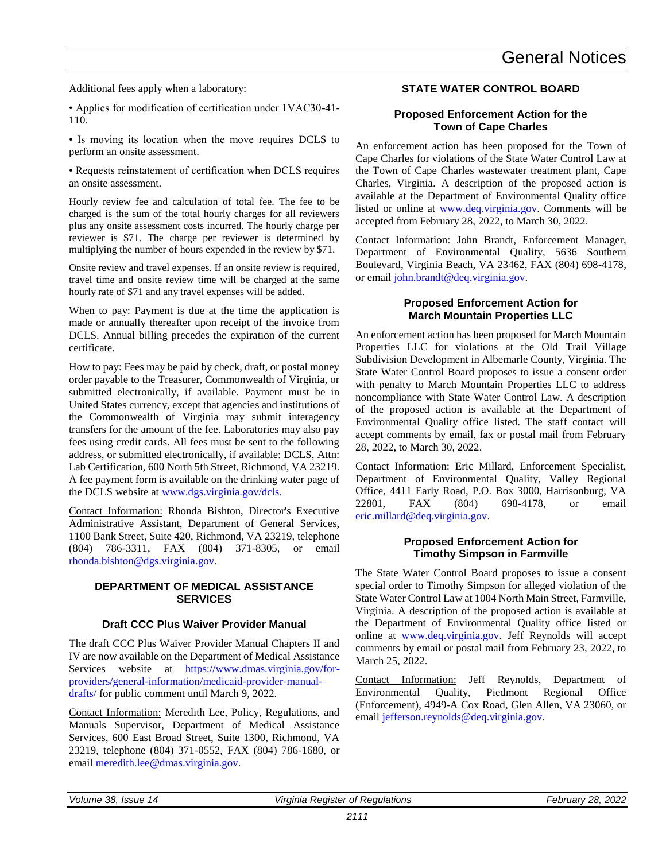# General Notices

Additional fees apply when a laboratory:

• Applies for modification of certification under 1VAC30-41- 110.

• Is moving its location when the move requires DCLS to perform an onsite assessment.

• Requests reinstatement of certification when DCLS requires an onsite assessment.

Hourly review fee and calculation of total fee. The fee to be charged is the sum of the total hourly charges for all reviewers plus any onsite assessment costs incurred. The hourly charge per reviewer is \$71. The charge per reviewer is determined by multiplying the number of hours expended in the review by \$71.

Onsite review and travel expenses. If an onsite review is required, travel time and onsite review time will be charged at the same hourly rate of \$71 and any travel expenses will be added.

When to pay: Payment is due at the time the application is made or annually thereafter upon receipt of the invoice from DCLS. Annual billing precedes the expiration of the current certificate.

How to pay: Fees may be paid by check, draft, or postal money order payable to the Treasurer, Commonwealth of Virginia, or submitted electronically, if available. Payment must be in United States currency, except that agencies and institutions of the Commonwealth of Virginia may submit interagency transfers for the amount of the fee. Laboratories may also pay fees using credit cards. All fees must be sent to the following address, or submitted electronically, if available: DCLS, Attn: Lab Certification, 600 North 5th Street, Richmond, VA 23219. A fee payment form is available on the drinking water page of the DCLS website at [www.dgs.virginia.gov/dcls.](http://www.dgs.virginia.gov/dcls)

Contact Information: Rhonda Bishton, Director's Executive Administrative Assistant, Department of General Services, 1100 Bank Street, Suite 420, Richmond, VA 23219, telephone (804) 786-3311, FAX (804) 371-8305, or email [rhonda.bishton@dgs.virginia.gov.](mailto:rhonda.bishton@dgs.virginia.gov)

### **DEPARTMENT OF MEDICAL ASSISTANCE SERVICES**

### **Draft CCC Plus Waiver Provider Manual**

The draft CCC Plus Waiver Provider Manual Chapters II and IV are now available on the Department of Medical Assistance Services website at [https://www.dmas.virginia.gov/for](https://www.dmas.virginia.gov/for-providers/general-information/medicaid-provider-manual-drafts/)[providers/general-information/medicaid-provider-manual](https://www.dmas.virginia.gov/for-providers/general-information/medicaid-provider-manual-drafts/)[drafts/](https://www.dmas.virginia.gov/for-providers/general-information/medicaid-provider-manual-drafts/) for public comment until March 9, 2022.

Contact Information: Meredith Lee, Policy, Regulations, and Manuals Supervisor, Department of Medical Assistance Services, 600 East Broad Street, Suite 1300, Richmond, VA 23219, telephone (804) 371-0552, FAX (804) 786-1680, or email [meredith.lee@dmas.virginia.gov.](mailto:meredith.lee@dmas.virginia.gov)

### **STATE WATER CONTROL BOARD**

### **Proposed Enforcement Action for the Town of Cape Charles**

An enforcement action has been proposed for the Town of Cape Charles for violations of the State Water Control Law at the Town of Cape Charles wastewater treatment plant, Cape Charles, Virginia. A description of the proposed action is available at the Department of Environmental Quality office listed or online at [www.deq.virginia.gov.](http://www.deq.virginia.gov/) Comments will be accepted from February 28, 2022, to March 30, 2022.

Contact Information: John Brandt, Enforcement Manager, Department of Environmental Quality, 5636 Southern Boulevard, Virginia Beach, VA 23462, FAX (804) 698-4178, or email [john.brandt@deq.virginia.gov.](mailto:john.brandt@deq.virginia.gov)

### **Proposed Enforcement Action for March Mountain Properties LLC**

An enforcement action has been proposed for March Mountain Properties LLC for violations at the Old Trail Village Subdivision Development in Albemarle County, Virginia. The State Water Control Board proposes to issue a consent order with penalty to March Mountain Properties LLC to address noncompliance with State Water Control Law. A description of the proposed action is available at the Department of Environmental Quality office listed. The staff contact will accept comments by email, fax or postal mail from February 28, 2022, to March 30, 2022.

Contact Information: Eric Millard, Enforcement Specialist, Department of Environmental Quality, Valley Regional Office, 4411 Early Road, P.O. Box 3000, Harrisonburg, VA 22801, FAX (804) 698-4178, or email [eric.millard@deq.virginia.gov.](mailto:eric.millard@deq.virginia.gov)

### **Proposed Enforcement Action for Timothy Simpson in Farmville**

The State Water Control Board proposes to issue a consent special order to Timothy Simpson for alleged violation of the State Water Control Law at 1004 North Main Street, Farmville, Virginia. A description of the proposed action is available at the Department of Environmental Quality office listed or online at [www.deq.virginia.gov.](https://www.deq.virginia.gov/) Jeff Reynolds will accept comments by email or postal mail from February 23, 2022, to March 25, 2022.

Contact Information: Jeff Reynolds, Department of Environmental Quality, Piedmont Regional Office (Enforcement), 4949-A Cox Road, Glen Allen, VA 23060, or emai[l jefferson.reynolds@deq.virginia.gov.](mailto:jefferson.reynolds@deq.virginia.gov)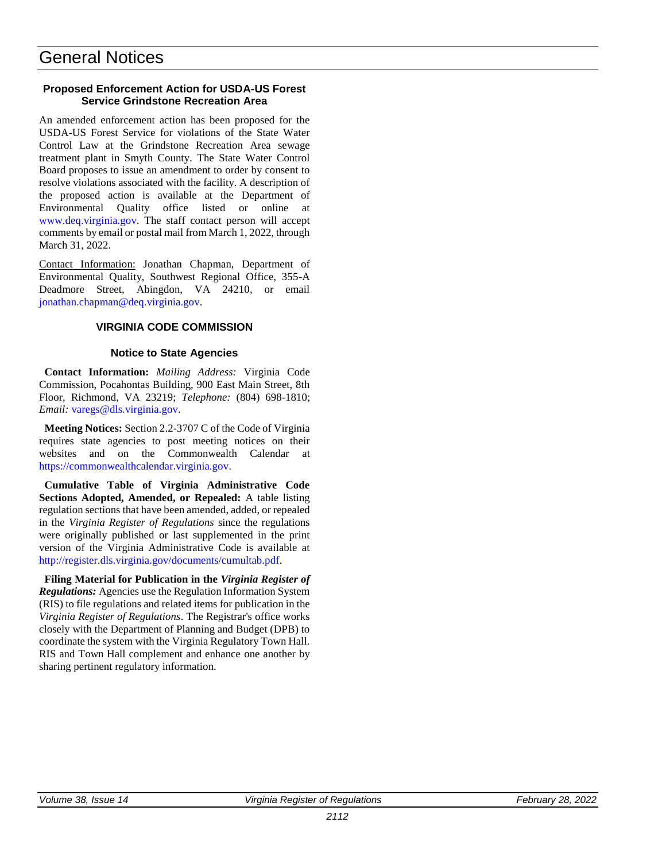# General Notices

### **Proposed Enforcement Action for USDA-US Forest Service Grindstone Recreation Area**

An amended enforcement action has been proposed for the USDA-US Forest Service for violations of the State Water Control Law at the Grindstone Recreation Area sewage treatment plant in Smyth County. The State Water Control Board proposes to issue an amendment to order by consent to resolve violations associated with the facility. A description of the proposed action is available at the Department of Environmental Quality office listed or online at [www.deq.virginia.gov.](http://www.deq.virginia.gov/) The staff contact person will accept comments by email or postal mail from March 1, 2022, through March 31, 2022.

Contact Information: Jonathan Chapman, Department of Environmental Quality, Southwest Regional Office, 355-A Deadmore Street, Abingdon, VA 24210, or email [jonathan.chapman@deq.virginia.gov.](mailto:jonathan.chapman@deq.virginia.gov)

### **VIRGINIA CODE COMMISSION**

### **Notice to State Agencies**

**Contact Information:** *Mailing Address:* Virginia Code Commission, Pocahontas Building, 900 East Main Street, 8th Floor, Richmond, VA 23219; *Telephone:* (804) 698-1810; *Email:* [varegs@dls.virginia.gov.](file://///legmain/sysdata/dlsdata/CODEREGS/regispub/Vol33/Iss04/varegs@dls.virginia.gov)

**Meeting Notices:** Section 2.2-3707 C of the Code of Virginia requires state agencies to post meeting notices on their websites and on the Commonwealth Calendar at [https://commonwealthcalendar.virginia.gov.](https://commonwealthcalendar.virginia.gov/)

**Cumulative Table of Virginia Administrative Code Sections Adopted, Amended, or Repealed:** A table listing regulation sections that have been amended, added, or repealed in the *Virginia Register of Regulations* since the regulations were originally published or last supplemented in the print version of the Virginia Administrative Code is available at [http://register.dls.virginia.gov/documents/cumultab.pdf.](http://register.dls.virginia.gov/documents/cumultab.pdf)

**Filing Material for Publication in the** *Virginia Register of Regulations:* Agencies use the Regulation Information System (RIS) to file regulations and related items for publication in the *Virginia Register of Regulations*. The Registrar's office works closely with the Department of Planning and Budget (DPB) to coordinate the system with the Virginia Regulatory Town Hall. RIS and Town Hall complement and enhance one another by sharing pertinent regulatory information.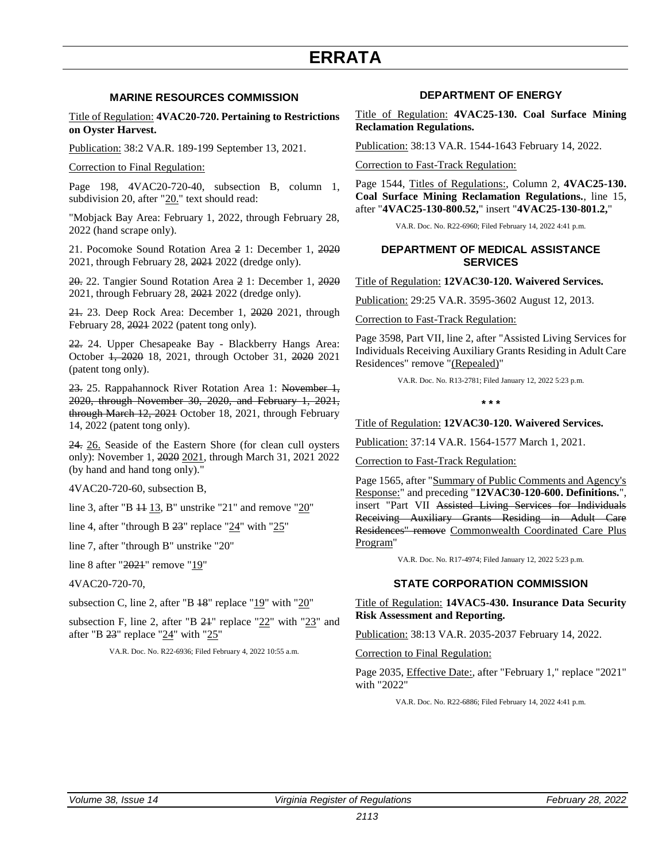### **MARINE RESOURCES COMMISSION**

<span id="page-37-0"></span>Title of Regulation: **4VAC20-720. Pertaining to Restrictions on Oyster Harvest.**

Publication: 38:2 VA.R. 189-199 September 13, 2021.

Correction to Final Regulation:

Page 198, 4VAC20-720-40, subsection B, column 1, subdivision 20, after "20." text should read:

"Mobjack Bay Area: February 1, 2022, through February 28, 2022 (hand scrape only).

21. Pocomoke Sound Rotation Area 2 1: December 1, 2020 2021, through February 28, 2021 2022 (dredge only).

20. 22. Tangier Sound Rotation Area 2 1: December 1, 2020 2021, through February 28, 2021 2022 (dredge only).

21. 23. Deep Rock Area: December 1, 2020 2021, through February 28, 2021 2022 (patent tong only).

22. 24. Upper Chesapeake Bay - Blackberry Hangs Area: October 1, 2020 18, 2021, through October 31, 2020 2021 (patent tong only).

23. 25. Rappahannock River Rotation Area 1: November 1, 2020, through November 30, 2020, and February 1, 2021, through March 12, 2021 October 18, 2021, through February 14, 2022 (patent tong only).

24. 26. Seaside of the Eastern Shore (for clean cull oysters only): November 1, 2020 2021, through March 31, 2021 2022 (by hand and hand tong only)."

4VAC20-720-60, subsection B,

line 3, after "B  $44$  13, B" unstrike "21" and remove "20"

line 4, after "through B 23" replace "24" with "25"

line 7, after "through B" unstrike "20"

line 8 after "2021" remove "19"

4VAC20-720-70,

subsection C, line 2, after "B  $18$ " replace " $19$ " with " $20$ "

subsection F, line 2, after "B  $24$ " replace " $22$ " with " $23$ " and after "B 23" replace "24" with "25"

VA.R. Doc. No. R22-6936; Filed February 4, 2022 10:55 a.m.

### **DEPARTMENT OF ENERGY**

Title of Regulation: **4VAC25-130. Coal Surface Mining Reclamation Regulations.**

Publication: 38:13 VA.R. 1544-1643 February 14, 2022.

Correction to Fast-Track Regulation:

Page 1544, Titles of Regulations:, Column 2, **4VAC25-130. Coal Surface Mining Reclamation Regulations.**, line 15, after "**4VAC25-130-800.52,**" insert "**4VAC25-130-801.2,**"

VA.R. Doc. No. R22-6960; Filed February 14, 2022 4:41 p.m.

### **DEPARTMENT OF MEDICAL ASSISTANCE SERVICES**

Title of Regulation: **12VAC30-120. Waivered Services.**

Publication: 29:25 VA.R. 3595-3602 August 12, 2013.

### Correction to Fast-Track Regulation:

Page 3598, Part VII, line 2, after "Assisted Living Services for Individuals Receiving Auxiliary Grants Residing in Adult Care Residences" remove "(Repealed)"

VA.R. Doc. No. R13-2781; Filed January 12, 2022 5:23 p.m.

**\* \* \*** 

Title of Regulation: **12VAC30-120. Waivered Services.**

Publication: 37:14 VA.R. 1564-1577 March 1, 2021.

Correction to Fast-Track Regulation:

Page 1565, after "Summary of Public Comments and Agency's Response:" and preceding "**12VAC30-120-600. Definitions.**", insert "Part VII Assisted Living Services for Individuals Receiving Auxiliary Grants Residing in Adult Care Residences" remove Commonwealth Coordinated Care Plus Program"

VA.R. Doc. No. R17-4974; Filed January 12, 2022 5:23 p.m.

### **STATE CORPORATION COMMISSION**

Title of Regulation: **14VAC5-430. Insurance Data Security Risk Assessment and Reporting.**

Publication: 38:13 VA.R. 2035-2037 February 14, 2022.

Correction to Final Regulation:

Page 2035, Effective Date:, after "February 1," replace "2021" with "2022"

VA.R. Doc. No. R22-6886; Filed February 14, 2022 4:41 p.m.